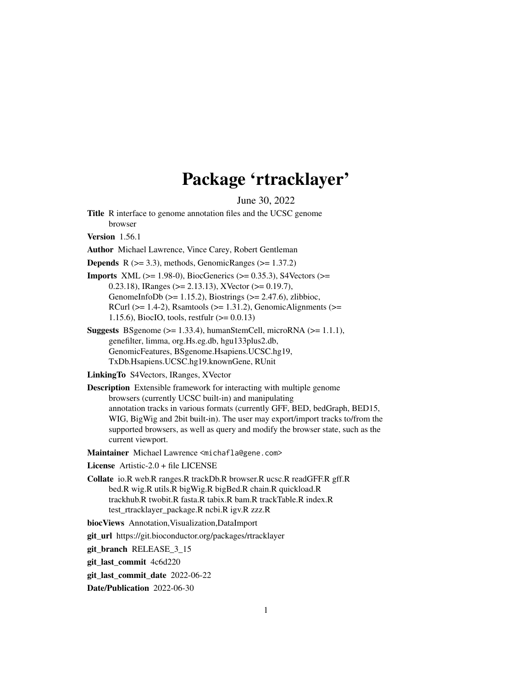# Package 'rtracklayer'

June 30, 2022

<span id="page-0-0"></span>Title R interface to genome annotation files and the UCSC genome browser

Version 1.56.1

Author Michael Lawrence, Vince Carey, Robert Gentleman

**Depends** R  $(>= 3.3)$ , methods, GenomicRanges  $(>= 1.37.2)$ 

**Imports** XML ( $>= 1.98-0$ ), BiocGenerics ( $>= 0.35.3$ ), S4Vectors ( $>=$ 0.23.18), IRanges (>= 2.13.13), XVector (>= 0.19.7), GenomeInfoDb ( $>= 1.15.2$ ), Biostrings ( $>= 2.47.6$ ), zlibbioc, RCurl ( $>= 1.4-2$ ), Rsamtools ( $>= 1.31.2$ ), GenomicAlignments ( $>=$ 1.15.6), BiocIO, tools, restfulr (>= 0.0.13)

**Suggests** BSgenome ( $> = 1.33.4$ ), humanStemCell, microRNA ( $> = 1.1.1$ ), genefilter, limma, org.Hs.eg.db, hgu133plus2.db, GenomicFeatures, BSgenome.Hsapiens.UCSC.hg19, TxDb.Hsapiens.UCSC.hg19.knownGene, RUnit

LinkingTo S4Vectors, IRanges, XVector

Description Extensible framework for interacting with multiple genome browsers (currently UCSC built-in) and manipulating annotation tracks in various formats (currently GFF, BED, bedGraph, BED15, WIG, BigWig and 2bit built-in). The user may export/import tracks to/from the supported browsers, as well as query and modify the browser state, such as the current viewport.

Maintainer Michael Lawrence <michafla@gene.com>

License Artistic-2.0 + file LICENSE

Collate io.R web.R ranges.R trackDb.R browser.R ucsc.R readGFF.R gff.R bed.R wig.R utils.R bigWig.R bigBed.R chain.R quickload.R trackhub.R twobit.R fasta.R tabix.R bam.R trackTable.R index.R test\_rtracklayer\_package.R ncbi.R igv.R zzz.R

biocViews Annotation,Visualization,DataImport

git\_url https://git.bioconductor.org/packages/rtracklayer

git\_branch RELEASE\_3\_15

git\_last\_commit 4c6d220

git last commit date 2022-06-22

Date/Publication 2022-06-30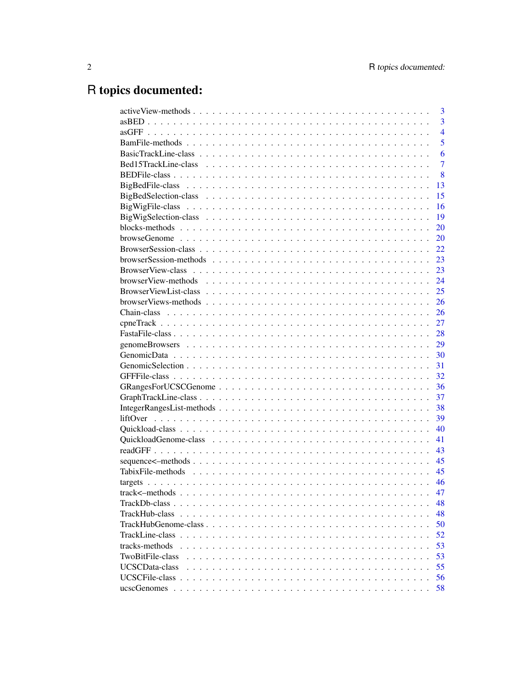# R topics documented:

|                                                                                                                              | 3              |
|------------------------------------------------------------------------------------------------------------------------------|----------------|
|                                                                                                                              | 3              |
|                                                                                                                              | $\overline{4}$ |
|                                                                                                                              | 5              |
|                                                                                                                              | 6              |
|                                                                                                                              | 7              |
|                                                                                                                              | 8              |
|                                                                                                                              | 13             |
|                                                                                                                              | 15             |
|                                                                                                                              | 16             |
|                                                                                                                              | 19             |
|                                                                                                                              | 20             |
|                                                                                                                              | 20             |
|                                                                                                                              | 22             |
|                                                                                                                              | 23             |
|                                                                                                                              | 23             |
|                                                                                                                              | 24             |
|                                                                                                                              | 25             |
|                                                                                                                              | 26             |
|                                                                                                                              | 26             |
|                                                                                                                              | 27             |
|                                                                                                                              | 28             |
|                                                                                                                              | 29             |
|                                                                                                                              | 30             |
|                                                                                                                              | 31             |
|                                                                                                                              | 32             |
|                                                                                                                              | 36             |
|                                                                                                                              | 37             |
|                                                                                                                              | 38             |
|                                                                                                                              | 39             |
|                                                                                                                              | 40             |
|                                                                                                                              | 41             |
|                                                                                                                              | 43             |
|                                                                                                                              | 45             |
|                                                                                                                              | 45             |
|                                                                                                                              | 46             |
|                                                                                                                              | 47             |
| $\text{TrackDb-class} \dots \dots \dots \dots \dots \dots \dots \dots \dots \dots \dots \dots \dots \dots \dots \dots \dots$ | 48             |
| TrackHub-class                                                                                                               | 48             |
|                                                                                                                              | 50             |
|                                                                                                                              | 52             |
| tracks-methods                                                                                                               | 53             |
| TwoBitFile-class                                                                                                             | 53             |
| UCSCData-class                                                                                                               | 55             |
|                                                                                                                              | 56             |
|                                                                                                                              | 58             |
|                                                                                                                              |                |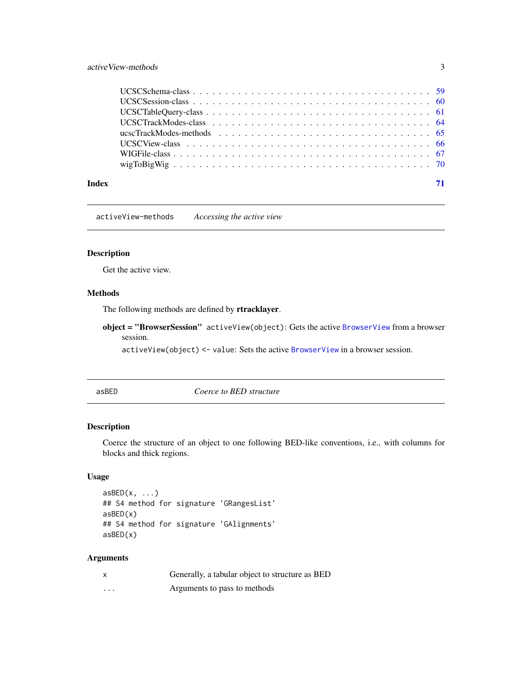# <span id="page-2-0"></span>active View-methods 3

| Index |  |
|-------|--|

activeView-methods *Accessing the active view*

# <span id="page-2-2"></span>Description

Get the active view.

# Methods

The following methods are defined by rtracklayer.

object = "BrowserSession" activeView(object): Gets the active [BrowserView](#page-22-1) from a browser session.

activeView(object) <- value: Sets the active [BrowserView](#page-22-1) in a browser session.

<span id="page-2-1"></span>asBED *Coerce to BED structure*

# Description

Coerce the structure of an object to one following BED-like conventions, i.e., with columns for blocks and thick regions.

# Usage

```
asBED(x, \ldots)## S4 method for signature 'GRangesList'
asBED(x)
## S4 method for signature 'GAlignments'
asBED(x)
```

| $\boldsymbol{\mathsf{x}}$ | Generally, a tabular object to structure as BED |
|---------------------------|-------------------------------------------------|
| $\cdots$                  | Arguments to pass to methods                    |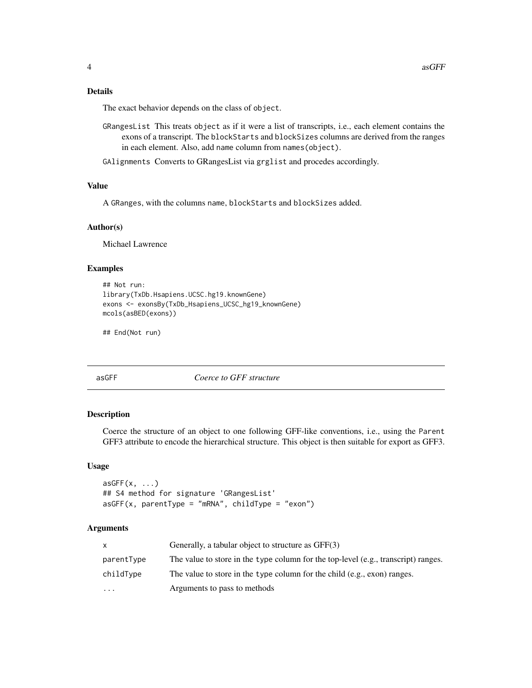# <span id="page-3-0"></span>Details

The exact behavior depends on the class of object.

- GRangesList This treats object as if it were a list of transcripts, i.e., each element contains the exons of a transcript. The blockStarts and blockSizes columns are derived from the ranges in each element. Also, add name column from names(object).
- GAlignments Converts to GRangesList via grglist and procedes accordingly.

# Value

A GRanges, with the columns name, blockStarts and blockSizes added.

# Author(s)

Michael Lawrence

# Examples

```
## Not run:
library(TxDb.Hsapiens.UCSC.hg19.knownGene)
exons <- exonsBy(TxDb_Hsapiens_UCSC_hg19_knownGene)
mcols(asBED(exons))
```
## End(Not run)

asGFF *Coerce to GFF structure*

#### Description

Coerce the structure of an object to one following GFF-like conventions, i.e., using the Parent GFF3 attribute to encode the hierarchical structure. This object is then suitable for export as GFF3.

# Usage

```
asGFF(x, \ldots)## S4 method for signature 'GRangesList'
asGFF(x, parentType = "mRNA", childType = "exon")
```

| x          | Generally, a tabular object to structure as GFF(3)                                 |
|------------|------------------------------------------------------------------------------------|
| parentType | The value to store in the type column for the top-level (e.g., transcript) ranges. |
| childType  | The value to store in the type column for the child (e.g., exon) ranges.           |
| $\cdots$   | Arguments to pass to methods                                                       |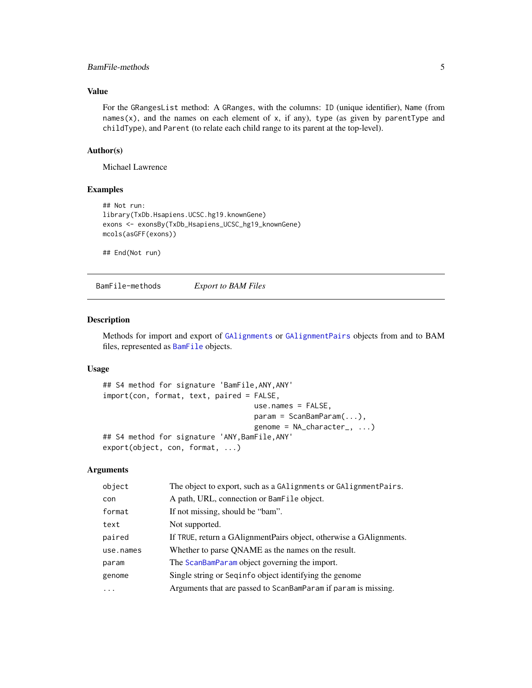# <span id="page-4-0"></span>BamFile-methods 5

# Value

For the GRangesList method: A GRanges, with the columns: ID (unique identifier), Name (from names $(x)$ , and the names on each element of x, if any), type (as given by parentType and childType), and Parent (to relate each child range to its parent at the top-level).

#### Author(s)

Michael Lawrence

# Examples

```
## Not run:
library(TxDb.Hsapiens.UCSC.hg19.knownGene)
exons <- exonsBy(TxDb_Hsapiens_UCSC_hg19_knownGene)
mcols(asGFF(exons))
```
## End(Not run)

BamFile-methods *Export to BAM Files*

# Description

Methods for import and export of [GAlignments](#page-0-0) or [GAlignmentPairs](#page-0-0) objects from and to BAM files, represented as [BamFile](#page-0-0) objects.

#### Usage

```
## S4 method for signature 'BamFile,ANY,ANY'
import(con, format, text, paired = FALSE,
                                   use.names = FALSE,
                                   param = ScanBamParam(...),
                                   genome = NA_character_, ...)
## S4 method for signature 'ANY,BamFile,ANY'
export(object, con, format, ...)
```

| object    | The object to export, such as a GAlignments or GAlignmentPairs.     |
|-----------|---------------------------------------------------------------------|
| con       | A path, URL, connection or BamFile object.                          |
| format    | If not missing, should be "bam".                                    |
| text      | Not supported.                                                      |
| paired    | If TRUE, return a GAlignment Pairs object, otherwise a GAlignments. |
| use.names | Whether to parse QNAME as the names on the result.                  |
| param     | The ScanBamParam object governing the import.                       |
| genome    | Single string or Sequation object identifying the genome            |
| $\cdots$  | Arguments that are passed to ScanBamParam if param is missing.      |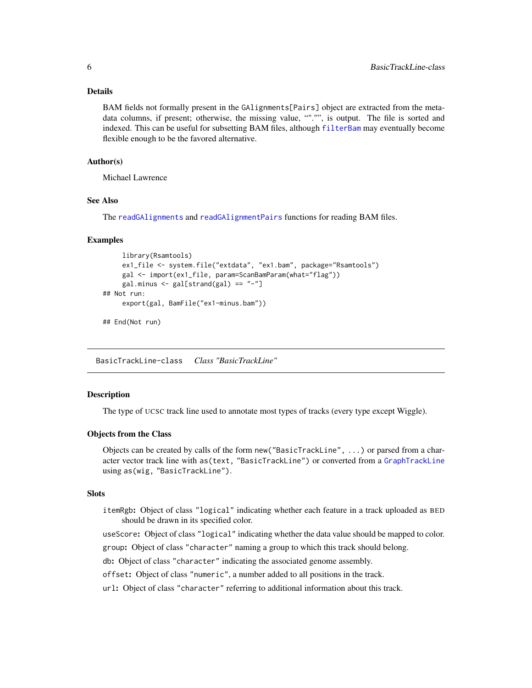#### <span id="page-5-0"></span>Details

BAM fields not formally present in the GAlignments[Pairs] object are extracted from the metadata columns, if present; otherwise, the missing value, ""."", is output. The file is sorted and indexed. This can be useful for subsetting BAM files, although [filterBam](#page-0-0) may eventually become flexible enough to be the favored alternative.

# Author(s)

Michael Lawrence

# See Also

The [readGAlignments](#page-0-0) and [readGAlignmentPairs](#page-0-0) functions for reading BAM files.

#### Examples

```
library(Rsamtools)
     ex1_file <- system.file("extdata", "ex1.bam", package="Rsamtools")
     gal <- import(ex1_file, param=ScanBamParam(what="flag"))
     gal.minus \leftarrow gal[strand(gal) == "-"]## Not run:
     export(gal, BamFile("ex1-minus.bam"))
## End(Not run)
```
BasicTrackLine-class *Class "BasicTrackLine"*

# **Description**

The type of UCSC track line used to annotate most types of tracks (every type except Wiggle).

# Objects from the Class

Objects can be created by calls of the form new("BasicTrackLine", ...) or parsed from a character vector track line with as(text, "BasicTrackLine") or converted from a [GraphTrackLine](#page-36-1) using as(wig, "BasicTrackLine").

# **Slots**

itemRgb: Object of class "logical" indicating whether each feature in a track uploaded as BED should be drawn in its specified color.

useScore: Object of class "logical" indicating whether the data value should be mapped to color.

group: Object of class "character" naming a group to which this track should belong.

db: Object of class "character" indicating the associated genome assembly.

offset: Object of class "numeric", a number added to all positions in the track.

url: Object of class "character" referring to additional information about this track.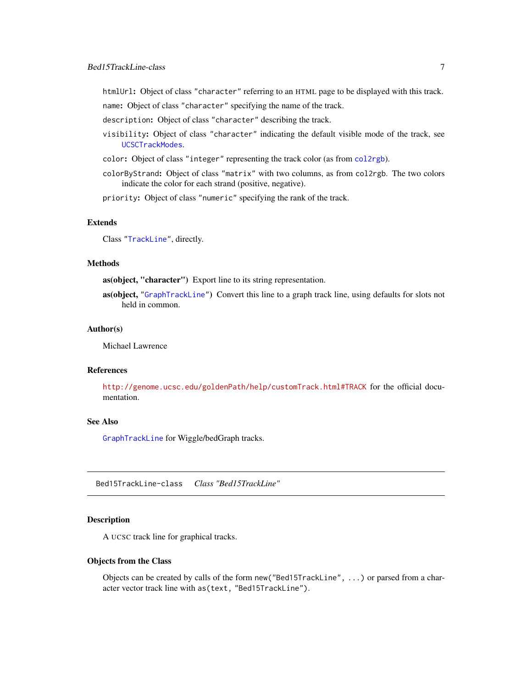<span id="page-6-0"></span>htmlUrl: Object of class "character" referring to an HTML page to be displayed with this track.

name: Object of class "character" specifying the name of the track.

description: Object of class "character" describing the track.

- visibility: Object of class "character" indicating the default visible mode of the track, see [UCSCTrackModes](#page-63-1).
- color: Object of class "integer" representing the track color (as from [col2rgb](#page-0-0)).
- colorByStrand: Object of class "matrix" with two columns, as from col2rgb. The two colors indicate the color for each strand (positive, negative).

priority: Object of class "numeric" specifying the rank of the track.

#### Extends

Class ["TrackLine"](#page-51-1), directly.

# Methods

as(object, "character") Export line to its string representation.

as(object, ["GraphTrackLine"](#page-36-1)) Convert this line to a graph track line, using defaults for slots not held in common.

#### Author(s)

Michael Lawrence

# References

<http://genome.ucsc.edu/goldenPath/help/customTrack.html#TRACK> for the official documentation.

#### See Also

[GraphTrackLine](#page-36-1) for Wiggle/bedGraph tracks.

Bed15TrackLine-class *Class "Bed15TrackLine"*

#### Description

A UCSC track line for graphical tracks.

#### Objects from the Class

Objects can be created by calls of the form new("Bed15TrackLine", ...) or parsed from a character vector track line with as(text, "Bed15TrackLine").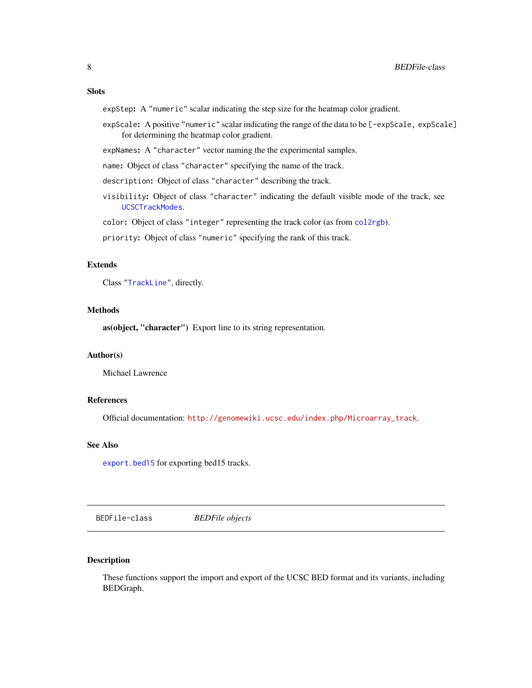#### <span id="page-7-0"></span>Slots

expStep: A "numeric" scalar indicating the step size for the heatmap color gradient.

expScale: A positive "numeric" scalar indicating the range of the data to be [-expScale, expScale] for determining the heatmap color gradient.

expNames: A "character" vector naming the the experimental samples.

name: Object of class "character" specifying the name of the track.

description: Object of class "character" describing the track.

visibility: Object of class "character" indicating the default visible mode of the track, see [UCSCTrackModes](#page-63-1).

color: Object of class "integer" representing the track color (as from [col2rgb](#page-0-0)).

priority: Object of class "numeric" specifying the rank of this track.

# Extends

Class ["TrackLine"](#page-51-1), directly.

# Methods

as(object, "character") Export line to its string representation.

#### Author(s)

Michael Lawrence

# References

Official documentation: [http://genomewiki.ucsc.edu/index.php/Microarray\\_track](http://genomewiki.ucsc.edu/index.php/Microarray_track).

#### See Also

[export.bed15](#page-7-1) for exporting bed15 tracks.

BEDFile-class *BEDFile objects*

# <span id="page-7-1"></span>Description

These functions support the import and export of the UCSC BED format and its variants, including BEDGraph.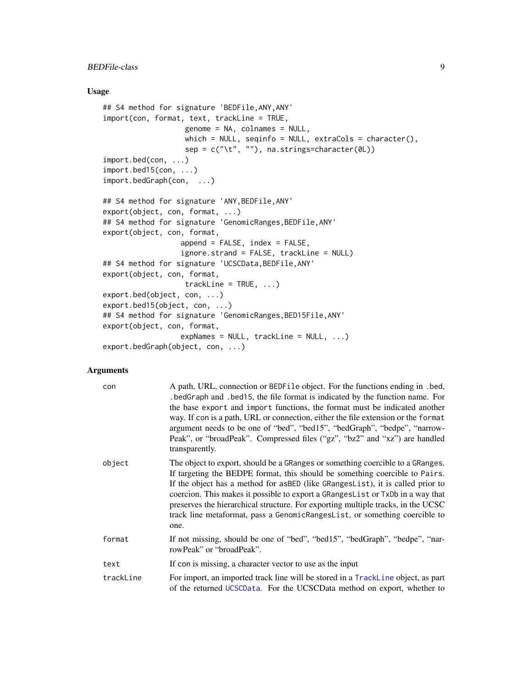#### Usage

```
## S4 method for signature 'BEDFile,ANY,ANY'
import(con, format, text, trackLine = TRUE,
                   genome = NA, colnames = NULL,
                   which = NULL, seqinfo = NULL, extraCols = character(),
                   sep = c("t", ""), na.strings=character(0L))
import.bed(con, ...)
import.bed15(con, ...)
import.bedGraph(con, ...)
## S4 method for signature 'ANY,BEDFile,ANY'
export(object, con, format, ...)
## S4 method for signature 'GenomicRanges, BEDFile, ANY'
export(object, con, format,
                  append = FALSE, index = FALSE,
                  ignore.strand = FALSE, trackLine = NULL)
## S4 method for signature 'UCSCData,BEDFile,ANY'
export(object, con, format,
                  trackLine = TRUE, ...export.bed(object, con, ...)
export.bed15(object, con, ...)
## S4 method for signature 'GenomicRanges, BED15File, ANY'
export(object, con, format,
                  expNames = NULL, trackLine = NULL, ...)export.bedGraph(object, con, ...)
```

| con       | A path, URL, connection or BEDFile object. For the functions ending in .bed,<br>.bedGraph and .bed15, the file format is indicated by the function name. For<br>the base export and import functions, the format must be indicated another<br>way. If con is a path, URL or connection, either the file extension or the format<br>argument needs to be one of "bed", "bed15", "bedGraph", "bedpe", "narrow-<br>Peak", or "broadPeak". Compressed files ("gz", "bz2" and "xz") are handled<br>transparently. |
|-----------|--------------------------------------------------------------------------------------------------------------------------------------------------------------------------------------------------------------------------------------------------------------------------------------------------------------------------------------------------------------------------------------------------------------------------------------------------------------------------------------------------------------|
| object    | The object to export, should be a GRanges or something coercible to a GRanges.<br>If targeting the BEDPE format, this should be something coercible to Pairs.<br>If the object has a method for asBED (like GRangesList), it is called prior to<br>coercion. This makes it possible to export a GRangesList or TxDb in a way that<br>preserves the hierarchical structure. For exporting multiple tracks, in the UCSC<br>track line metaformat, pass a GenomicRangesList, or something coercible to<br>one.  |
| format    | If not missing, should be one of "bed", "bed15", "bedGraph", "bedpe", "nar-<br>rowPeak" or "broadPeak".                                                                                                                                                                                                                                                                                                                                                                                                      |
| text      | If con is missing, a character vector to use as the input                                                                                                                                                                                                                                                                                                                                                                                                                                                    |
| trackLine | For import, an imported track line will be stored in a TrackLine object, as part<br>of the returned UCSCData. For the UCSCData method on export, whether to                                                                                                                                                                                                                                                                                                                                                  |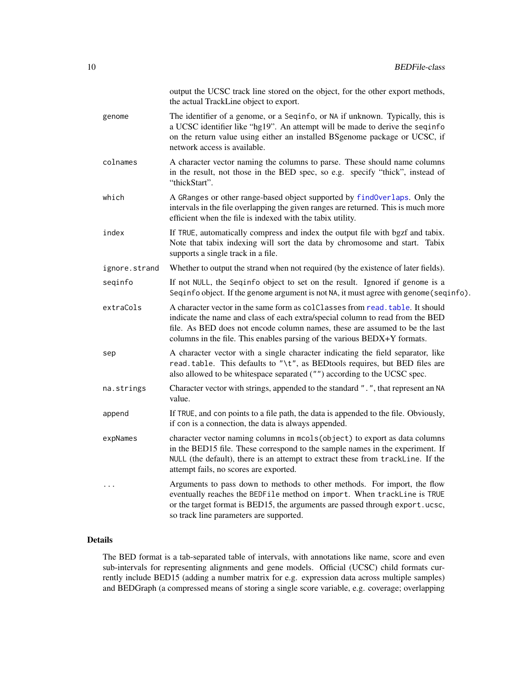|               | output the UCSC track line stored on the object, for the other export methods,<br>the actual TrackLine object to export.                                                                                                                                                                                                  |
|---------------|---------------------------------------------------------------------------------------------------------------------------------------------------------------------------------------------------------------------------------------------------------------------------------------------------------------------------|
| genome        | The identifier of a genome, or a Seqinfo, or NA if unknown. Typically, this is<br>a UCSC identifier like "hg19". An attempt will be made to derive the seqinfo<br>on the return value using either an installed BSgenome package or UCSC, if<br>network access is available.                                              |
| colnames      | A character vector naming the columns to parse. These should name columns<br>in the result, not those in the BED spec, so e.g. specify "thick", instead of<br>"thickStart".                                                                                                                                               |
| which         | A GRanges or other range-based object supported by findOverlaps. Only the<br>intervals in the file overlapping the given ranges are returned. This is much more<br>efficient when the file is indexed with the tabix utility.                                                                                             |
| index         | If TRUE, automatically compress and index the output file with bgzf and tabix.<br>Note that tabix indexing will sort the data by chromosome and start. Tabix<br>supports a single track in a file.                                                                                                                        |
| ignore.strand | Whether to output the strand when not required (by the existence of later fields).                                                                                                                                                                                                                                        |
| seqinfo       | If not NULL, the Seqinfo object to set on the result. Ignored if genome is a<br>Seqinfo object. If the genome argument is not NA, it must agree with genome (seqinfo).                                                                                                                                                    |
| extraCols     | A character vector in the same form as colclasses from read, table. It should<br>indicate the name and class of each extra/special column to read from the BED<br>file. As BED does not encode column names, these are assumed to be the last<br>columns in the file. This enables parsing of the various BEDX+Y formats. |
| sep           | A character vector with a single character indicating the field separator, like<br>read.table. This defaults to "\t", as BEDtools requires, but BED files are<br>also allowed to be whitespace separated ("") according to the UCSC spec.                                                                                 |
| na.strings    | Character vector with strings, appended to the standard ".", that represent an NA<br>value.                                                                                                                                                                                                                               |
| append        | If TRUE, and con points to a file path, the data is appended to the file. Obviously,<br>if con is a connection, the data is always appended.                                                                                                                                                                              |
| expNames      | character vector naming columns in mcols (object) to export as data columns<br>in the BED15 file. These correspond to the sample names in the experiment. If<br>NULL (the default), there is an attempt to extract these from trackLine. If the<br>attempt fails, no scores are exported.                                 |
| $\cdots$      | Arguments to pass down to methods to other methods. For import, the flow<br>eventually reaches the BEDFile method on import. When trackLine is TRUE<br>or the target format is BED15, the arguments are passed through export.ucsc,<br>so track line parameters are supported.                                            |

# Details

The BED format is a tab-separated table of intervals, with annotations like name, score and even sub-intervals for representing alignments and gene models. Official (UCSC) child formats currently include BED15 (adding a number matrix for e.g. expression data across multiple samples) and BEDGraph (a compressed means of storing a single score variable, e.g. coverage; overlapping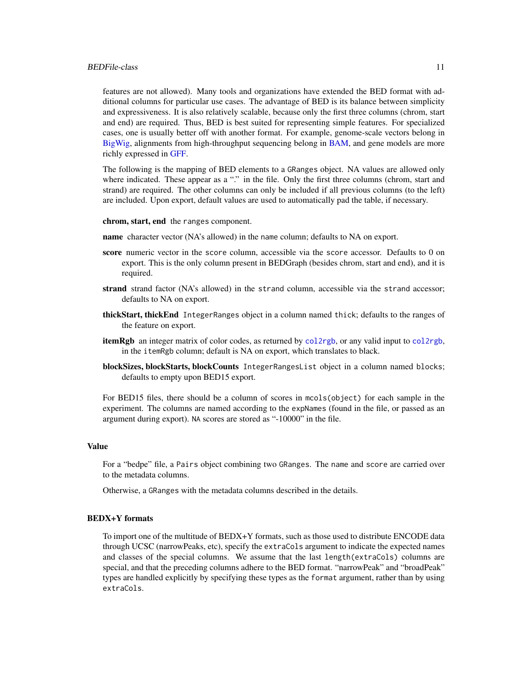#### BEDFile-class 11

features are not allowed). Many tools and organizations have extended the BED format with additional columns for particular use cases. The advantage of BED is its balance between simplicity and expressiveness. It is also relatively scalable, because only the first three columns (chrom, start and end) are required. Thus, BED is best suited for representing simple features. For specialized cases, one is usually better off with another format. For example, genome-scale vectors belong in [BigWig,](#page-15-1) alignments from high-throughput sequencing belong in [BAM,](#page-0-0) and gene models are more richly expressed in [GFF.](#page-31-1)

The following is the mapping of BED elements to a GRanges object. NA values are allowed only where indicated. These appear as a "." in the file. Only the first three columns (chrom, start and strand) are required. The other columns can only be included if all previous columns (to the left) are included. Upon export, default values are used to automatically pad the table, if necessary.

#### chrom, start, end the ranges component.

- name character vector (NA's allowed) in the name column; defaults to NA on export.
- score numeric vector in the score column, accessible via the score accessor. Defaults to 0 on export. This is the only column present in BEDGraph (besides chrom, start and end), and it is required.
- strand strand factor (NA's allowed) in the strand column, accessible via the strand accessor; defaults to NA on export.
- thickStart, thickEnd IntegerRanges object in a column named thick; defaults to the ranges of the feature on export.
- **itemRgb** an integer matrix of color codes, as returned by [col2rgb](#page-0-0), or any valid input to col2rgb, in the itemRgb column; default is NA on export, which translates to black.
- blockSizes, blockStarts, blockCounts IntegerRangesList object in a column named blocks; defaults to empty upon BED15 export.

For BED15 files, there should be a column of scores in mcols(object) for each sample in the experiment. The columns are named according to the expNames (found in the file, or passed as an argument during export). NA scores are stored as "-10000" in the file.

#### Value

For a "bedpe" file, a Pairs object combining two GRanges. The name and score are carried over to the metadata columns.

Otherwise, a GRanges with the metadata columns described in the details.

#### BEDX+Y formats

To import one of the multitude of BEDX+Y formats, such as those used to distribute ENCODE data through UCSC (narrowPeaks, etc), specify the extraCols argument to indicate the expected names and classes of the special columns. We assume that the last length(extraCols) columns are special, and that the preceding columns adhere to the BED format. "narrowPeak" and "broadPeak" types are handled explicitly by specifying these types as the format argument, rather than by using extraCols.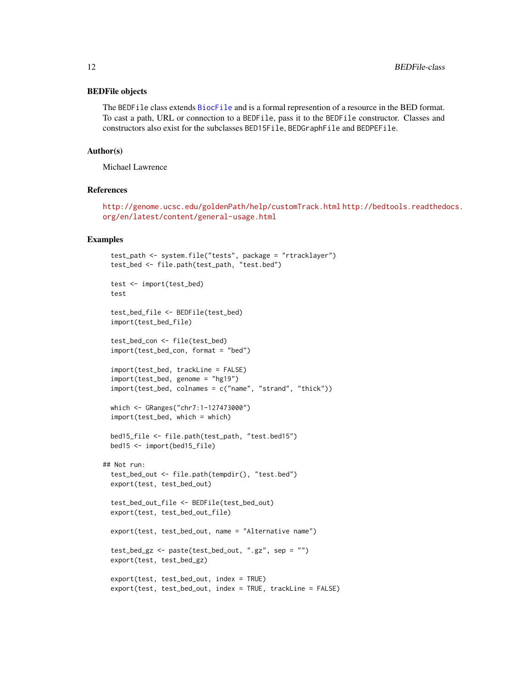#### BEDFile objects

The BEDFile class extends [BiocFile](#page-0-0) and is a formal represention of a resource in the BED format. To cast a path, URL or connection to a BEDFile, pass it to the BEDFile constructor. Classes and constructors also exist for the subclasses BED15File, BEDGraphFile and BEDPEFile.

#### Author(s)

Michael Lawrence

# References

<http://genome.ucsc.edu/goldenPath/help/customTrack.html> [http://bedtools.readthed](http://bedtools.readthedocs.org/en/latest/content/general-usage.html)ocs. [org/en/latest/content/general-usage.html](http://bedtools.readthedocs.org/en/latest/content/general-usage.html)

```
test_path <- system.file("tests", package = "rtracklayer")
 test_bed <- file.path(test_path, "test.bed")
 test <- import(test_bed)
 test
 test_bed_file <- BEDFile(test_bed)
 import(test_bed_file)
 test_bed_con <- file(test_bed)
 import(test_bed_con, format = "bed")
 import(test_bed, trackLine = FALSE)
 import(test_bed, genome = "hg19")
 import(test_bed, colnames = c("name", "strand", "thick"))
 which <- GRanges("chr7:1-127473000")
 import(test_bed, which = which)
 bed15_file <- file.path(test_path, "test.bed15")
 bed15 <- import(bed15_file)
## Not run:
 test_bed_out <- file.path(tempdir(), "test.bed")
 export(test, test_bed_out)
 test_bed_out_file <- BEDFile(test_bed_out)
 export(test, test_bed_out_file)
 export(test, test_bed_out, name = "Alternative name")
 test_bed_gz <- paste(test_bed_out, ".gz", sep = "")
 export(test, test_bed_gz)
 export(test, test_bed_out, index = TRUE)
 export(test, test_bed_out, index = TRUE, trackLine = FALSE)
```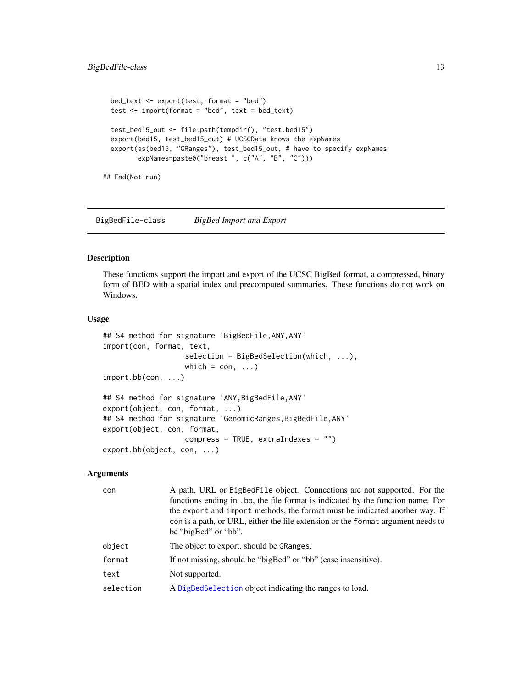```
bed_text <- export(test, format = "bed")
test <- import(format = "bed", text = bed_text)
test_bed15_out <- file.path(tempdir(), "test.bed15")
export(bed15, test_bed15_out) # UCSCData knows the expNames
export(as(bed15, "GRanges"), test_bed15_out, # have to specify expNames
       expNames=paste0("breast_", c("A", "B", "C")))
```
## End(Not run)

<span id="page-12-2"></span>BigBedFile-class *BigBed Import and Export*

# <span id="page-12-1"></span>Description

These functions support the import and export of the UCSC BigBed format, a compressed, binary form of BED with a spatial index and precomputed summaries. These functions do not work on Windows.

#### Usage

```
## S4 method for signature 'BigBedFile,ANY,ANY'
import(con, format, text,
                   selection = BigBedSelection(which, ...),
                   which = con, ...)
import.bb(con, ...)
## S4 method for signature 'ANY,BigBedFile,ANY'
export(object, con, format, ...)
## S4 method for signature 'GenomicRanges, BigBedFile, ANY'
export(object, con, format,
                   compress = TRUE, extraIndexes = "")
export.bb(object, con, ...)
```

| con       | A path, URL or BigBedFile object. Connections are not supported. For the<br>functions ending in .bb, the file format is indicated by the function name. For<br>the export and import methods, the format must be indicated another way. If<br>con is a path, or URL, either the file extension or the format argument needs to<br>be "bigBed" or "bb". |
|-----------|--------------------------------------------------------------------------------------------------------------------------------------------------------------------------------------------------------------------------------------------------------------------------------------------------------------------------------------------------------|
| object    | The object to export, should be GRanges.                                                                                                                                                                                                                                                                                                               |
| format    | If not missing, should be "bigBed" or "bb" (case insensitive).                                                                                                                                                                                                                                                                                         |
| text      | Not supported.                                                                                                                                                                                                                                                                                                                                         |
| selection | A BigBedSelection object indicating the ranges to load.                                                                                                                                                                                                                                                                                                |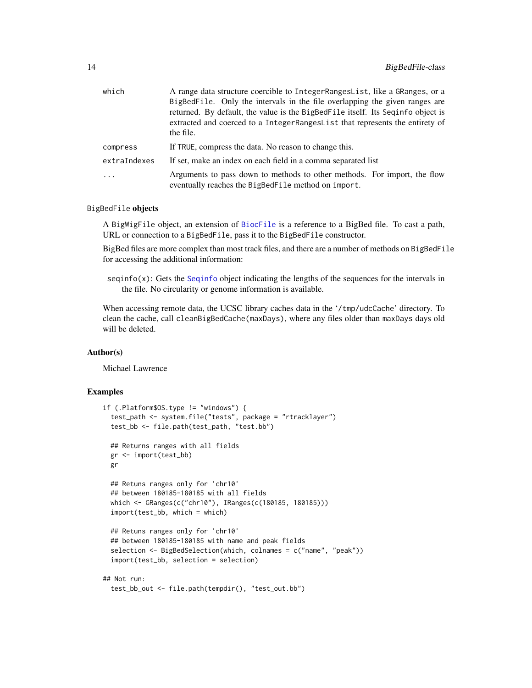| which                   | A range data structure coercible to Integer Ranges List, like a GRanges, or a                                                   |
|-------------------------|---------------------------------------------------------------------------------------------------------------------------------|
|                         | BigBedFile. Only the intervals in the file overlapping the given ranges are                                                     |
|                         | returned. By default, the value is the BigBedFile itself. Its Seqinfo object is                                                 |
|                         | extracted and coerced to a IntegerRangesList that represents the entirety of<br>the file.                                       |
| compress                | If TRUE, compress the data. No reason to change this.                                                                           |
| extraIndexes            | If set, make an index on each field in a comma separated list                                                                   |
| $\cdot$ $\cdot$ $\cdot$ | Arguments to pass down to methods to other methods. For import, the flow<br>eventually reaches the BigBedFile method on import. |

# BigBedFile objects

A BigWigFile object, an extension of [BiocFile](#page-0-0) is a reference to a BigBed file. To cast a path, URL or connection to a BigBedFile, pass it to the BigBedFile constructor.

BigBed files are more complex than most track files, and there are a number of methods on BigBedFile for accessing the additional information:

seqinfo(x): Gets the [Seqinfo](#page-0-0) object indicating the lengths of the sequences for the intervals in the file. No circularity or genome information is available.

When accessing remote data, the UCSC library caches data in the '/tmp/udcCache' directory. To clean the cache, call cleanBigBedCache(maxDays), where any files older than maxDays days old will be deleted.

#### Author(s)

Michael Lawrence

```
if (.Platform$OS.type != "windows") {
  test_path <- system.file("tests", package = "rtracklayer")
 test_bb <- file.path(test_path, "test.bb")
 ## Returns ranges with all fields
 gr <- import(test_bb)
 gr
 ## Retuns ranges only for 'chr10'
 ## between 180185-180185 with all fields
 which <- GRanges(c("chr10"), IRanges(c(180185, 180185)))
 import(test_bb, which = which)
 ## Retuns ranges only for 'chr10'
 ## between 180185-180185 with name and peak fields
 selection <- BigBedSelection(which, colnames = c("name", "peak"))
  import(test_bb, selection = selection)
## Not run:
 test_bb_out <- file.path(tempdir(), "test_out.bb")
```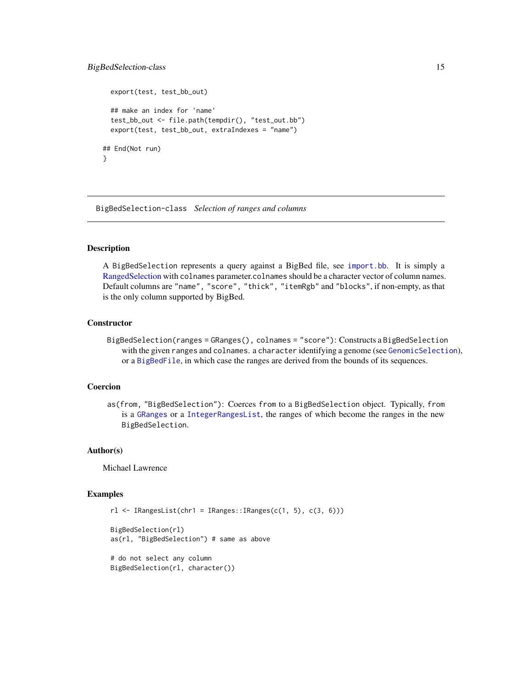# <span id="page-14-0"></span>BigBedSelection-class 15

```
export(test, test_bb_out)
 ## make an index for 'name'
 test_bb_out <- file.path(tempdir(), "test_out.bb")
 export(test, test_bb_out, extraIndexes = "name")
## End(Not run)
}
```
<span id="page-14-1"></span>BigBedSelection-class *Selection of ranges and columns*

# **Description**

A BigBedSelection represents a query against a BigBed file, see [import.bb](#page-12-1). It is simply a [RangedSelection](#page-0-0) with colnames parameter.colnames should be a character vector of column names. Default columns are "name", "score", "thick", "itemRgb" and "blocks", if non-empty, as that is the only column supported by BigBed.

#### **Constructor**

BigBedSelection(ranges = GRanges(), colnames = "score"): Constructs a BigBedSelection with the given ranges and colnames. a character identifying a genome (see [GenomicSelection](#page-30-1)), or a [BigBedFile](#page-12-2), in which case the ranges are derived from the bounds of its sequences.

# Coercion

as(from, "BigBedSelection"): Coerces from to a BigBedSelection object. Typically, from is a [GRanges](#page-0-0) or a [IntegerRangesList](#page-0-0), the ranges of which become the ranges in the new BigBedSelection.

#### Author(s)

Michael Lawrence

```
rl <- IRangesList(chr1 = IRanges::IRanges(c(1, 5), c(3, 6)))
```

```
BigBedSelection(rl)
as(rl, "BigBedSelection") # same as above
```

```
# do not select any column
BigBedSelection(rl, character())
```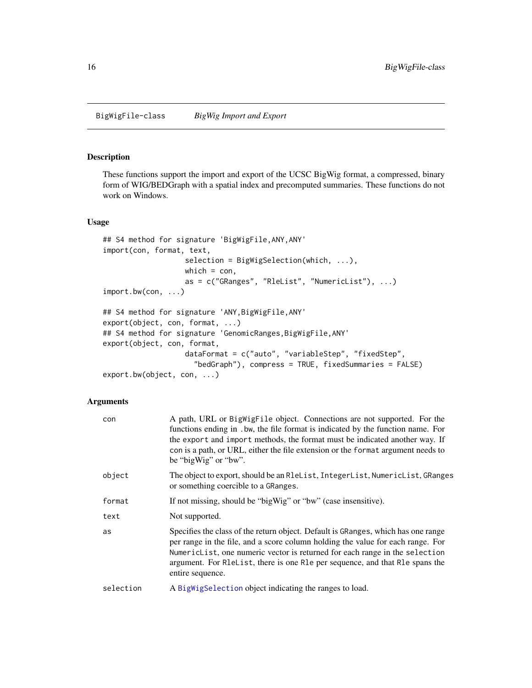# <span id="page-15-2"></span><span id="page-15-1"></span><span id="page-15-0"></span>Description

These functions support the import and export of the UCSC BigWig format, a compressed, binary form of WIG/BEDGraph with a spatial index and precomputed summaries. These functions do not work on Windows.

#### Usage

```
## S4 method for signature 'BigWigFile,ANY,ANY'
import(con, format, text,
                   selection = BigWigSelection(which, ...),
                   which = con,
                   as = c("GRanges", "RleList", "NumericList"), ...)
import.bw(con, ...)
## S4 method for signature 'ANY,BigWigFile,ANY'
export(object, con, format, ...)
## S4 method for signature 'GenomicRanges, BigWigFile, ANY'
export(object, con, format,
                   dataFormat = c("auto", "variableStep", "fixedStep",
                     "bedGraph"), compress = TRUE, fixedSummaries = FALSE)
export.bw(object, con, ...)
```

| con       | A path, URL or BigWigFile object. Connections are not supported. For the<br>functions ending in . bw, the file format is indicated by the function name. For<br>the export and import methods, the format must be indicated another way. If<br>con is a path, or URL, either the file extension or the format argument needs to<br>be "bigWig" or "bw".                                   |
|-----------|-------------------------------------------------------------------------------------------------------------------------------------------------------------------------------------------------------------------------------------------------------------------------------------------------------------------------------------------------------------------------------------------|
| object    | The object to export, should be an R1eList, IntegerList, NumericList, GRanges<br>or something coercible to a GRanges.                                                                                                                                                                                                                                                                     |
| format    | If not missing, should be "bigWig" or "bw" (case insensitive).                                                                                                                                                                                                                                                                                                                            |
| text      | Not supported.                                                                                                                                                                                                                                                                                                                                                                            |
| as        | Specifies the class of the return object. Default is GRanges, which has one range<br>per range in the file, and a score column holding the value for each range. For<br>NumericList, one numeric vector is returned for each range in the selection<br>argument. For Release, there is one Repeat and that Research that Research and that Research and that Research<br>entire sequence. |
| selection | A BigWigSelection object indicating the ranges to load.                                                                                                                                                                                                                                                                                                                                   |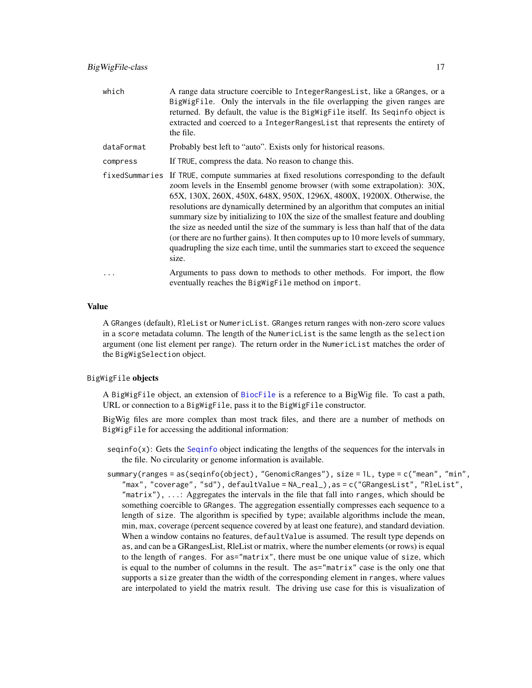| which          | A range data structure coercible to IntegerRangesList, like a GRanges, or a<br>BigWigFile. Only the intervals in the file overlapping the given ranges are<br>returned. By default, the value is the BigWigFile itself. Its Seqinfo object is<br>extracted and coerced to a IntegerRangesList that represents the entirety of<br>the file.                                                                                                                                                                                                                                                                                                                                             |
|----------------|----------------------------------------------------------------------------------------------------------------------------------------------------------------------------------------------------------------------------------------------------------------------------------------------------------------------------------------------------------------------------------------------------------------------------------------------------------------------------------------------------------------------------------------------------------------------------------------------------------------------------------------------------------------------------------------|
| dataFormat     | Probably best left to "auto". Exists only for historical reasons.                                                                                                                                                                                                                                                                                                                                                                                                                                                                                                                                                                                                                      |
| compress       | If TRUE, compress the data. No reason to change this.                                                                                                                                                                                                                                                                                                                                                                                                                                                                                                                                                                                                                                  |
| fixedSummaries | If TRUE, compute summaries at fixed resolutions corresponding to the default<br>zoom levels in the Ensembl genome browser (with some extrapolation): 30X,<br>65X, 130X, 260X, 450X, 648X, 950X, 1296X, 4800X, 19200X. Otherwise, the<br>resolutions are dynamically determined by an algorithm that computes an initial<br>summary size by initializing to 10X the size of the smallest feature and doubling<br>the size as needed until the size of the summary is less than half that of the data<br>(or there are no further gains). It then computes up to 10 more levels of summary,<br>quadrupling the size each time, until the summaries start to exceed the sequence<br>size. |

... Arguments to pass down to methods to other methods. For import, the flow eventually reaches the BigWigFile method on import.

#### Value

A GRanges (default), RleList or NumericList. GRanges return ranges with non-zero score values in a score metadata column. The length of the NumericList is the same length as the selection argument (one list element per range). The return order in the NumericList matches the order of the BigWigSelection object.

#### BigWigFile objects

A BigWigFile object, an extension of [BiocFile](#page-0-0) is a reference to a BigWig file. To cast a path, URL or connection to a BigWigFile, pass it to the BigWigFile constructor.

BigWig files are more complex than most track files, and there are a number of methods on BigWigFile for accessing the additional information:

- $seqinfo(x)$ : Gets the [Seqinfo](#page-0-0) object indicating the lengths of the sequences for the intervals in the file. No circularity or genome information is available.
- summary(ranges = as(seqinfo(object), "GenomicRanges"), size = 1L, type = c("mean", "min", "max", "coverage", "sd"), defaultValue = NA\_real\_),as = c("GRangesList", "RleList", "matrix"),  $\dots$ : Aggregates the intervals in the file that fall into ranges, which should be something coercible to GRanges. The aggregation essentially compresses each sequence to a length of size. The algorithm is specified by type; available algorithms include the mean, min, max, coverage (percent sequence covered by at least one feature), and standard deviation. When a window contains no features, default Value is assumed. The result type depends on as, and can be a GRangesList, RleList or matrix, where the number elements (or rows) is equal to the length of ranges. For as="matrix", there must be one unique value of size, which is equal to the number of columns in the result. The as="matrix" case is the only one that supports a size greater than the width of the corresponding element in ranges, where values are interpolated to yield the matrix result. The driving use case for this is visualization of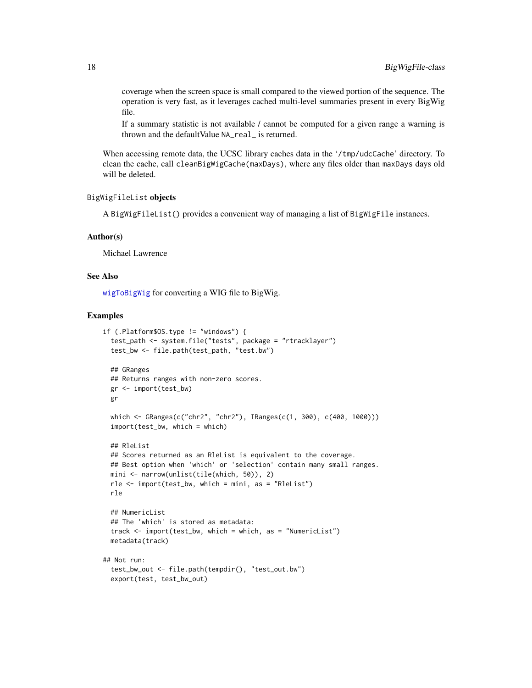coverage when the screen space is small compared to the viewed portion of the sequence. The operation is very fast, as it leverages cached multi-level summaries present in every BigWig file.

If a summary statistic is not available / cannot be computed for a given range a warning is thrown and the defaultValue NA\_real\_ is returned.

When accessing remote data, the UCSC library caches data in the '/tmp/udcCache' directory. To clean the cache, call cleanBigWigCache(maxDays), where any files older than maxDays days old will be deleted.

#### BigWigFileList objects

A BigWigFileList() provides a convenient way of managing a list of BigWigFile instances.

#### Author(s)

Michael Lawrence

# See Also

[wigToBigWig](#page-69-1) for converting a WIG file to BigWig.

```
if (.Platform$OS.type != "windows") {
 test_path <- system.file("tests", package = "rtracklayer")
 test_bw <- file.path(test_path, "test.bw")
 ## GRanges
 ## Returns ranges with non-zero scores.
 gr <- import(test_bw)
 gr
 which <- GRanges(c("chr2", "chr2"), IRanges(c(1, 300), c(400, 1000)))
 import(test_bw, which = which)
 ## RleList
 ## Scores returned as an RleList is equivalent to the coverage.
 ## Best option when 'which' or 'selection' contain many small ranges.
 mini <- narrow(unlist(tile(which, 50)), 2)
 rle \le import(test_bw, which = mini, as = "RleList")
 rle
 ## NumericList
 ## The 'which' is stored as metadata:
 track <- import(test_bw, which = which, as = "NumericList")
 metadata(track)
## Not run:
 test_bw_out <- file.path(tempdir(), "test_out.bw")
 export(test, test_bw_out)
```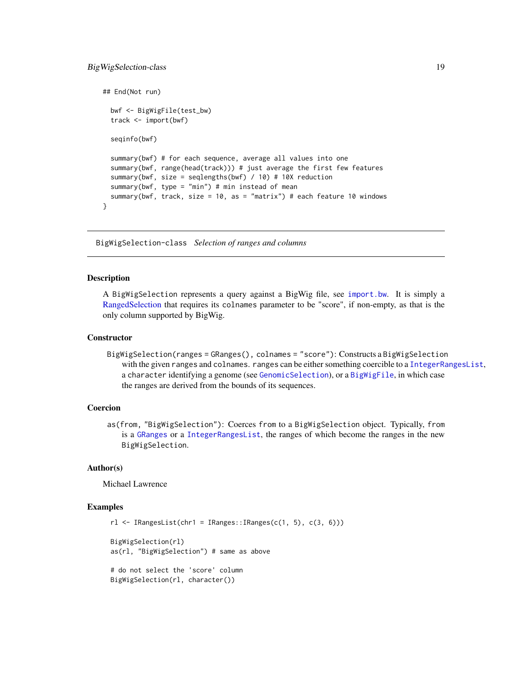# <span id="page-18-0"></span>BigWigSelection-class 19

```
## End(Not run)
 bwf <- BigWigFile(test_bw)
 track <- import(bwf)
 seqinfo(bwf)
 summary(bwf) # for each sequence, average all values into one
 summary(bwf, range(head(track))) # just average the first few features
 summary(bwf, size = seqlengths(bwf) / 10) # 10X reduction
 summary(bwf, type = "min") # min instead of mean
 summary(bwf, track, size = 10, as = "matrix") # each feature 10 windows
}
```
<span id="page-18-1"></span>BigWigSelection-class *Selection of ranges and columns*

# <span id="page-18-2"></span>Description

A BigWigSelection represents a query against a BigWig file, see [import.bw](#page-15-1). It is simply a [RangedSelection](#page-0-0) that requires its colnames parameter to be "score", if non-empty, as that is the only column supported by BigWig.

#### **Constructor**

BigWigSelection(ranges = GRanges(), colnames = "score"): Constructs a BigWigSelection with the given ranges and colnames. ranges can be either something coercible to a [IntegerRangesList](#page-0-0), a character identifying a genome (see [GenomicSelection](#page-30-1)), or a [BigWigFile](#page-15-2), in which case the ranges are derived from the bounds of its sequences.

#### Coercion

as(from, "BigWigSelection"): Coerces from to a BigWigSelection object. Typically, from is a [GRanges](#page-0-0) or a [IntegerRangesList](#page-0-0), the ranges of which become the ranges in the new BigWigSelection.

# Author(s)

Michael Lawrence

```
r1 \leftarrow IRangesList(chr1 = IRanges::IRanges(c(1, 5), c(3, 6)))
BigWigSelection(rl)
as(rl, "BigWigSelection") # same as above
# do not select the 'score' column
BigWigSelection(rl, character())
```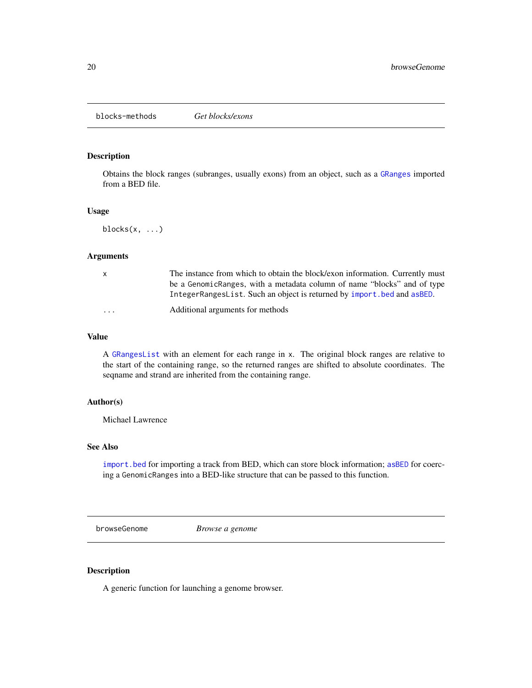<span id="page-19-0"></span>blocks-methods *Get blocks/exons*

# Description

Obtains the block ranges (subranges, usually exons) from an object, such as a [GRanges](#page-0-0) imported from a BED file.

# Usage

blocks(x, ...)

#### Arguments

| X | The instance from which to obtain the block/exon information. Currently must<br>be a GenomicRanges, with a metadata column of name "blocks" and of type |
|---|---------------------------------------------------------------------------------------------------------------------------------------------------------|
|   | IntegerRangesList. Such an object is returned by import. bed and as BED.                                                                                |
| . | Additional arguments for methods                                                                                                                        |

# Value

A [GRangesList](#page-0-0) with an element for each range in x. The original block ranges are relative to the start of the containing range, so the returned ranges are shifted to absolute coordinates. The seqname and strand are inherited from the containing range.

# Author(s)

Michael Lawrence

# See Also

[import.bed](#page-7-1) for importing a track from BED, which can store block information; [asBED](#page-2-1) for coercing a GenomicRanges into a BED-like structure that can be passed to this function.

<span id="page-19-1"></span>browseGenome *Browse a genome*

# Description

A generic function for launching a genome browser.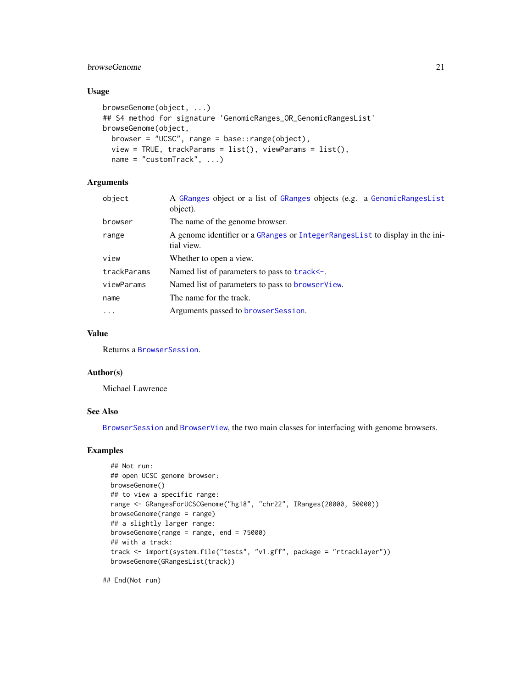# browseGenome 21

# Usage

```
browseGenome(object, ...)
## S4 method for signature 'GenomicRanges_OR_GenomicRangesList'
browseGenome(object,
 browser = "UCSC", range = base::range(object),
 view = TRUE, trackParams = list(), viewParams = list(),name = "customTrack", ...)
```
# Arguments

| object      | A GRanges object or a list of GRanges objects (e.g. a GenomicRangesList<br>object).          |
|-------------|----------------------------------------------------------------------------------------------|
| browser     | The name of the genome browser.                                                              |
| range       | A genome identifier or a GRanges or Integer Ranges List to display in the ini-<br>tial view. |
| view        | Whether to open a view.                                                                      |
| trackParams | Named list of parameters to pass to track <-.                                                |
| viewParams  | Named list of parameters to pass to browserView.                                             |
| name        | The name for the track.                                                                      |
| $\cdots$    | Arguments passed to browser Session.                                                         |
|             |                                                                                              |

# Value

Returns a [BrowserSession](#page-21-1).

# Author(s)

Michael Lawrence

# See Also

[BrowserSession](#page-21-1) and [BrowserView](#page-22-1), the two main classes for interfacing with genome browsers.

# Examples

```
## Not run:
## open UCSC genome browser:
browseGenome()
## to view a specific range:
range <- GRangesForUCSCGenome("hg18", "chr22", IRanges(20000, 50000))
browseGenome(range = range)
## a slightly larger range:
browseGenome(range = range, end = 75000)
## with a track:
track <- import(system.file("tests", "v1.gff", package = "rtracklayer"))
browseGenome(GRangesList(track))
```
## End(Not run)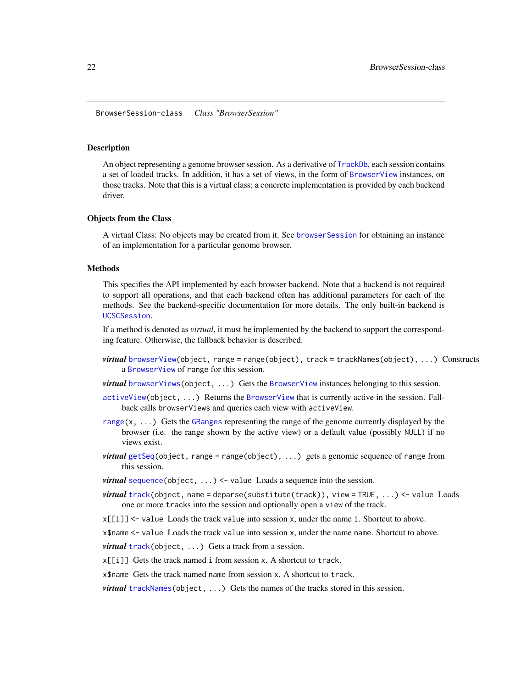<span id="page-21-1"></span><span id="page-21-0"></span>BrowserSession-class *Class "BrowserSession"*

#### Description

An object representing a genome browser session. As a derivative of [TrackDb](#page-47-1), each session contains a set of loaded tracks. In addition, it has a set of views, in the form of [BrowserView](#page-22-1) instances, on those tracks. Note that this is a virtual class; a concrete implementation is provided by each backend driver.

# Objects from the Class

A virtual Class: No objects may be created from it. See [browserSession](#page-22-2) for obtaining an instance of an implementation for a particular genome browser.

#### Methods

This specifies the API implemented by each browser backend. Note that a backend is not required to support all operations, and that each backend often has additional parameters for each of the methods. See the backend-specific documentation for more details. The only built-in backend is [UCSCSession](#page-59-1).

If a method is denoted as *virtual*, it must be implemented by the backend to support the corresponding feature. Otherwise, the fallback behavior is described.

- virtual [browserView\(](#page-23-1)object, range = range(object), track = trackNames(object), ...) Constructs a [BrowserView](#page-22-1) of range for this session.
- *virtual* [browserViews\(](#page-25-1)object, ...) Gets the [BrowserView](#page-22-1) instances belonging to this session.
- [activeView\(](#page-2-2)object, ...) Returns the [BrowserView](#page-22-1) that is currently active in the session. Fallback calls browserViews and queries each view with activeView.
- [range\(](#page-0-0) $x, \ldots$ ) Gets the [GRanges](#page-0-0) representing the range of the genome currently displayed by the browser (i.e. the range shown by the active view) or a default value (possibly NULL) if no views exist.
- *virtual* [getSeq\(](#page-0-0)object, range = range(object), ...) gets a genomic sequence of range from this session.
- *virtual* [sequence\(](#page-44-1)object, ...) <- value Loads a sequence into the session.
- *virtual* [track\(](#page-46-1)object, name = deparse(substitute(track)), view = TRUE, ...) <- value Loads one or more tracks into the session and optionally open a view of the track.
- $x[[i]]$  <- value Loads the track value into session x, under the name i. Shortcut to above.

x\$name <- value Loads the track value into session x, under the name name. Shortcut to above.

*virtual* [track\(](#page-60-1)object, ...) Gets a track from a session.

 $x[[i]]$  Gets the track named i from session x. A shortcut to track.

x\$name Gets the track named name from session x. A shortcut to track.

*virtual* [trackNames\(](#page-52-1)object, ...) Gets the names of the tracks stored in this session.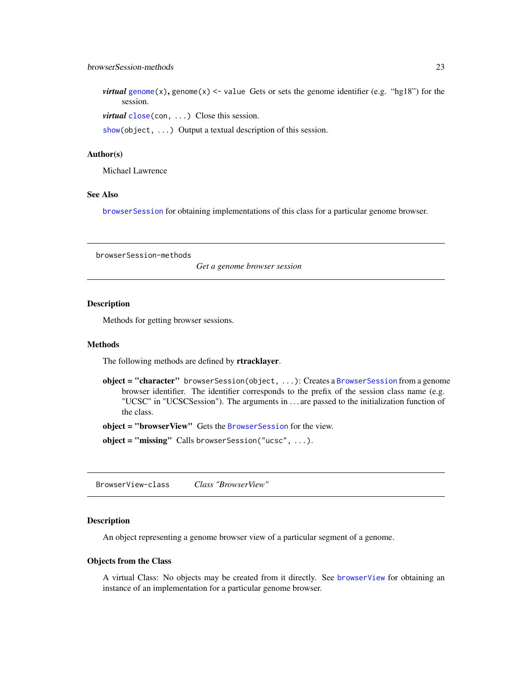# <span id="page-22-0"></span>browserSession-methods 23

*virtual* [genome\(](#page-0-0)x), genome(x)  $\le$  value Gets or sets the genome identifier (e.g. "hg18") for the session.

*virtual* [close\(](#page-0-0)con, ...) Close this session.

[show\(](#page-0-0)object, ...) Output a textual description of this session.

# Author(s)

Michael Lawrence

#### See Also

[browserSession](#page-22-2) for obtaining implementations of this class for a particular genome browser.

browserSession-methods

*Get a genome browser session*

#### <span id="page-22-2"></span>Description

Methods for getting browser sessions.

#### Methods

The following methods are defined by rtracklayer.

object = "character" browserSession(object, ...): Creates a [BrowserSession](#page-21-1) from a genome browser identifier. The identifier corresponds to the prefix of the session class name (e.g. "UCSC" in "UCSCSession"). The arguments in . . . are passed to the initialization function of the class.

object = "browserView" Gets the [BrowserSession](#page-21-1) for the view.

object = "missing" Calls browserSession("ucsc", ...).

<span id="page-22-1"></span>BrowserView-class *Class "BrowserView"*

#### Description

An object representing a genome browser view of a particular segment of a genome.

#### Objects from the Class

A virtual Class: No objects may be created from it directly. See [browserView](#page-23-1) for obtaining an instance of an implementation for a particular genome browser.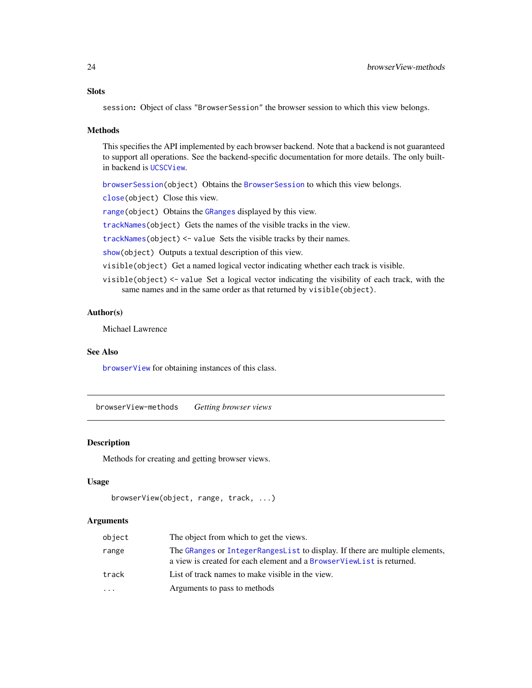# <span id="page-23-0"></span>**Slots**

session: Object of class "BrowserSession" the browser session to which this view belongs.

#### Methods

This specifies the API implemented by each browser backend. Note that a backend is not guaranteed to support all operations. See the backend-specific documentation for more details. The only builtin backend is [UCSCView](#page-65-1).

[browserSession\(](#page-22-2)object) Obtains the [BrowserSession](#page-21-1) to which this view belongs.

[close\(](#page-0-0)object) Close this view.

[range\(](#page-0-0)object) Obtains the [GRanges](#page-0-0) displayed by this view.

[trackNames\(](#page-52-1)object) Gets the names of the visible tracks in the view.

[trackNames\(](#page-52-1)object) <- value Sets the visible tracks by their names.

[show\(](#page-0-0)object) Outputs a textual description of this view.

visible(object) Get a named logical vector indicating whether each track is visible.

visible(object) <- value Set a logical vector indicating the visibility of each track, with the same names and in the same order as that returned by visible(object).

#### Author(s)

Michael Lawrence

#### See Also

[browserView](#page-23-1) for obtaining instances of this class.

browserView-methods *Getting browser views*

#### <span id="page-23-1"></span>Description

Methods for creating and getting browser views.

# Usage

```
browserView(object, range, track, ...)
```

| object    | The object from which to get the views.                                                                                                               |
|-----------|-------------------------------------------------------------------------------------------------------------------------------------------------------|
| range     | The GRanges or IntegerRangesList to display. If there are multiple elements,<br>a view is created for each element and a BrowserViewList is returned. |
| track     | List of track names to make visible in the view.                                                                                                      |
| $\ddotsc$ | Arguments to pass to methods                                                                                                                          |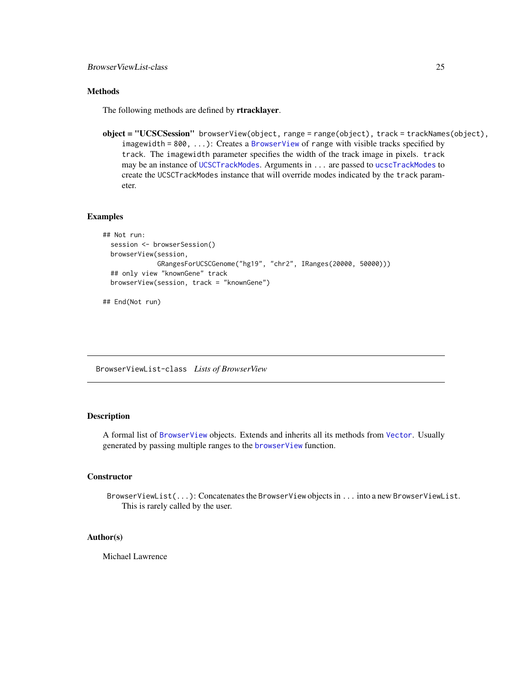# <span id="page-24-0"></span>Methods

The following methods are defined by rtracklayer.

object = "UCSCSession" browserView(object, range = range(object), track = trackNames(object), imagewidth =  $800, ...$ ): Creates a [BrowserView](#page-22-1) of range with visible tracks specified by track. The imagewidth parameter specifies the width of the track image in pixels. track may be an instance of [UCSCTrackModes](#page-63-1). Arguments in ... are passed to [ucscTrackModes](#page-64-1) to create the UCSCTrackModes instance that will override modes indicated by the track parameter.

# Examples

```
## Not run:
 session <- browserSession()
 browserView(session,
             GRangesForUCSCGenome("hg19", "chr2", IRanges(20000, 50000)))
 ## only view "knownGene" track
 browserView(session, track = "knownGene")
```
## End(Not run)

<span id="page-24-1"></span>BrowserViewList-class *Lists of BrowserView*

# **Description**

A formal list of [BrowserView](#page-22-1) objects. Extends and inherits all its methods from [Vector](#page-0-0). Usually generated by passing multiple ranges to the [browserView](#page-23-1) function.

#### **Constructor**

BrowserViewList(...): Concatenates the BrowserView objects in ... into a new BrowserViewList. This is rarely called by the user.

# Author(s)

Michael Lawrence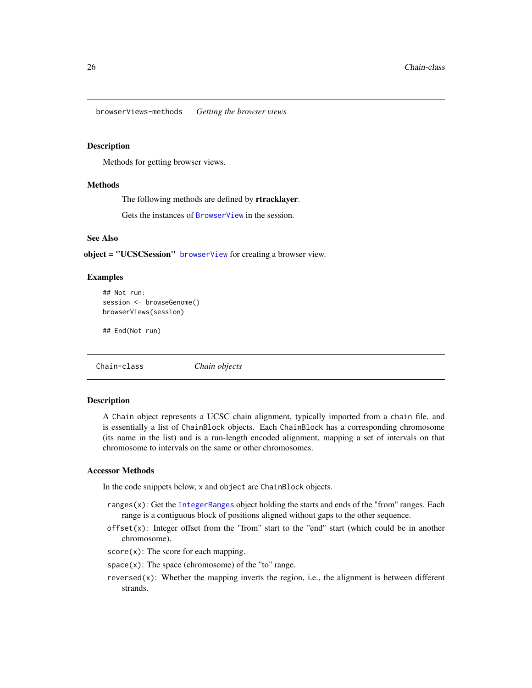<span id="page-25-0"></span>browserViews-methods *Getting the browser views*

#### <span id="page-25-1"></span>Description

Methods for getting browser views.

#### Methods

The following methods are defined by rtracklayer.

Gets the instances of [BrowserView](#page-22-1) in the session.

# See Also

object = "UCSCSession" [browserView](#page-23-1) for creating a browser view.

# Examples

```
## Not run:
session <- browseGenome()
browserViews(session)
```
## End(Not run)

Chain-class *Chain objects*

# **Description**

A Chain object represents a UCSC chain alignment, typically imported from a chain file, and is essentially a list of ChainBlock objects. Each ChainBlock has a corresponding chromosome (its name in the list) and is a run-length encoded alignment, mapping a set of intervals on that chromosome to intervals on the same or other chromosomes.

# Accessor Methods

In the code snippets below, x and object are ChainBlock objects.

- ranges $(x)$ : Get the [IntegerRanges](#page-0-0) object holding the starts and ends of the "from" ranges. Each range is a contiguous block of positions aligned without gaps to the other sequence.
- offset $(x)$ : Integer offset from the "from" start to the "end" start (which could be in another chromosome).

 $score(x)$ : The score for each mapping.

- $space(x)$ : The space (chromosome) of the "to" range.
- reversed $(x)$ : Whether the mapping inverts the region, i.e., the alignment is between different strands.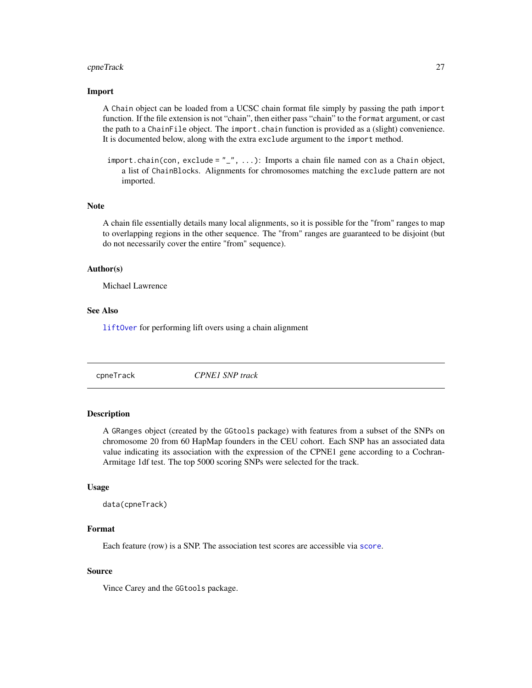#### <span id="page-26-0"></span>cpneTrack 27

# Import

A Chain object can be loaded from a UCSC chain format file simply by passing the path import function. If the file extension is not "chain", then either pass "chain" to the format argument, or cast the path to a ChainFile object. The import.chain function is provided as a (slight) convenience. It is documented below, along with the extra exclude argument to the import method.

import.chain(con, exclude =  $"_", \ldots$ ): Imports a chain file named con as a Chain object, a list of ChainBlocks. Alignments for chromosomes matching the exclude pattern are not imported.

#### Note

A chain file essentially details many local alignments, so it is possible for the "from" ranges to map to overlapping regions in the other sequence. The "from" ranges are guaranteed to be disjoint (but do not necessarily cover the entire "from" sequence).

# Author(s)

Michael Lawrence

# See Also

[liftOver](#page-38-1) for performing lift overs using a chain alignment

cpneTrack *CPNE1 SNP track*

# Description

A GRanges object (created by the GGtools package) with features from a subset of the SNPs on chromosome 20 from 60 HapMap founders in the CEU cohort. Each SNP has an associated data value indicating its association with the expression of the CPNE1 gene according to a Cochran-Armitage 1df test. The top 5000 scoring SNPs were selected for the track.

#### Usage

```
data(cpneTrack)
```
#### Format

Each feature (row) is a SNP. The association test scores are accessible via [score](#page-0-0).

# Source

Vince Carey and the GGtools package.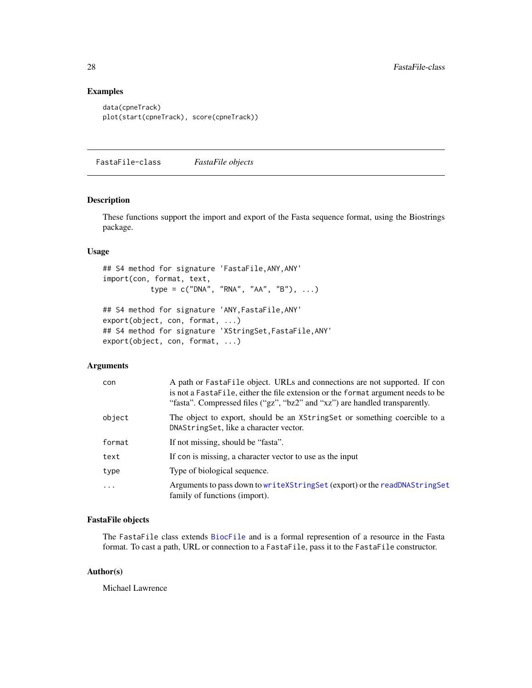# Examples

```
data(cpneTrack)
plot(start(cpneTrack), score(cpneTrack))
```
FastaFile-class *FastaFile objects*

# Description

These functions support the import and export of the Fasta sequence format, using the Biostrings package.

# Usage

```
## S4 method for signature 'FastaFile,ANY,ANY'
import(con, format, text,
           type = c("DNA", "RNA", "AA", "B"), ...)
## S4 method for signature 'ANY,FastaFile,ANY'
export(object, con, format, ...)
## S4 method for signature 'XStringSet,FastaFile,ANY'
export(object, con, format, ...)
```
# Arguments

| con        | A path or FastaFile object. URLs and connections are not supported. If con<br>is not a FastaFile, either the file extension or the format argument needs to be<br>"fasta". Compressed files ("gz", "bz2" and "xz") are handled transparently. |
|------------|-----------------------------------------------------------------------------------------------------------------------------------------------------------------------------------------------------------------------------------------------|
| object     | The object to export, should be an XString Set or something coercible to a<br>DNAString Set, like a character vector.                                                                                                                         |
| format     | If not missing, should be "fasta".                                                                                                                                                                                                            |
| text       | If con is missing, a character vector to use as the input                                                                                                                                                                                     |
| type       | Type of biological sequence.                                                                                                                                                                                                                  |
| $\ddots$ . | Arguments to pass down to write XString Set (export) or the read DNAString Set<br>family of functions (import).                                                                                                                               |

# FastaFile objects

The FastaFile class extends [BiocFile](#page-0-0) and is a formal represention of a resource in the Fasta format. To cast a path, URL or connection to a FastaFile, pass it to the FastaFile constructor.

#### Author(s)

Michael Lawrence

<span id="page-27-0"></span>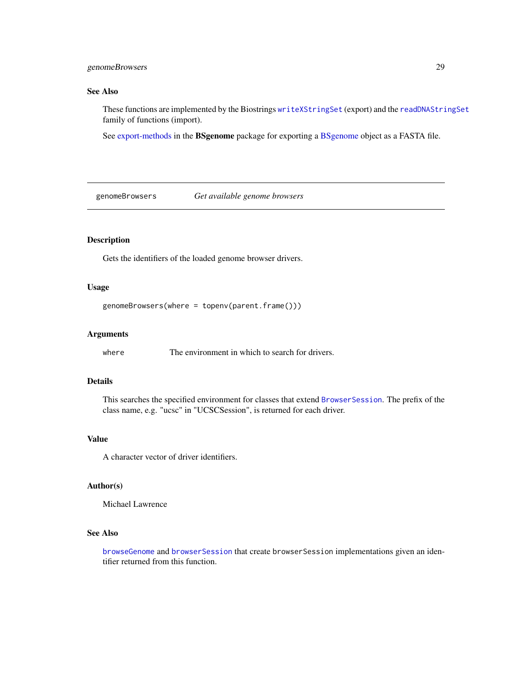# <span id="page-28-0"></span>genomeBrowsers 29

# See Also

These functions are implemented by the Biostrings [writeXStringSet](#page-0-0) (export) and the [readDNAStringSet](#page-0-0) family of functions (import).

See [export-methods](#page-0-0) in the BSgenome package for exporting a [BSgenome](#page-0-0) object as a FASTA file.

genomeBrowsers *Get available genome browsers*

# Description

Gets the identifiers of the loaded genome browser drivers.

# Usage

```
genomeBrowsers(where = topenv(parent.frame()))
```
# Arguments

where The environment in which to search for drivers.

### Details

This searches the specified environment for classes that extend [BrowserSession](#page-21-1). The prefix of the class name, e.g. "ucsc" in "UCSCSession", is returned for each driver.

# Value

A character vector of driver identifiers.

#### Author(s)

Michael Lawrence

# See Also

[browseGenome](#page-19-1) and [browserSession](#page-22-2) that create browserSession implementations given an identifier returned from this function.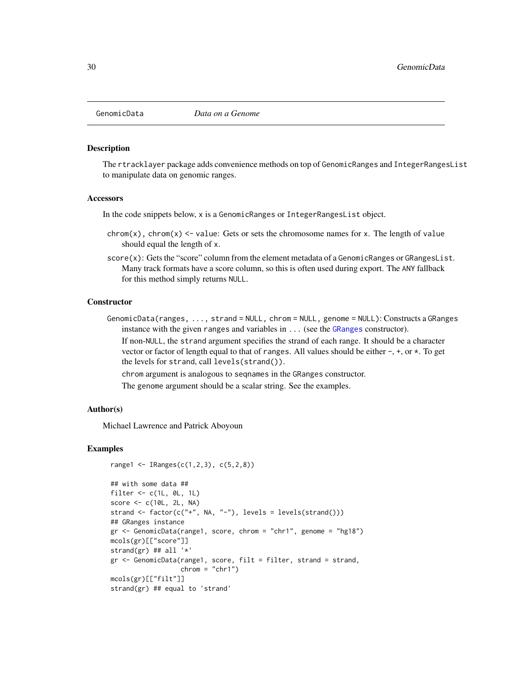<span id="page-29-0"></span>

#### Description

The rtracklayer package adds convenience methods on top of GenomicRanges and IntegerRangesList to manipulate data on genomic ranges.

#### Accessors

In the code snippets below, x is a GenomicRanges or IntegerRangesList object.

- chrom(x), chrom(x)  $\le$  value: Gets or sets the chromosome names for x. The length of value should equal the length of x.
- score(x): Gets the "score" column from the element metadata of a GenomicRanges or GRangesList. Many track formats have a score column, so this is often used during export. The ANY fallback for this method simply returns NULL.

#### **Constructor**

GenomicData(ranges, ..., strand = NULL, chrom = NULL, genome = NULL): Constructs a GRanges instance with the given ranges and variables in ... (see the [GRanges](#page-0-0) constructor).

If non-NULL, the strand argument specifies the strand of each range. It should be a character vector or factor of length equal to that of ranges. All values should be either -, +, or \*. To get the levels for strand, call levels(strand()).

chrom argument is analogous to seqnames in the GRanges constructor.

The genome argument should be a scalar string. See the examples.

#### Author(s)

Michael Lawrence and Patrick Aboyoun

```
range1 <- IRanges(c(1,2,3), c(5,2,8))
```

```
## with some data ##
filter \leq c(1L, 0L, 1L)
score <- c(10L, 2L, NA)
strand \leq factor(c("+", NA, "-"), levels = levels(strand()))
## GRanges instance
gr <- GenomicData(range1, score, chrom = "chr1", genome = "hg18")
mcols(gr)[["score"]]
strand(gr) ## all '*'
gr <- GenomicData(range1, score, filt = filter, strand = strand,
                  chrom = "chr1")
mcols(gr)[["filt"]]
strand(gr) ## equal to 'strand'
```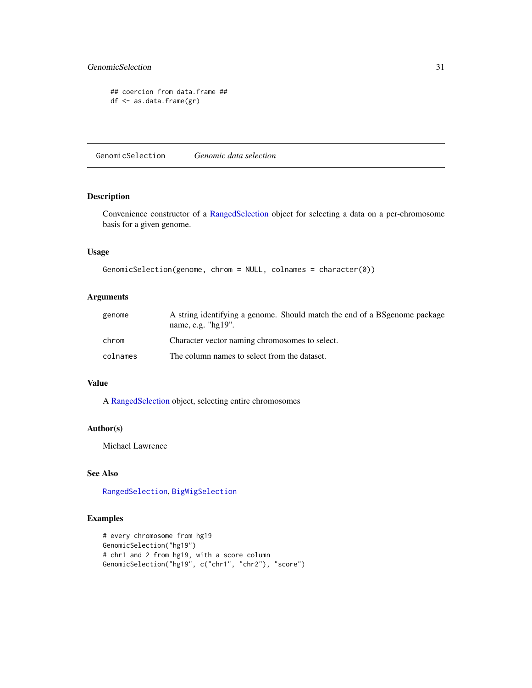# <span id="page-30-0"></span>GenomicSelection 31

```
## coercion from data.frame ##
df <- as.data.frame(gr)
```
<span id="page-30-1"></span>GenomicSelection *Genomic data selection*

# Description

Convenience constructor of a [RangedSelection](#page-0-0) object for selecting a data on a per-chromosome basis for a given genome.

# Usage

```
GenomicSelection(genome, chrom = NULL, colnames = character(0))
```
# Arguments

| genome   | A string identifying a genome. Should match the end of a BS genome package<br>name, e.g. $"$ hg $19"$ . |
|----------|---------------------------------------------------------------------------------------------------------|
| chrom    | Character vector naming chromosomes to select.                                                          |
| colnames | The column names to select from the dataset.                                                            |

# Value

A [RangedSelection](#page-0-0) object, selecting entire chromosomes

#### Author(s)

Michael Lawrence

# See Also

[RangedSelection](#page-0-0), [BigWigSelection](#page-18-2)

```
# every chromosome from hg19
GenomicSelection("hg19")
# chr1 and 2 from hg19, with a score column
GenomicSelection("hg19", c("chr1", "chr2"), "score")
```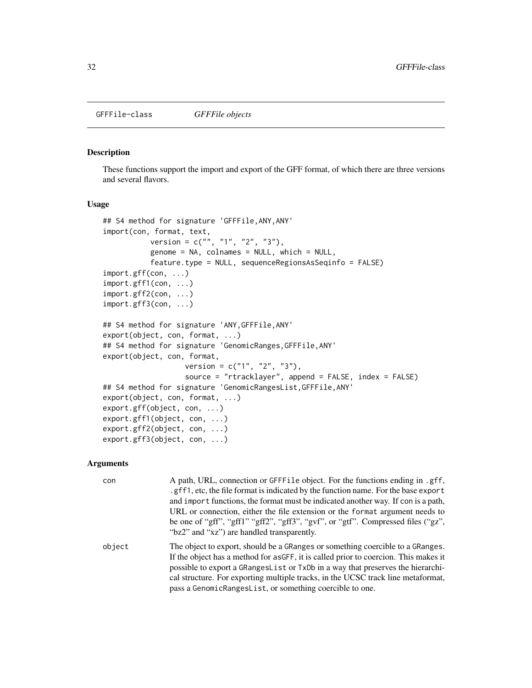# <span id="page-31-1"></span><span id="page-31-0"></span>Description

These functions support the import and export of the GFF format, of which there are three versions and several flavors.

# Usage

```
## S4 method for signature 'GFFFile,ANY,ANY'
import(con, format, text,
           version = c("", "1", "2", "3"),
           genome = NA, colnames = NULL, which = NULL,
           feature.type = NULL, sequenceRegionsAsSeqinfo = FALSE)
import.gff(con, ...)
import.gff1(con, ...)
import.gff2(con, ...)
import.gff3(con, ...)
## S4 method for signature 'ANY,GFFFile,ANY'
export(object, con, format, ...)
## S4 method for signature 'GenomicRanges,GFFFile,ANY'
export(object, con, format,
                   version = c("1", "2", "3"),
                   source = "rtracklayer", append = FALSE, index = FALSE)
## S4 method for signature 'GenomicRangesList,GFFFile,ANY'
export(object, con, format, ...)
export.gff(object, con, ...)
export.gff1(object, con, ...)
export.gff2(object, con, ...)
export.gff3(object, con, ...)
```

| con    | A path, URL, connection or GFFFile object. For the functions ending in .gff,<br>.gff1, etc, the file format is indicated by the function name. For the base export<br>and import functions, the format must be indicated another way. If con is a path,<br>URL or connection, either the file extension or the format argument needs to<br>be one of "gff", "gff1" "gff2", "gff3", "gvf", or "gtf". Compressed files ("gz",<br>"bz2" and "xz") are handled transparently. |
|--------|---------------------------------------------------------------------------------------------------------------------------------------------------------------------------------------------------------------------------------------------------------------------------------------------------------------------------------------------------------------------------------------------------------------------------------------------------------------------------|
| object | The object to export, should be a GRanges or something coercible to a GRanges.<br>If the object has a method for as GFF, it is called prior to coercion. This makes it<br>possible to export a GRange slat or TxDb in a way that preserves the hierarchi-<br>cal structure. For exporting multiple tracks, in the UCSC track line metaformat,<br>pass a GenomicRangesList, or something coercible to one.                                                                 |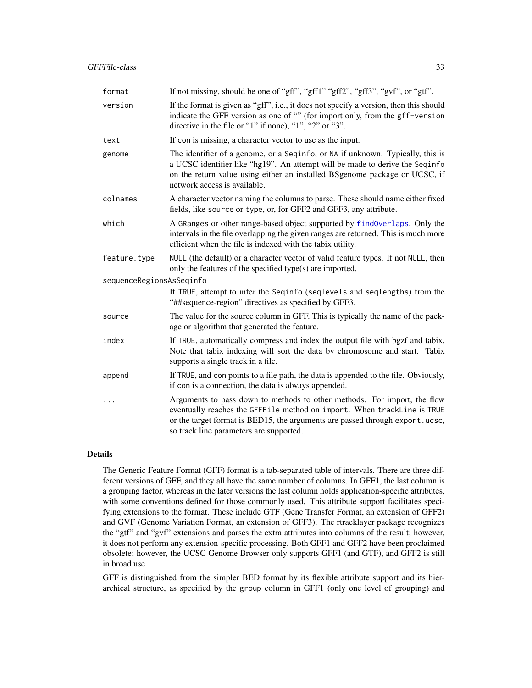| format                   | If not missing, should be one of "gff", "gff1" "gff2", "gff3", "gvf", or "gtf".                                                                                                                                                                                                |
|--------------------------|--------------------------------------------------------------------------------------------------------------------------------------------------------------------------------------------------------------------------------------------------------------------------------|
| version                  | If the format is given as "gff", i.e., it does not specify a version, then this should<br>indicate the GFF version as one of "" (for import only, from the gff-version<br>directive in the file or "1" if none), "1", "2" or "3".                                              |
| text                     | If con is missing, a character vector to use as the input.                                                                                                                                                                                                                     |
| genome                   | The identifier of a genome, or a Seqinfo, or NA if unknown. Typically, this is<br>a UCSC identifier like "hg19". An attempt will be made to derive the Seqinfo<br>on the return value using either an installed BSgenome package or UCSC, if<br>network access is available.   |
| colnames                 | A character vector naming the columns to parse. These should name either fixed<br>fields, like source or type, or, for GFF2 and GFF3, any attribute.                                                                                                                           |
| which                    | A GRanges or other range-based object supported by findOverlaps. Only the<br>intervals in the file overlapping the given ranges are returned. This is much more<br>efficient when the file is indexed with the tabix utility.                                                  |
| feature.type             | NULL (the default) or a character vector of valid feature types. If not NULL, then<br>only the features of the specified type(s) are imported.                                                                                                                                 |
| sequenceRegionsAsSeqinfo |                                                                                                                                                                                                                                                                                |
|                          | If TRUE, attempt to infer the Seqinfo (seqlevels and seqlengths) from the<br>"##sequence-region" directives as specified by GFF3.                                                                                                                                              |
| source                   | The value for the source column in GFF. This is typically the name of the pack-<br>age or algorithm that generated the feature.                                                                                                                                                |
| index                    | If TRUE, automatically compress and index the output file with bgzf and tabix.<br>Note that tabix indexing will sort the data by chromosome and start. Tabix<br>supports a single track in a file.                                                                             |
| append                   | If TRUE, and con points to a file path, the data is appended to the file. Obviously,<br>if con is a connection, the data is always appended.                                                                                                                                   |
|                          | Arguments to pass down to methods to other methods. For import, the flow<br>eventually reaches the GFFFile method on import. When trackLine is TRUE<br>or the target format is BED15, the arguments are passed through export.ucsc,<br>so track line parameters are supported. |

#### Details

The Generic Feature Format (GFF) format is a tab-separated table of intervals. There are three different versions of GFF, and they all have the same number of columns. In GFF1, the last column is a grouping factor, whereas in the later versions the last column holds application-specific attributes, with some conventions defined for those commonly used. This attribute support facilitates specifying extensions to the format. These include GTF (Gene Transfer Format, an extension of GFF2) and GVF (Genome Variation Format, an extension of GFF3). The rtracklayer package recognizes the "gtf" and "gvf" extensions and parses the extra attributes into columns of the result; however, it does not perform any extension-specific processing. Both GFF1 and GFF2 have been proclaimed obsolete; however, the UCSC Genome Browser only supports GFF1 (and GTF), and GFF2 is still in broad use.

GFF is distinguished from the simpler BED format by its flexible attribute support and its hierarchical structure, as specified by the group column in GFF1 (only one level of grouping) and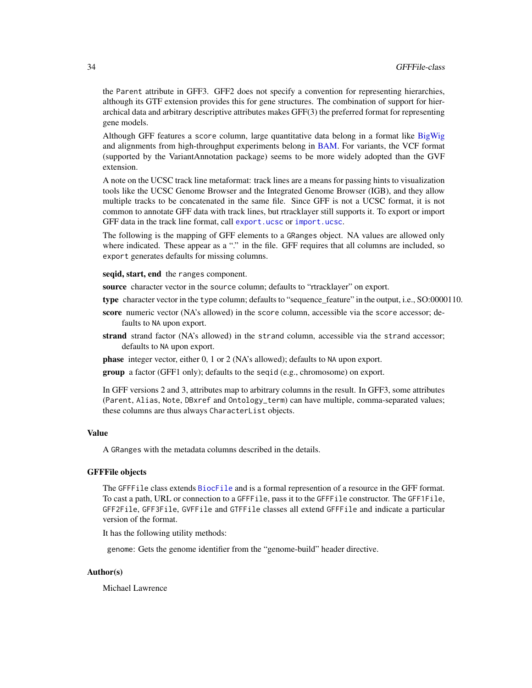the Parent attribute in GFF3. GFF2 does not specify a convention for representing hierarchies, although its GTF extension provides this for gene structures. The combination of support for hierarchical data and arbitrary descriptive attributes makes GFF(3) the preferred format for representing gene models.

Although GFF features a score column, large quantitative data belong in a format like [BigWig](#page-15-1) and alignments from high-throughput experiments belong in [BAM.](#page-0-0) For variants, the VCF format (supported by the VariantAnnotation package) seems to be more widely adopted than the GVF extension.

A note on the UCSC track line metaformat: track lines are a means for passing hints to visualization tools like the UCSC Genome Browser and the Integrated Genome Browser (IGB), and they allow multiple tracks to be concatenated in the same file. Since GFF is not a UCSC format, it is not common to annotate GFF data with track lines, but rtracklayer still supports it. To export or import GFF data in the track line format, call [export.ucsc](#page-55-1) or [import.ucsc](#page-55-1).

The following is the mapping of GFF elements to a GRanges object. NA values are allowed only where indicated. These appear as a "." in the file. GFF requires that all columns are included, so export generates defaults for missing columns.

seqid, start, end the ranges component.

source character vector in the source column; defaults to "rtracklayer" on export.

type character vector in the type column; defaults to "sequence\_feature" in the output, i.e., SO:0000110.

- score numeric vector (NA's allowed) in the score column, accessible via the score accessor; defaults to NA upon export.
- strand strand factor (NA's allowed) in the strand column, accessible via the strand accessor; defaults to NA upon export.

phase integer vector, either 0, 1 or 2 (NA's allowed); defaults to NA upon export.

group a factor (GFF1 only); defaults to the seqid (e.g., chromosome) on export.

In GFF versions 2 and 3, attributes map to arbitrary columns in the result. In GFF3, some attributes (Parent, Alias, Note, DBxref and Ontology\_term) can have multiple, comma-separated values; these columns are thus always CharacterList objects.

#### Value

A GRanges with the metadata columns described in the details.

# GFFFile objects

The GFFFile class extends [BiocFile](#page-0-0) and is a formal represention of a resource in the GFF format. To cast a path, URL or connection to a GFFFile, pass it to the GFFFile constructor. The GFF1File, GFF2File, GFF3File, GVFFile and GTFFile classes all extend GFFFile and indicate a particular version of the format.

It has the following utility methods:

genome: Gets the genome identifier from the "genome-build" header directive.

# Author(s)

Michael Lawrence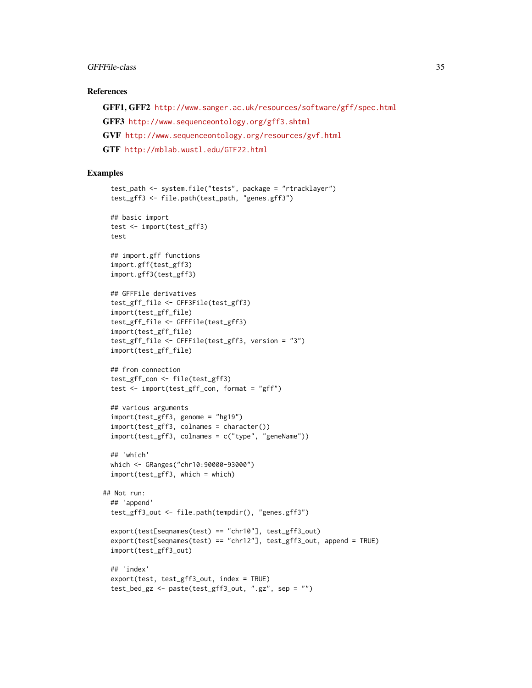# GFFFile-class 35

#### References

GFF1, GFF2 <http://www.sanger.ac.uk/resources/software/gff/spec.html> GFF3 <http://www.sequenceontology.org/gff3.shtml> GVF <http://www.sequenceontology.org/resources/gvf.html> GTF <http://mblab.wustl.edu/GTF22.html>

```
test_path <- system.file("tests", package = "rtracklayer")
 test_gff3 <- file.path(test_path, "genes.gff3")
 ## basic import
 test <- import(test_gff3)
 test
 ## import.gff functions
 import.gff(test_gff3)
 import.gff3(test_gff3)
 ## GFFFile derivatives
 test_gff_file <- GFF3File(test_gff3)
 import(test_gff_file)
 test_gff_file <- GFFFile(test_gff3)
 import(test_gff_file)
 test_gff_file <- GFFFile(test_gff3, version = "3")
 import(test_gff_file)
 ## from connection
 test_gff_con <- file(test_gff3)
 test <- import(test_gff_con, format = "gff")
 ## various arguments
 import(test_gff3, genome = "hg19")
 import(test_gff3, colnames = character())
 import(test_gff3, colnames = c("type", "geneName"))
 ## 'which'
 which <- GRanges("chr10:90000-93000")
 import(test_gff3, which = which)
## Not run:
 ## 'append'
 test_gff3_out <- file.path(tempdir(), "genes.gff3")
 export(test[seqnames(test) == "chr10"], test_gff3_out)
 export(test[seqnames(test) == "chr12"], test_gff3_out, append = TRUE)
 import(test_gff3_out)
 ## 'index'
 export(test, test_gff3_out, index = TRUE)
 test_bed_gz <- paste(test_gff3_out, ".gz", sep = "")
```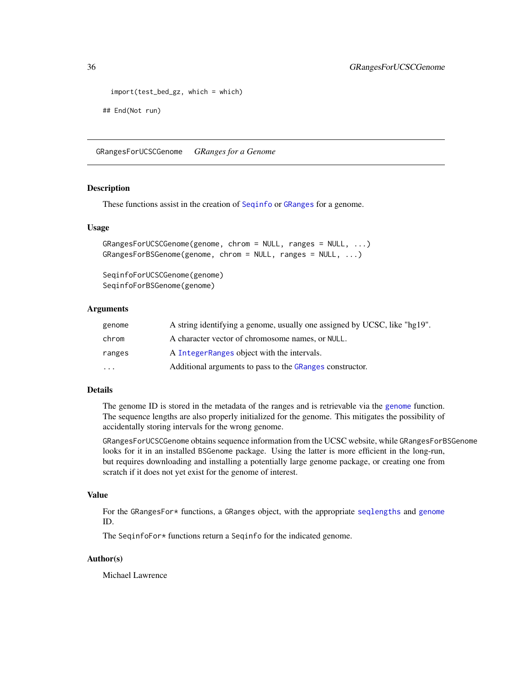```
import(test_bed_gz, which = which)
```
## End(Not run)

GRangesForUCSCGenome *GRanges for a Genome*

#### Description

These functions assist in the creation of [Seqinfo](#page-0-0) or [GRanges](#page-0-0) for a genome.

#### Usage

```
GRangesForUCSCGenome(genome, chrom = NULL, ranges = NULL, ...)
GRangesForBSGenome(genome, chrom = NULL, ranges = NULL, ...)
```
SeqinfoForUCSCGenome(genome) SeqinfoForBSGenome(genome)

# Arguments

| genome   | A string identifying a genome, usually one assigned by UCSC, like "hg19". |
|----------|---------------------------------------------------------------------------|
| chrom    | A character vector of chromosome names, or NULL.                          |
| ranges   | A Integer Ranges object with the intervals.                               |
| $\cdots$ | Additional arguments to pass to the GRanges constructor.                  |

# Details

The genome ID is stored in the metadata of the ranges and is retrievable via the [genome](#page-0-0) function. The sequence lengths are also properly initialized for the genome. This mitigates the possibility of accidentally storing intervals for the wrong genome.

GRangesForUCSCGenome obtains sequence information from the UCSC website, while GRangesForBSGenome looks for it in an installed BSGenome package. Using the latter is more efficient in the long-run, but requires downloading and installing a potentially large genome package, or creating one from scratch if it does not yet exist for the genome of interest.

#### Value

For the GRangesFor\* functions, a GRanges object, with the appropriate [seqlengths](#page-0-0) and [genome](#page-0-0) ID.

The SeqinfoFor\* functions return a Seqinfo for the indicated genome.

#### Author(s)

Michael Lawrence

<span id="page-35-0"></span>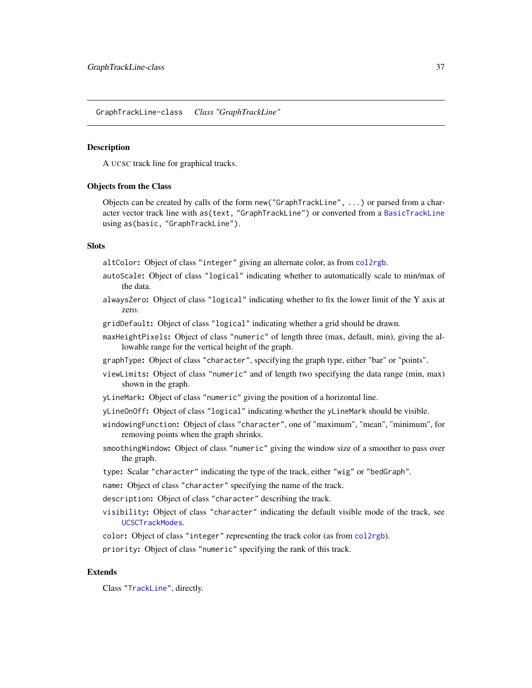<span id="page-36-1"></span><span id="page-36-0"></span>GraphTrackLine-class *Class "GraphTrackLine"*

#### **Description**

A UCSC track line for graphical tracks.

#### Objects from the Class

Objects can be created by calls of the form new("GraphTrackLine", ...) or parsed from a character vector track line with as(text, "GraphTrackLine") or converted from a [BasicTrackLine](#page-5-0) using as(basic, "GraphTrackLine").

# **Slots**

altColor: Object of class "integer" giving an alternate color, as from [col2rgb](#page-0-0).

- autoScale: Object of class "logical" indicating whether to automatically scale to min/max of the data.
- alwaysZero: Object of class "logical" indicating whether to fix the lower limit of the Y axis at zero.
- gridDefault: Object of class "logical" indicating whether a grid should be drawn.
- maxHeightPixels: Object of class "numeric" of length three (max, default, min), giving the allowable range for the vertical height of the graph.
- graphType: Object of class "character", specifying the graph type, either "bar" or "points".
- viewLimits: Object of class "numeric" and of length two specifying the data range (min, max) shown in the graph.
- yLineMark: Object of class "numeric" giving the position of a horizontal line.
- yLineOnOff: Object of class "logical" indicating whether the yLineMark should be visible.
- windowingFunction: Object of class "character", one of "maximum", "mean", "minimum", for removing points when the graph shrinks.
- smoothingWindow: Object of class "numeric" giving the window size of a smoother to pass over the graph.
- type: Scalar "character" indicating the type of the track, either "wig" or "bedGraph".
- name: Object of class "character" specifying the name of the track.
- description: Object of class "character" describing the track.
- visibility: Object of class "character" indicating the default visible mode of the track, see [UCSCTrackModes](#page-63-0).
- color: Object of class "integer" representing the track color (as from [col2rgb](#page-0-0)).
- priority: Object of class "numeric" specifying the rank of this track.

# Extends

Class ["TrackLine"](#page-51-0), directly.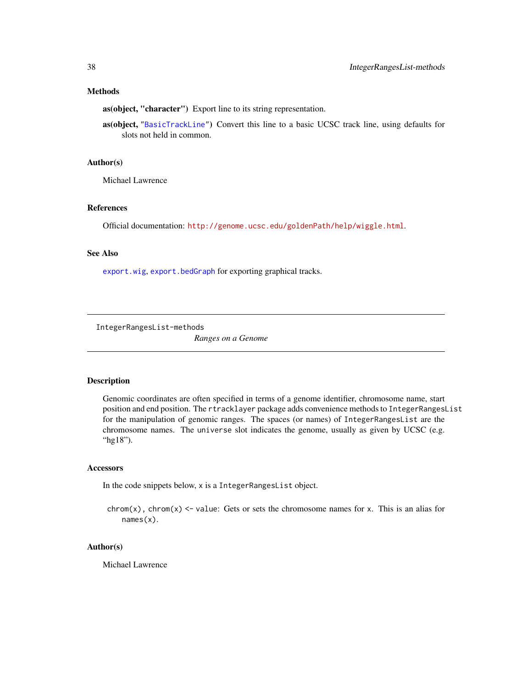# <span id="page-37-0"></span>Methods

as(object, "character") Export line to its string representation.

as(object, ["BasicTrackLine"](#page-5-0)) Convert this line to a basic UCSC track line, using defaults for slots not held in common.

#### Author(s)

Michael Lawrence

#### References

Official documentation: <http://genome.ucsc.edu/goldenPath/help/wiggle.html>.

# See Also

[export.wig](#page-66-0), [export.bedGraph](#page-7-0) for exporting graphical tracks.

IntegerRangesList-methods

*Ranges on a Genome*

#### Description

Genomic coordinates are often specified in terms of a genome identifier, chromosome name, start position and end position. The rtracklayer package adds convenience methods to IntegerRangesList for the manipulation of genomic ranges. The spaces (or names) of IntegerRangesList are the chromosome names. The universe slot indicates the genome, usually as given by UCSC (e.g. "hg18").

#### **Accessors**

In the code snippets below, x is a IntegerRangesList object.

chrom(x), chrom(x)  $\le$  value: Gets or sets the chromosome names for x. This is an alias for names(x).

#### Author(s)

Michael Lawrence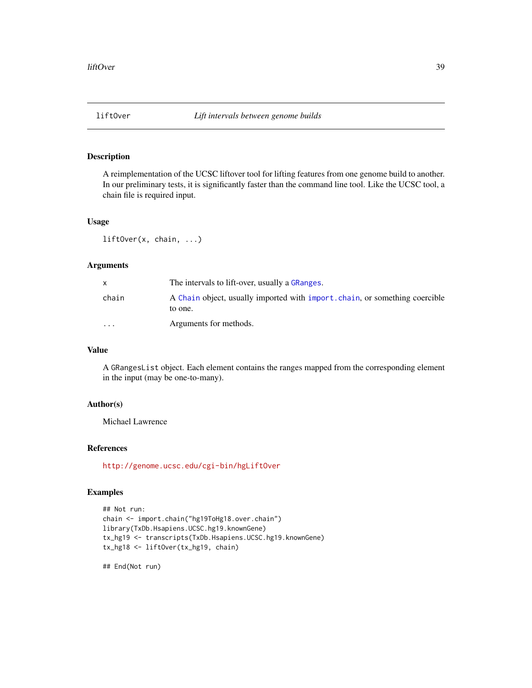# Description

A reimplementation of the UCSC liftover tool for lifting features from one genome build to another. In our preliminary tests, it is significantly faster than the command line tool. Like the UCSC tool, a chain file is required input.

# Usage

liftOver(x, chain, ...)

# Arguments

| X        | The intervals to lift-over, usually a GRanges.                                         |
|----------|----------------------------------------------------------------------------------------|
| chain    | A Chain object, usually imported with import, chain, or something coercible<br>to one. |
| $\cdots$ | Arguments for methods.                                                                 |

# Value

A GRangesList object. Each element contains the ranges mapped from the corresponding element in the input (may be one-to-many).

# Author(s)

Michael Lawrence

# References

<http://genome.ucsc.edu/cgi-bin/hgLiftOver>

# Examples

```
## Not run:
chain <- import.chain("hg19ToHg18.over.chain")
library(TxDb.Hsapiens.UCSC.hg19.knownGene)
tx_hg19 <- transcripts(TxDb.Hsapiens.UCSC.hg19.knownGene)
tx_hg18 <- liftOver(tx_hg19, chain)
```
## End(Not run)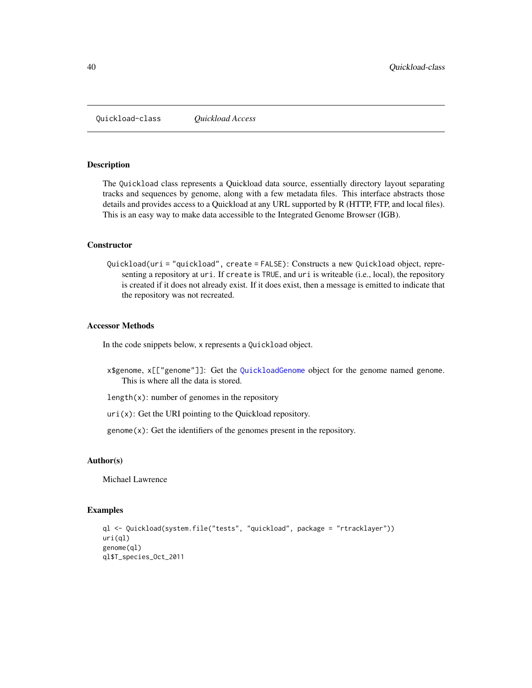<span id="page-39-1"></span><span id="page-39-0"></span>Quickload-class *Quickload Access*

#### Description

The Quickload class represents a Quickload data source, essentially directory layout separating tracks and sequences by genome, along with a few metadata files. This interface abstracts those details and provides access to a Quickload at any URL supported by R (HTTP, FTP, and local files). This is an easy way to make data accessible to the Integrated Genome Browser (IGB).

#### **Constructor**

Quickload(uri = "quickload", create = FALSE): Constructs a new Quickload object, representing a repository at uri. If create is TRUE, and uri is writeable (i.e., local), the repository is created if it does not already exist. If it does exist, then a message is emitted to indicate that the repository was not recreated.

#### Accessor Methods

In the code snippets below, x represents a Quickload object.

- x\$genome, x[["genome"]]: Get the [QuickloadGenome](#page-40-0) object for the genome named genome. This is where all the data is stored.
- length $(x)$ : number of genomes in the repository

 $uri(x)$ : Get the URI pointing to the Quickload repository.

 $genome(x)$ : Get the identifiers of the genomes present in the repository.

#### Author(s)

Michael Lawrence

## Examples

```
ql <- Quickload(system.file("tests", "quickload", package = "rtracklayer"))
uri(ql)
genome(ql)
ql$T_species_Oct_2011
```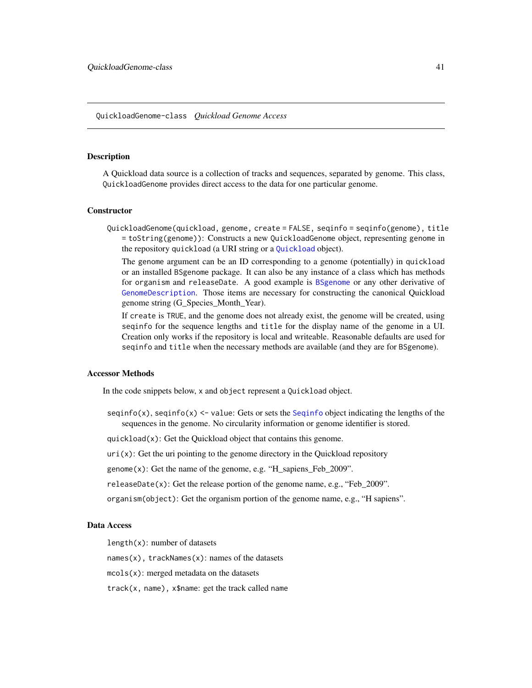#### <span id="page-40-1"></span><span id="page-40-0"></span>QuickloadGenome-class *Quickload Genome Access*

# **Description**

A Quickload data source is a collection of tracks and sequences, separated by genome. This class, QuickloadGenome provides direct access to the data for one particular genome.

#### **Constructor**

QuickloadGenome(quickload, genome, create = FALSE, seqinfo = seqinfo(genome), title = toString(genome)): Constructs a new QuickloadGenome object, representing genome in the repository quickload (a URI string or a [Quickload](#page-39-0) object).

The genome argument can be an ID corresponding to a genome (potentially) in quickload or an installed BSgenome package. It can also be any instance of a class which has methods for organism and releaseDate. A good example is [BSgenome](#page-0-0) or any other derivative of [GenomeDescription](#page-0-0). Those items are necessary for constructing the canonical Quickload genome string (G\_Species\_Month\_Year).

If create is TRUE, and the genome does not already exist, the genome will be created, using seqinfo for the sequence lengths and title for the display name of the genome in a UI. Creation only works if the repository is local and writeable. Reasonable defaults are used for seqinfo and title when the necessary methods are available (and they are for BSgenome).

#### Accessor Methods

In the code snippets below, x and object represent a Quickload object.

seqinfo(x), seqinfo(x)  $\le$  value: Gets or sets the [Seqinfo](#page-0-0) object indicating the lengths of the sequences in the genome. No circularity information or genome identifier is stored.

quickload(x): Get the Quickload object that contains this genome.

 $uri(x)$ : Get the uri pointing to the genome directory in the Quickload repository

genome(x): Get the name of the genome, e.g. "H\_sapiens\_Feb\_2009".

releaseDate(x): Get the release portion of the genome name, e.g., "Feb  $2009$ ".

organism(object): Get the organism portion of the genome name, e.g., "H sapiens".

# Data Access

length(x): number of datasets

names(x), trackNames(x): names of the datasets

mcols(x): merged metadata on the datasets

track(x, name), x\$name: get the track called name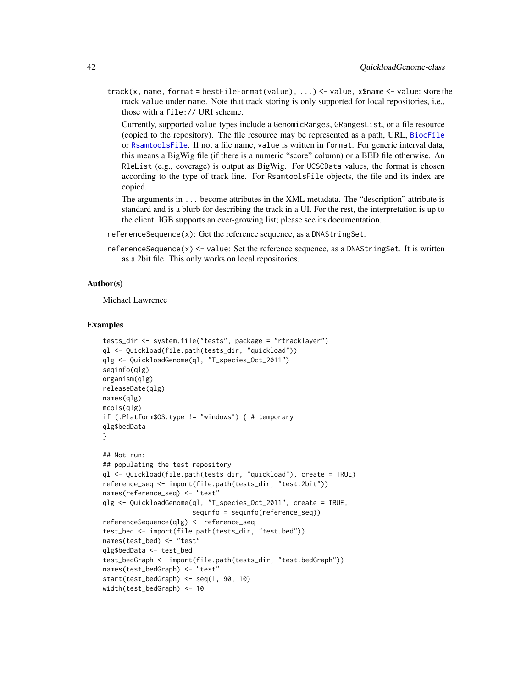<span id="page-41-0"></span>track(x, name, format = bestFileFormat(value), ...) <- value, x\$name <- value: store the track value under name. Note that track storing is only supported for local repositories, i.e., those with a file:// URI scheme.

Currently, supported value types include a GenomicRanges, GRangesList, or a file resource (copied to the repository). The file resource may be represented as a path, URL, [BiocFile](#page-0-0) or [RsamtoolsFile](#page-0-0). If not a file name, value is written in format. For generic interval data, this means a BigWig file (if there is a numeric "score" column) or a BED file otherwise. An RleList (e.g., coverage) is output as BigWig. For UCSCData values, the format is chosen according to the type of track line. For RsamtoolsFile objects, the file and its index are copied.

The arguments in ... become attributes in the XML metadata. The "description" attribute is standard and is a blurb for describing the track in a UI. For the rest, the interpretation is up to the client. IGB supports an ever-growing list; please see its documentation.

- referenceSequence(x): Get the reference sequence, as a DNAStringSet.
- referenceSequence $(x)$  <- value: Set the reference sequence, as a DNAStringSet. It is written as a 2bit file. This only works on local repositories.

#### Author(s)

Michael Lawrence

#### Examples

```
tests_dir <- system.file("tests", package = "rtracklayer")
ql <- Quickload(file.path(tests_dir, "quickload"))
qlg <- QuickloadGenome(ql, "T_species_Oct_2011")
seqinfo(qlg)
organism(qlg)
releaseDate(qlg)
names(qlg)
mcols(qlg)
if (.Platform$OS.type != "windows") { # temporary
qlg$bedData
}
## Not run:
## populating the test repository
ql <- Quickload(file.path(tests_dir, "quickload"), create = TRUE)
reference_seq <- import(file.path(tests_dir, "test.2bit"))
names(reference_seq) <- "test"
qlg <- QuickloadGenome(ql, "T_species_Oct_2011", create = TRUE,
                       seqinfo = seqinfo(reference_seq))
referenceSequence(qlg) <- reference_seq
test_bed <- import(file.path(tests_dir, "test.bed"))
names(test_bed) <- "test"
qlg$bedData <- test_bed
test_bedGraph <- import(file.path(tests_dir, "test.bedGraph"))
names(test_bedGraph) <- "test"
start(test_bedGraph) <- seq(1, 90, 10)
width(test_bedGraph) <- 10
```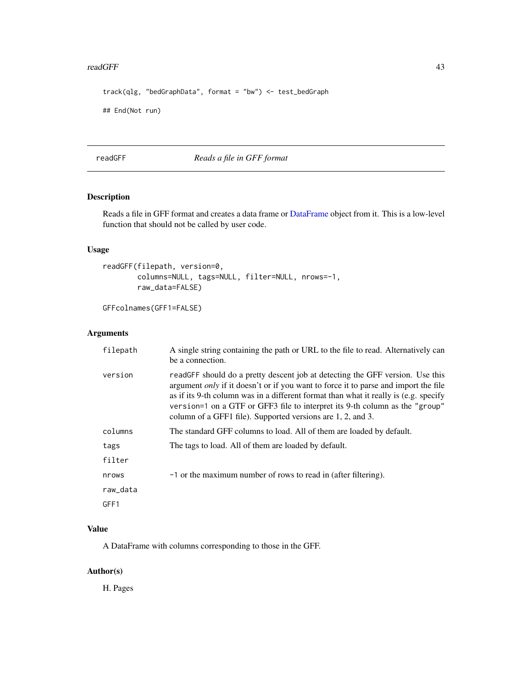#### <span id="page-42-0"></span>readGFF 43

```
track(qlg, "bedGraphData", format = "bw") <- test_bedGraph
## End(Not run)
```
readGFF *Reads a file in GFF format*

# Description

Reads a file in GFF format and creates a data frame or [DataFrame](#page-0-0) object from it. This is a low-level function that should not be called by user code.

# Usage

```
readGFF(filepath, version=0,
       columns=NULL, tags=NULL, filter=NULL, nrows=-1,
       raw_data=FALSE)
```
GFFcolnames(GFF1=FALSE)

# Arguments

| filepath | A single string containing the path or URL to the file to read. Alternatively can<br>be a connection.                                                                                                                                                                                                                                                                                                             |
|----------|-------------------------------------------------------------------------------------------------------------------------------------------------------------------------------------------------------------------------------------------------------------------------------------------------------------------------------------------------------------------------------------------------------------------|
| version  | readGFF should do a pretty descent job at detecting the GFF version. Use this<br>argument <i>only</i> if it doesn't or if you want to force it to parse and import the file<br>as if its 9-th column was in a different format than what it really is (e.g. specify<br>version=1 on a GTF or GFF3 file to interpret its 9-th column as the "group"<br>column of a GFF1 file). Supported versions are 1, 2, and 3. |
| columns  | The standard GFF columns to load. All of them are loaded by default.                                                                                                                                                                                                                                                                                                                                              |
| tags     | The tags to load. All of them are loaded by default.                                                                                                                                                                                                                                                                                                                                                              |
| filter   |                                                                                                                                                                                                                                                                                                                                                                                                                   |
| nrows    | -1 or the maximum number of rows to read in (after filtering).                                                                                                                                                                                                                                                                                                                                                    |
| raw_data |                                                                                                                                                                                                                                                                                                                                                                                                                   |
| GFF1     |                                                                                                                                                                                                                                                                                                                                                                                                                   |

# Value

A DataFrame with columns corresponding to those in the GFF.

# Author(s)

H. Pages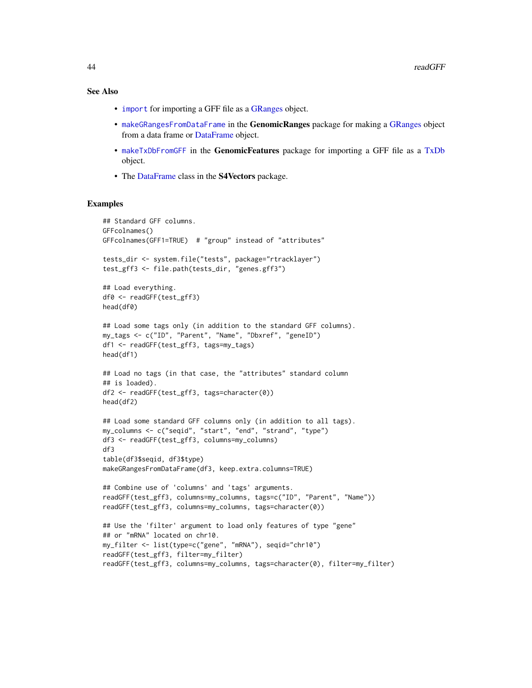# See Also

- [import](#page-0-0) for importing a GFF file as a [GRanges](#page-0-0) object.
- [makeGRangesFromDataFrame](#page-0-0) in the GenomicRanges package for making a [GRanges](#page-0-0) object from a data frame or [DataFrame](#page-0-0) object.
- [makeTxDbFromGFF](#page-0-0) in the GenomicFeatures package for importing a GFF file as a [TxDb](#page-0-0) object.
- The [DataFrame](#page-0-0) class in the S4Vectors package.

#### Examples

```
## Standard GFF columns.
GFFcolnames()
GFFcolnames(GFF1=TRUE) # "group" instead of "attributes"
tests_dir <- system.file("tests", package="rtracklayer")
test_gff3 <- file.path(tests_dir, "genes.gff3")
## Load everything.
df0 <- readGFF(test_gff3)
head(df0)
## Load some tags only (in addition to the standard GFF columns).
my_tags <- c("ID", "Parent", "Name", "Dbxref", "geneID")
df1 <- readGFF(test_gff3, tags=my_tags)
head(df1)
## Load no tags (in that case, the "attributes" standard column
## is loaded).
df2 <- readGFF(test_gff3, tags=character(0))
head(df2)
## Load some standard GFF columns only (in addition to all tags).
my_columns <- c("seqid", "start", "end", "strand", "type")
df3 <- readGFF(test_gff3, columns=my_columns)
df3
table(df3$seqid, df3$type)
makeGRangesFromDataFrame(df3, keep.extra.columns=TRUE)
## Combine use of 'columns' and 'tags' arguments.
readGFF(test_gff3, columns=my_columns, tags=c("ID", "Parent", "Name"))
readGFF(test_gff3, columns=my_columns, tags=character(0))
## Use the 'filter' argument to load only features of type "gene"
## or "mRNA" located on chr10.
my_filter <- list(type=c("gene", "mRNA"), seqid="chr10")
readGFF(test_gff3, filter=my_filter)
readGFF(test_gff3, columns=my_columns, tags=character(0), filter=my_filter)
```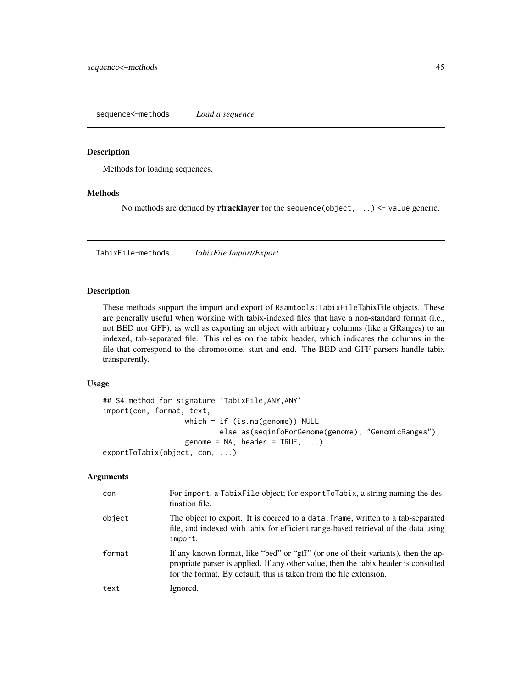<span id="page-44-0"></span>sequence<–methods *Load a sequence*

# Description

Methods for loading sequences.

# Methods

No methods are defined by **rtracklayer** for the sequence (object,  $\dots$ ) <- value generic.

TabixFile-methods *TabixFile Import/Export*

# Description

These methods support the import and export of Rsamtools:TabixFileTabixFile objects. These are generally useful when working with tabix-indexed files that have a non-standard format (i.e., not BED nor GFF), as well as exporting an object with arbitrary columns (like a GRanges) to an indexed, tab-separated file. This relies on the tabix header, which indicates the columns in the file that correspond to the chromosome, start and end. The BED and GFF parsers handle tabix transparently.

# Usage

```
## S4 method for signature 'TabixFile,ANY,ANY'
import(con, format, text,
                   which = if (is.na(genome)) NULL
                           else as(seqinfoForGenome(genome), "GenomicRanges"),
                   genome = NA, header = TRUE, ...)
exportToTabix(object, con, ...)
```
#### Arguments

| con    | For import, a TabixFile object; for exportToTabix, a string naming the des-<br>tination file.                                                                                                                                                  |
|--------|------------------------------------------------------------------------------------------------------------------------------------------------------------------------------------------------------------------------------------------------|
| object | The object to export. It is coerced to a data. frame, written to a tab-separated<br>file, and indexed with tabix for efficient range-based retrieval of the data using<br>import.                                                              |
| format | If any known format, like "bed" or "gff" (or one of their variants), then the ap-<br>propriate parser is applied. If any other value, then the tabix header is consulted<br>for the format. By default, this is taken from the file extension. |
| text   | Ignored.                                                                                                                                                                                                                                       |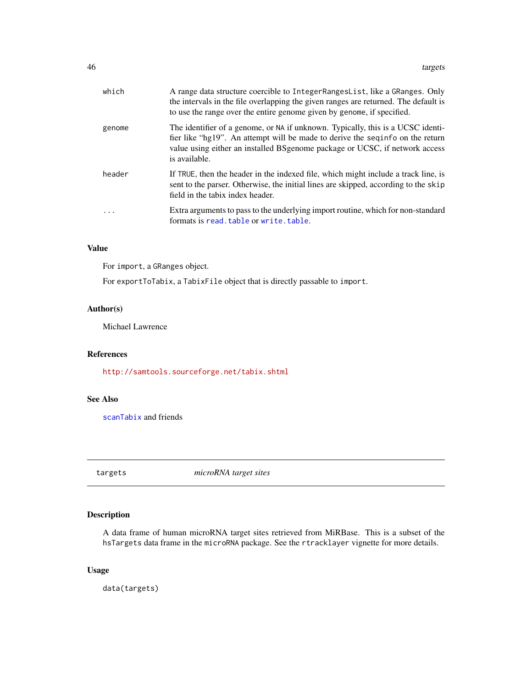<span id="page-45-0"></span>

| The identifier of a genome, or NA if unknown. Typically, this is a UCSC identi-<br>genome<br>fier like "hg19". An attempt will be made to derive the sequation on the return<br>value using either an installed BSgenome package or UCSC, if network access<br>is available.<br>If TRUE, then the header in the indexed file, which might include a track line, is<br>header<br>sent to the parser. Otherwise, the initial lines are skipped, according to the skip<br>field in the tabix index header.<br>Extra arguments to pass to the underlying import routine, which for non-standard<br>$\ddotsc$ | A range data structure coercible to Integer Ranges List, like a GRanges. Only<br>the intervals in the file overlapping the given ranges are returned. The default is<br>to use the range over the entire genome given by genome, if specified. |
|----------------------------------------------------------------------------------------------------------------------------------------------------------------------------------------------------------------------------------------------------------------------------------------------------------------------------------------------------------------------------------------------------------------------------------------------------------------------------------------------------------------------------------------------------------------------------------------------------------|------------------------------------------------------------------------------------------------------------------------------------------------------------------------------------------------------------------------------------------------|
|                                                                                                                                                                                                                                                                                                                                                                                                                                                                                                                                                                                                          |                                                                                                                                                                                                                                                |
|                                                                                                                                                                                                                                                                                                                                                                                                                                                                                                                                                                                                          |                                                                                                                                                                                                                                                |
| formats is read, table or write, table.                                                                                                                                                                                                                                                                                                                                                                                                                                                                                                                                                                  |                                                                                                                                                                                                                                                |

# Value

For import, a GRanges object.

For exportToTabix, a TabixFile object that is directly passable to import.

# Author(s)

Michael Lawrence

# References

<http://samtools.sourceforge.net/tabix.shtml>

# See Also

[scanTabix](#page-0-0) and friends

targets *microRNA target sites*

# Description

A data frame of human microRNA target sites retrieved from MiRBase. This is a subset of the hsTargets data frame in the microRNA package. See the rtracklayer vignette for more details.

# Usage

data(targets)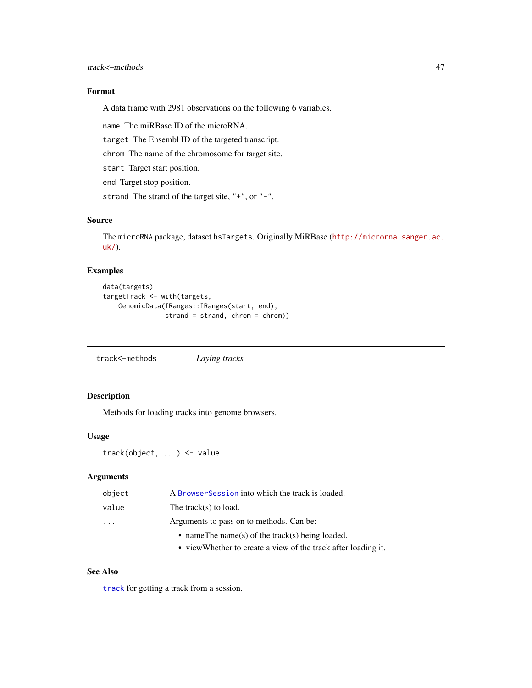# <span id="page-46-1"></span>Format

A data frame with 2981 observations on the following 6 variables.

name The miRBase ID of the microRNA.

target The Ensembl ID of the targeted transcript.

chrom The name of the chromosome for target site.

start Target start position.

end Target stop position.

strand The strand of the target site, "+", or "-".

# Source

The microRNA package, dataset hsTargets. Originally MiRBase ([http://microrna.sanger.ac.](http://microrna.sanger.ac.uk/) [uk/](http://microrna.sanger.ac.uk/)).

# Examples

```
data(targets)
targetTrack <- with(targets,
    GenomicData(IRanges::IRanges(start, end),
                strand = strand, chrom = chrom))
```
track<–methods *Laying tracks*

# <span id="page-46-0"></span>Description

Methods for loading tracks into genome browsers.

#### Usage

track(object, ...) <- value

#### Arguments

| object                  | A Browser Session into which the track is loaded.  |
|-------------------------|----------------------------------------------------|
| value                   | The track(s) to load.                              |
| $\cdot$ $\cdot$ $\cdot$ | Arguments to pass on to methods. Can be:           |
|                         | • name The name (s) of the track (s) being loaded. |
|                         |                                                    |

• viewWhether to create a view of the track after loading it.

# See Also

[track](#page-60-0) for getting a track from a session.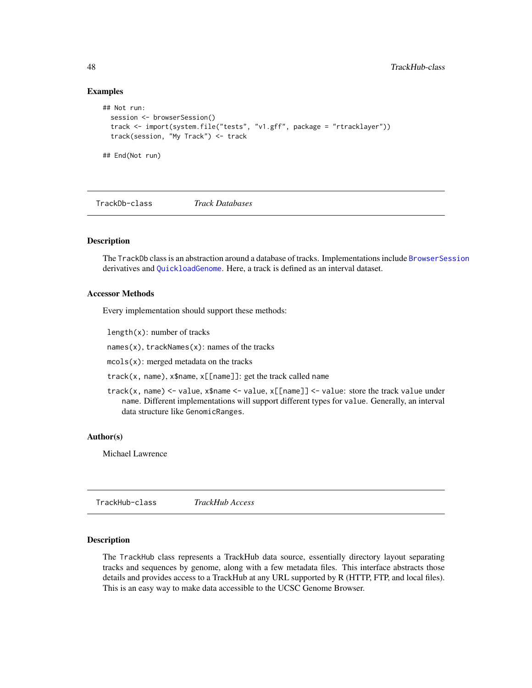# Examples

```
## Not run:
 session <- browserSession()
 track <- import(system.file("tests", "v1.gff", package = "rtracklayer"))
 track(session, "My Track") <- track
## End(Not run)
```
TrackDb-class *Track Databases*

#### **Description**

The TrackDb class is an abstraction around a database of tracks. Implementations include [BrowserSession](#page-21-0) derivatives and [QuickloadGenome](#page-40-0). Here, a track is defined as an interval dataset.

#### Accessor Methods

Every implementation should support these methods:

length(x): number of tracks

names(x), trackNames(x): names of the tracks

mcols(x): merged metadata on the tracks

track(x, name), x\$name, x[[name]]: get the track called name

track(x, name) <- value, x\$name <- value, x[[name]] <- value: store the track value under name. Different implementations will support different types for value. Generally, an interval data structure like GenomicRanges.

# Author(s)

Michael Lawrence

<span id="page-47-0"></span>TrackHub-class *TrackHub Access*

# Description

The TrackHub class represents a TrackHub data source, essentially directory layout separating tracks and sequences by genome, along with a few metadata files. This interface abstracts those details and provides access to a TrackHub at any URL supported by R (HTTP, FTP, and local files). This is an easy way to make data accessible to the UCSC Genome Browser.

<span id="page-47-1"></span>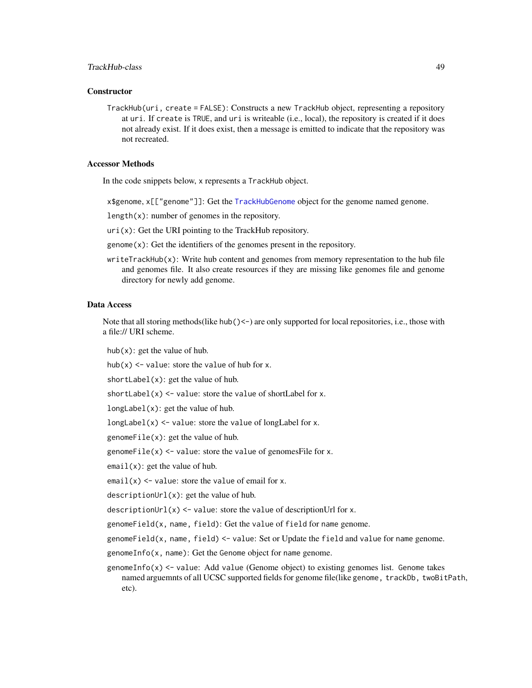# TrackHub-class 49

# **Constructor**

TrackHub(uri, create = FALSE): Constructs a new TrackHub object, representing a repository at uri. If create is TRUE, and uri is writeable (i.e., local), the repository is created if it does not already exist. If it does exist, then a message is emitted to indicate that the repository was not recreated.

# Accessor Methods

In the code snippets below, x represents a TrackHub object.

x\$genome, x[["genome"]]: Get the [TrackHubGenome](#page-49-0) object for the genome named genome.

 $length(x)$ : number of genomes in the repository.

 $uri(x)$ : Get the URI pointing to the TrackHub repository.

genome(x): Get the identifiers of the genomes present in the repository.

 $writeTrackHub(x)$ : Write hub content and genomes from memory representation to the hub file and genomes file. It also create resources if they are missing like genomes file and genome directory for newly add genome.

#### Data Access

Note that all storing methods(like hub() $\leq$ -) are only supported for local repositories, i.e., those with a file:// URI scheme.

hub( $x$ ): get the value of hub.

hub(x)  $\le$  value: store the value of hub for x.

shortLabel(x): get the value of hub.

shortLabel(x)  $\le$  value: store the value of shortLabel for x.

longLabel(x): get the value of hub.

longLabel(x) <- value: store the value of longLabel for x.

genomeFile(x): get the value of hub.

genomeFile(x)  $\le$  value: store the value of genomesFile for x.

 $email(x)$ : get the value of hub.

email(x)  $\le$  value: store the value of email for x.

descriptionUrl(x): get the value of hub.

descriptionUrl(x)  $\le$  value: store the value of descriptionUrl for x.

genomeField(x, name, field): Get the value of field for name genome.

genomeField(x, name, field) <- value: Set or Update the field and value for name genome.

genomeInfo(x, name): Get the Genome object for name genome.

genomeInfo(x)  $\le$  value: Add value (Genome object) to existing genomes list. Genome takes named arguemnts of all UCSC supported fields for genome file(like genome, trackDb, twoBitPath, etc).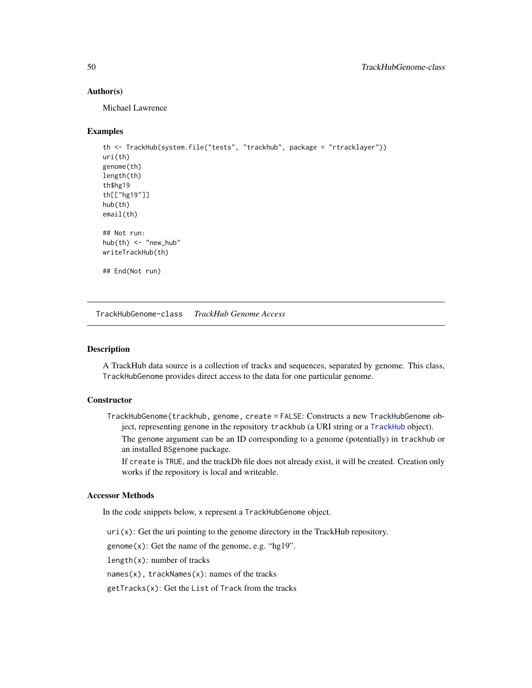# <span id="page-49-1"></span>Author(s)

Michael Lawrence

# Examples

```
th <- TrackHub(system.file("tests", "trackhub", package = "rtracklayer"))
uri(th)
genome(th)
length(th)
th$hg19
th[["hg19"]]
hub(th)
email(th)
## Not run:
hub(th) <- "new_hub"
writeTrackHub(th)
## End(Not run)
```
<span id="page-49-0"></span>TrackHubGenome-class *TrackHub Genome Access*

# Description

A TrackHub data source is a collection of tracks and sequences, separated by genome. This class, TrackHubGenome provides direct access to the data for one particular genome.

# **Constructor**

TrackHubGenome(trackhub, genome, create = FALSE: Constructs a new TrackHubGenome object, representing genome in the repository trackhub (a URI string or a [TrackHub](#page-47-0) object). The genome argument can be an ID corresponding to a genome (potentially) in trackhub or

an installed BSgenome package. If create is TRUE, and the trackDb file does not already exist, it will be created. Creation only works if the repository is local and writeable.

#### Accessor Methods

In the code snippets below, x represent a TrackHubGenome object.

 $uri(x)$ : Get the uri pointing to the genome directory in the TrackHub repository.

genome $(x)$ : Get the name of the genome, e.g. "hg19".

length $(x)$ : number of tracks

names(x), trackNames(x): names of the tracks

getTracks(x): Get the List of Track from the tracks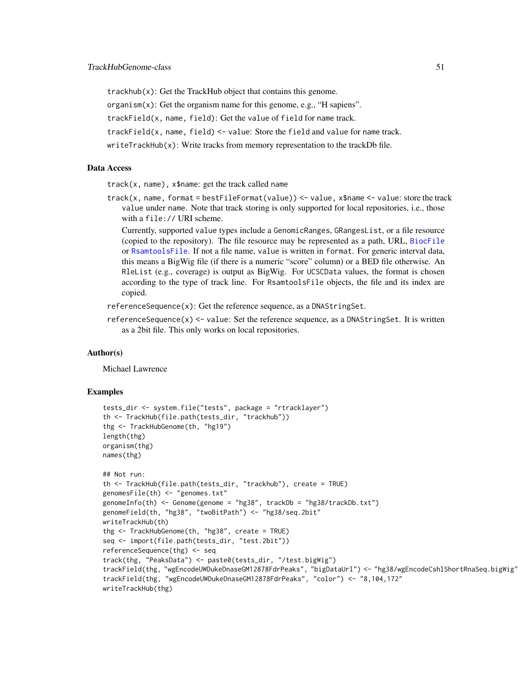<span id="page-50-0"></span>trackhub(x): Get the TrackHub object that contains this genome.

organism(x): Get the organism name for this genome, e.g., "H sapiens".

trackField(x, name, field): Get the value of field for name track.

trackField(x, name, field) <- value: Store the field and value for name track.

writeTrackHub(x): Write tracks from memory representation to the trackDb file.

# Data Access

track(x, name), x\$name: get the track called name

track(x, name, format = bestFileFormat(value)) <- value, x\$name <- value: store the track value under name. Note that track storing is only supported for local repositories, i.e., those with a file:// URI scheme.

Currently, supported value types include a GenomicRanges, GRangesList, or a file resource (copied to the repository). The file resource may be represented as a path, URL, [BiocFile](#page-0-0) or [RsamtoolsFile](#page-0-0). If not a file name, value is written in format. For generic interval data, this means a BigWig file (if there is a numeric "score" column) or a BED file otherwise. An RleList (e.g., coverage) is output as BigWig. For UCSCData values, the format is chosen according to the type of track line. For RsamtoolsFile objects, the file and its index are copied.

referenceSequence(x): Get the reference sequence, as a DNAStringSet.

 $referenceSequence(x) \le value$ : Set the reference sequence, as a DNAStringSet. It is written as a 2bit file. This only works on local repositories.

#### Author(s)

Michael Lawrence

# Examples

```
tests_dir <- system.file("tests", package = "rtracklayer")
th <- TrackHub(file.path(tests_dir, "trackhub"))
thg <- TrackHubGenome(th, "hg19")
length(thg)
organism(thg)
names(thg)
## Not run:
th <- TrackHub(file.path(tests_dir, "trackhub"), create = TRUE)
genomesFile(th) <- "genomes.txt"
genomeInfo(th) <- Genome(genome = "hg38", trackDb = "hg38/trackDb.txt")
genomeField(th, "hg38", "twoBitPath") <- "hg38/seq.2bit"
writeTrackHub(th)
thg <- TrackHubGenome(th, "hg38", create = TRUE)
seq <- import(file.path(tests_dir, "test.2bit"))
referenceSequence(thg) <- seq
track(thg, "PeaksData") <- paste0(tests_dir, "/test.bigWig")
trackField(thg, "wgEncodeUWDukeDnaseGM12878FdrPeaks", "bigDataUrl") <- "hg38/wgEncodeCshlShortRnaSeq.bigWig"
trackField(thg, "wgEncodeUWDukeDnaseGM12878FdrPeaks", "color") <- "8,104,172"
writeTrackHub(thg)
```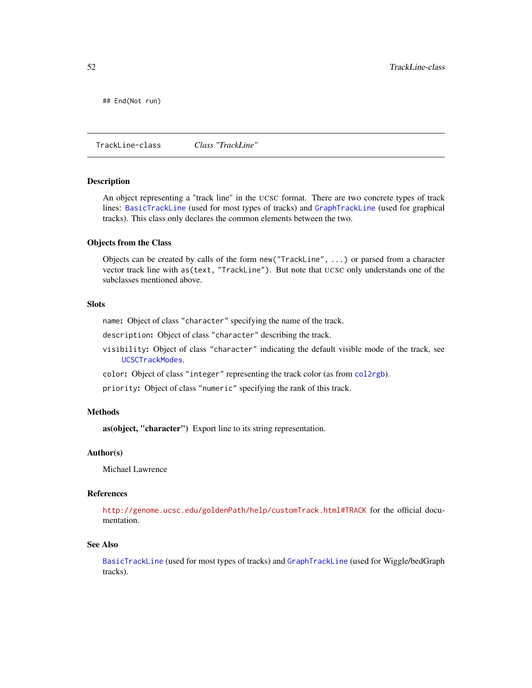<span id="page-51-1"></span>## End(Not run)

<span id="page-51-0"></span>TrackLine-class *Class "TrackLine"*

#### **Description**

An object representing a "track line" in the UCSC format. There are two concrete types of track lines: [BasicTrackLine](#page-5-0) (used for most types of tracks) and [GraphTrackLine](#page-36-0) (used for graphical tracks). This class only declares the common elements between the two.

#### Objects from the Class

Objects can be created by calls of the form new("TrackLine", ...) or parsed from a character vector track line with as(text, "TrackLine"). But note that UCSC only understands one of the subclasses mentioned above.

# **Slots**

name: Object of class "character" specifying the name of the track.

description: Object of class "character" describing the track.

visibility: Object of class "character" indicating the default visible mode of the track, see [UCSCTrackModes](#page-63-0).

color: Object of class "integer" representing the track color (as from [col2rgb](#page-0-0)).

priority: Object of class "numeric" specifying the rank of this track.

#### Methods

as(object, "character") Export line to its string representation.

#### Author(s)

Michael Lawrence

# References

<http://genome.ucsc.edu/goldenPath/help/customTrack.html#TRACK> for the official documentation.

# See Also

[BasicTrackLine](#page-5-0) (used for most types of tracks) and [GraphTrackLine](#page-36-0) (used for Wiggle/bedGraph tracks).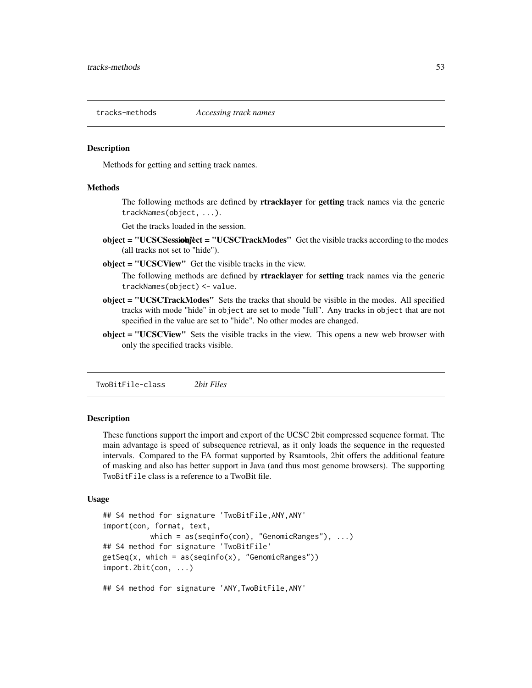<span id="page-52-1"></span>

#### <span id="page-52-0"></span>**Description**

Methods for getting and setting track names.

#### **Methods**

The following methods are defined by rtracklayer for getting track names via the generic trackNames(object, ...).

Get the tracks loaded in the session.

- object = "UCSCSessiohject = "UCSCTrackModes" Get the visible tracks according to the modes (all tracks not set to "hide").
- object = "UCSCView" Get the visible tracks in the view.

The following methods are defined by rtracklayer for setting track names via the generic trackNames(object) <- value.

- object = "UCSCTrackModes" Sets the tracks that should be visible in the modes. All specified tracks with mode "hide" in object are set to mode "full". Any tracks in object that are not specified in the value are set to "hide". No other modes are changed.
- object = "UCSCView" Sets the visible tracks in the view. This opens a new web browser with only the specified tracks visible.

TwoBitFile-class *2bit Files*

# Description

These functions support the import and export of the UCSC 2bit compressed sequence format. The main advantage is speed of subsequence retrieval, as it only loads the sequence in the requested intervals. Compared to the FA format supported by Rsamtools, 2bit offers the additional feature of masking and also has better support in Java (and thus most genome browsers). The supporting TwoBitFile class is a reference to a TwoBit file.

#### Usage

```
## S4 method for signature 'TwoBitFile,ANY,ANY'
import(con, format, text,
          which = as(seqinfo(con), "GenomicRanges"), ...)
## S4 method for signature 'TwoBitFile'
getSeq(x, which = as(seqinfo(x), "GenomicRange"))import.2bit(con, ...)
## S4 method for signature 'ANY,TwoBitFile,ANY'
```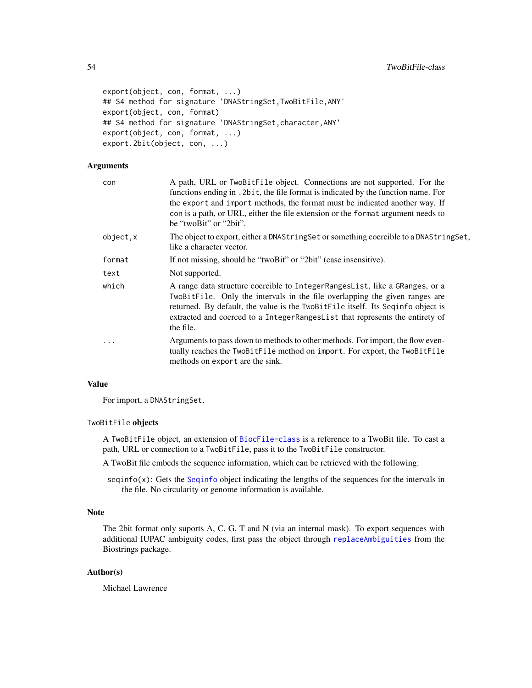```
export(object, con, format, ...)
## S4 method for signature 'DNAStringSet, TwoBitFile, ANY'
export(object, con, format)
## S4 method for signature 'DNAStringSet, character, ANY'
export(object, con, format, ...)
export.2bit(object, con, ...)
```
# Arguments

| con        | A path, URL or TwoBitFile object. Connections are not supported. For the<br>functions ending in . 2bit, the file format is indicated by the function name. For<br>the export and import methods, the format must be indicated another way. If<br>con is a path, or URL, either the file extension or the format argument needs to<br>be "twoBit" or "2bit". |
|------------|-------------------------------------------------------------------------------------------------------------------------------------------------------------------------------------------------------------------------------------------------------------------------------------------------------------------------------------------------------------|
| object, x  | The object to export, either a DNAStringSet or something coercible to a DNAStringSet,<br>like a character vector.                                                                                                                                                                                                                                           |
| format     | If not missing, should be "twoBit" or "2bit" (case insensitive).                                                                                                                                                                                                                                                                                            |
| text       | Not supported.                                                                                                                                                                                                                                                                                                                                              |
| which      | A range data structure coercible to IntegerRangesList, like a GRanges, or a<br>TwoBitFile. Only the intervals in the file overlapping the given ranges are<br>returned. By default, the value is the TwoBitFile itself. Its Seqinfo object is<br>extracted and coerced to a IntegerRangesList that represents the entirety of<br>the file.                  |
| $\ddots$ . | Arguments to pass down to methods to other methods. For import, the flow even-<br>tually reaches the TwoBitFile method on import. For export, the TwoBitFile<br>methods on export are the sink.                                                                                                                                                             |

# Value

For import, a DNAStringSet.

#### TwoBitFile objects

A TwoBitFile object, an extension of [BiocFile-class](#page-0-0) is a reference to a TwoBit file. To cast a path, URL or connection to a TwoBitFile, pass it to the TwoBitFile constructor.

- A TwoBit file embeds the sequence information, which can be retrieved with the following:
- seqinfo(x): Gets the [Seqinfo](#page-0-0) object indicating the lengths of the sequences for the intervals in the file. No circularity or genome information is available.

# Note

The 2bit format only suports A, C, G, T and N (via an internal mask). To export sequences with additional IUPAC ambiguity codes, first pass the object through [replaceAmbiguities](#page-0-0) from the Biostrings package.

#### Author(s)

Michael Lawrence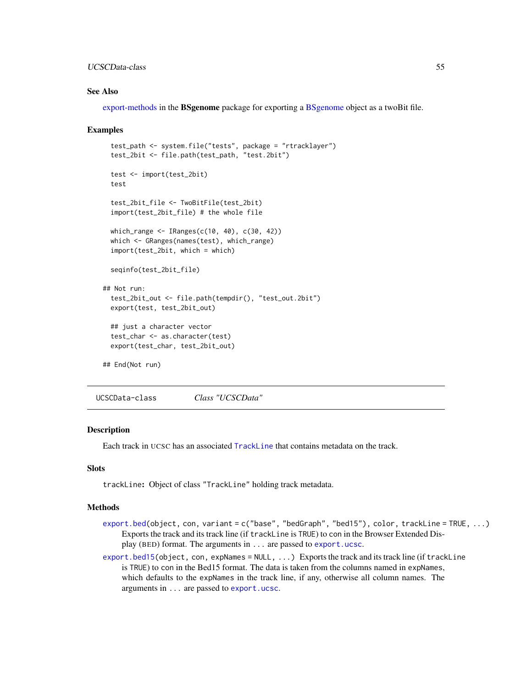# <span id="page-54-1"></span>UCSCData-class 55

#### See Also

[export-methods](#page-0-0) in the BSgenome package for exporting a [BSgenome](#page-0-0) object as a twoBit file.

#### Examples

```
test_path <- system.file("tests", package = "rtracklayer")
 test_2bit <- file.path(test_path, "test.2bit")
 test <- import(test_2bit)
 test
 test_2bit_file <- TwoBitFile(test_2bit)
 import(test_2bit_file) # the whole file
 which_range <- IRanges(c(10, 40), c(30, 42))
 which <- GRanges(names(test), which_range)
 import(test_2bit, which = which)
 seqinfo(test_2bit_file)
## Not run:
 test_2bit_out <- file.path(tempdir(), "test_out.2bit")
 export(test, test_2bit_out)
 ## just a character vector
 test_char <- as.character(test)
 export(test_char, test_2bit_out)
## End(Not run)
```
<span id="page-54-0"></span>UCSCData-class *Class "UCSCData"*

# **Description**

Each track in UCSC has an associated [TrackLine](#page-51-0) that contains metadata on the track.

# Slots

trackLine: Object of class "TrackLine" holding track metadata.

#### Methods

- [export.bed\(](#page-7-0)object, con, variant = c("base", "bedGraph", "bed15"), color, trackLine = TRUE, ...) Exports the track and its track line (if trackLine is TRUE) to con in the Browser Extended Display (BED) format. The arguments in ... are passed to [export.ucsc](#page-55-0).
- [export.bed15\(](#page-7-0)object, con, expNames = NULL,  $\ldots$ ) Exports the track and its track line (if trackLine is TRUE) to con in the Bed15 format. The data is taken from the columns named in expNames, which defaults to the expNames in the track line, if any, otherwise all column names. The arguments in ... are passed to [export.ucsc](#page-55-0).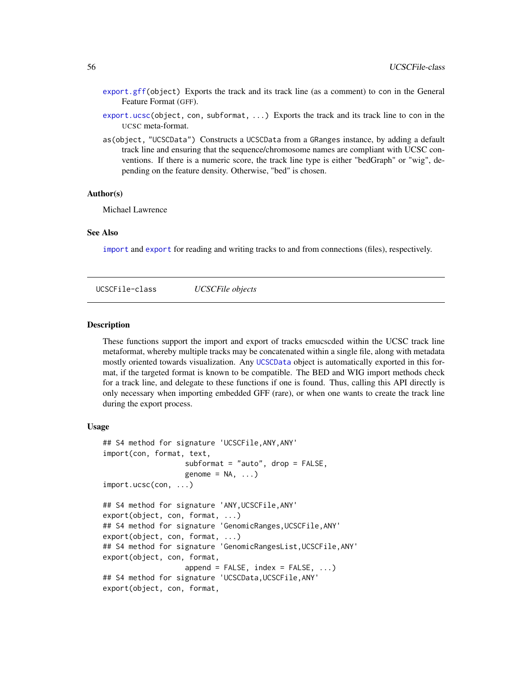- <span id="page-55-1"></span>[export.gff\(](#page-31-0)object) Exports the track and its track line (as a comment) to con in the General Feature Format (GFF).
- [export.ucsc\(](#page-55-0)object, con, subformat, ...) Exports the track and its track line to con in the UCSC meta-format.
- as(object, "UCSCData") Constructs a UCSCData from a GRanges instance, by adding a default track line and ensuring that the sequence/chromosome names are compliant with UCSC conventions. If there is a numeric score, the track line type is either "bedGraph" or "wig", depending on the feature density. Otherwise, "bed" is chosen.

#### Author(s)

Michael Lawrence

#### See Also

[import](#page-0-0) and [export](#page-0-0) for reading and writing tracks to and from connections (files), respectively.

UCSCFile-class *UCSCFile objects*

#### <span id="page-55-0"></span>Description

These functions support the import and export of tracks emucscded within the UCSC track line metaformat, whereby multiple tracks may be concatenated within a single file, along with metadata mostly oriented towards visualization. Any [UCSCData](#page-54-0) object is automatically exported in this format, if the targeted format is known to be compatible. The BED and WIG import methods check for a track line, and delegate to these functions if one is found. Thus, calling this API directly is only necessary when importing embedded GFF (rare), or when one wants to create the track line during the export process.

#### Usage

```
## S4 method for signature 'UCSCFile,ANY,ANY'
import(con, format, text,
                   subformat = "auto", drop = FALSE,
                   genome = NA, ...)
import.ucsc(con, ...)
## S4 method for signature 'ANY,UCSCFile,ANY'
export(object, con, format, ...)
## S4 method for signature 'GenomicRanges,UCSCFile,ANY'
export(object, con, format, ...)
## S4 method for signature 'GenomicRangesList,UCSCFile,ANY'
export(object, con, format,
                   append = FALSE, index = FALSE, ...)## S4 method for signature 'UCSCData,UCSCFile,ANY'
export(object, con, format,
```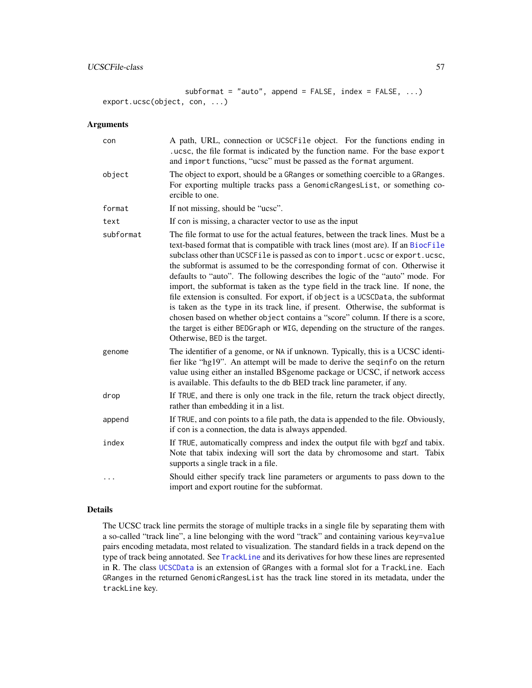```
subformat = "auto", append = FALSE, index = FALSE, ...)
export.ucsc(object, con, ...)
```
# Arguments

| con       | A path, URL, connection or UCSCFile object. For the functions ending in<br>.ucsc, the file format is indicated by the function name. For the base export<br>and import functions, "ucsc" must be passed as the format argument.                                                                                                                                                                                                                                                                                                                                                                                                                                                                                                                                                                                                                                                         |
|-----------|-----------------------------------------------------------------------------------------------------------------------------------------------------------------------------------------------------------------------------------------------------------------------------------------------------------------------------------------------------------------------------------------------------------------------------------------------------------------------------------------------------------------------------------------------------------------------------------------------------------------------------------------------------------------------------------------------------------------------------------------------------------------------------------------------------------------------------------------------------------------------------------------|
| object    | The object to export, should be a GRanges or something coercible to a GRanges.<br>For exporting multiple tracks pass a GenomicRangesList, or something co-<br>ercible to one.                                                                                                                                                                                                                                                                                                                                                                                                                                                                                                                                                                                                                                                                                                           |
| format    | If not missing, should be "ucsc".                                                                                                                                                                                                                                                                                                                                                                                                                                                                                                                                                                                                                                                                                                                                                                                                                                                       |
| text      | If con is missing, a character vector to use as the input                                                                                                                                                                                                                                                                                                                                                                                                                                                                                                                                                                                                                                                                                                                                                                                                                               |
| subformat | The file format to use for the actual features, between the track lines. Must be a<br>text-based format that is compatible with track lines (most are). If an BiocFile<br>subclass other than UCSCFile is passed as con to import.ucsc or export.ucsc,<br>the subformat is assumed to be the corresponding format of con. Otherwise it<br>defaults to "auto". The following describes the logic of the "auto" mode. For<br>import, the subformat is taken as the type field in the track line. If none, the<br>file extension is consulted. For export, if object is a UCSCData, the subformat<br>is taken as the type in its track line, if present. Otherwise, the subformat is<br>chosen based on whether object contains a "score" column. If there is a score,<br>the target is either BEDGraph or WIG, depending on the structure of the ranges.<br>Otherwise, BED is the target. |
| genome    | The identifier of a genome, or NA if unknown. Typically, this is a UCSC identi-<br>fier like "hg19". An attempt will be made to derive the seqinfo on the return<br>value using either an installed BSgenome package or UCSC, if network access<br>is available. This defaults to the db BED track line parameter, if any.                                                                                                                                                                                                                                                                                                                                                                                                                                                                                                                                                              |
| drop      | If TRUE, and there is only one track in the file, return the track object directly,<br>rather than embedding it in a list.                                                                                                                                                                                                                                                                                                                                                                                                                                                                                                                                                                                                                                                                                                                                                              |
| append    | If TRUE, and con points to a file path, the data is appended to the file. Obviously,<br>if con is a connection, the data is always appended.                                                                                                                                                                                                                                                                                                                                                                                                                                                                                                                                                                                                                                                                                                                                            |
| index     | If TRUE, automatically compress and index the output file with bgzf and tabix.<br>Note that tabix indexing will sort the data by chromosome and start. Tabix<br>supports a single track in a file.                                                                                                                                                                                                                                                                                                                                                                                                                                                                                                                                                                                                                                                                                      |
| .         | Should either specify track line parameters or arguments to pass down to the<br>import and export routine for the subformat.                                                                                                                                                                                                                                                                                                                                                                                                                                                                                                                                                                                                                                                                                                                                                            |

#### Details

The UCSC track line permits the storage of multiple tracks in a single file by separating them with a so-called "track line", a line belonging with the word "track" and containing various key=value pairs encoding metadata, most related to visualization. The standard fields in a track depend on the type of track being annotated. See [TrackLine](#page-51-0) and its derivatives for how these lines are represented in R. The class [UCSCData](#page-54-0) is an extension of GRanges with a formal slot for a TrackLine. Each GRanges in the returned GenomicRangesList has the track line stored in its metadata, under the trackLine key.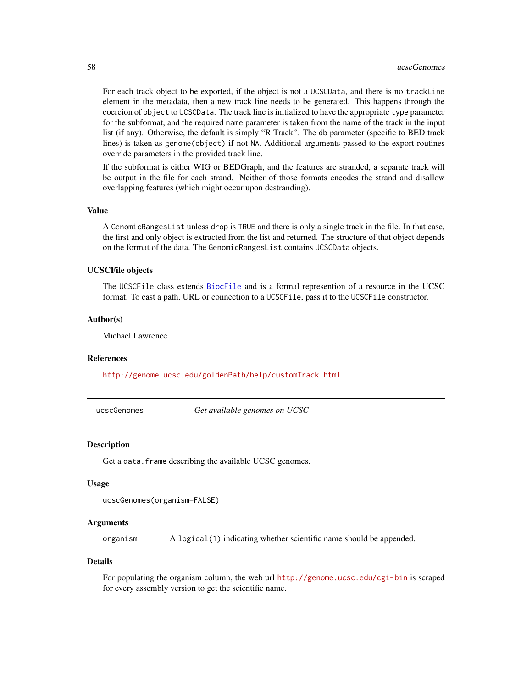<span id="page-57-0"></span>For each track object to be exported, if the object is not a UCSCData, and there is no trackLine element in the metadata, then a new track line needs to be generated. This happens through the coercion of object to UCSCData. The track line is initialized to have the appropriate type parameter for the subformat, and the required name parameter is taken from the name of the track in the input list (if any). Otherwise, the default is simply "R Track". The db parameter (specific to BED track lines) is taken as genome(object) if not NA. Additional arguments passed to the export routines override parameters in the provided track line.

If the subformat is either WIG or BEDGraph, and the features are stranded, a separate track will be output in the file for each strand. Neither of those formats encodes the strand and disallow overlapping features (which might occur upon destranding).

#### Value

A GenomicRangesList unless drop is TRUE and there is only a single track in the file. In that case, the first and only object is extracted from the list and returned. The structure of that object depends on the format of the data. The GenomicRangesList contains UCSCData objects.

#### UCSCFile objects

The UCSCFile class extends [BiocFile](#page-0-0) and is a formal represention of a resource in the UCSC format. To cast a path, URL or connection to a UCSCFile, pass it to the UCSCFile constructor.

# Author(s)

Michael Lawrence

# References

<http://genome.ucsc.edu/goldenPath/help/customTrack.html>

ucscGenomes *Get available genomes on UCSC*

#### Description

Get a data. frame describing the available UCSC genomes.

#### Usage

```
ucscGenomes(organism=FALSE)
```
#### Arguments

organism A logical(1) indicating whether scientific name should be appended.

#### Details

For populating the organism column, the web url <http://genome.ucsc.edu/cgi-bin> is scraped for every assembly version to get the scientific name.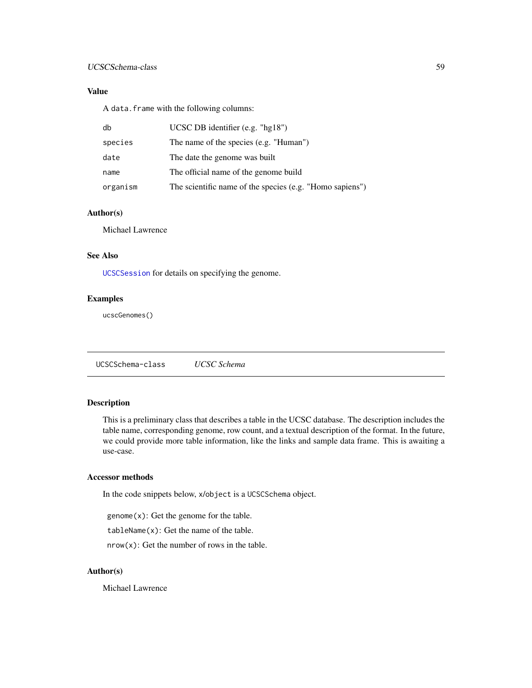# <span id="page-58-1"></span>Value

A data.frame with the following columns:

| db       | UCSC DB identifier $(e.g., "hg18")$                      |
|----------|----------------------------------------------------------|
| species  | The name of the species (e.g. "Human")                   |
| date     | The date the genome was built                            |
| name     | The official name of the genome build                    |
| organism | The scientific name of the species (e.g. "Homo sapiens") |

# Author(s)

Michael Lawrence

# See Also

[UCSCSession](#page-59-0) for details on specifying the genome.

# Examples

ucscGenomes()

<span id="page-58-0"></span>UCSCSchema-class *UCSC Schema*

# Description

This is a preliminary class that describes a table in the UCSC database. The description includes the table name, corresponding genome, row count, and a textual description of the format. In the future, we could provide more table information, like the links and sample data frame. This is awaiting a use-case.

#### Accessor methods

In the code snippets below, x/object is a UCSCSchema object.

genome(x): Get the genome for the table.

tableName(x): Get the name of the table.

 $nrow(x)$ : Get the number of rows in the table.

#### Author(s)

Michael Lawrence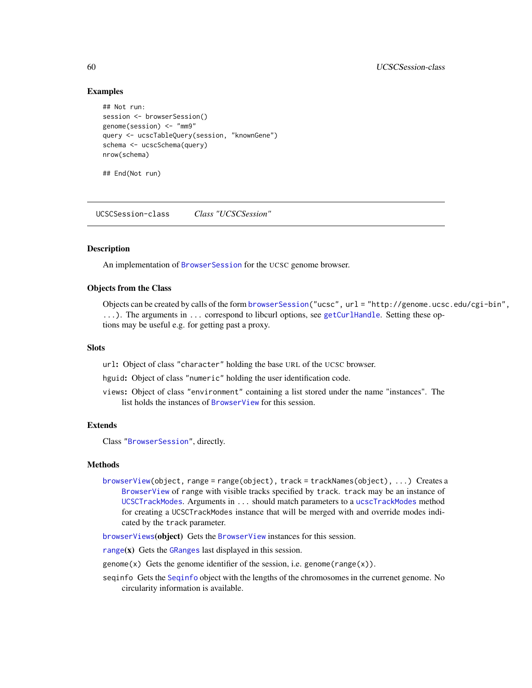# Examples

```
## Not run:
session <- browserSession()
genome(session) <- "mm9"
query <- ucscTableQuery(session, "knownGene")
schema <- ucscSchema(query)
nrow(schema)
```
## End(Not run)

<span id="page-59-0"></span>UCSCSession-class *Class "UCSCSession"*

# **Description**

An implementation of [BrowserSession](#page-21-0) for the UCSC genome browser.

#### Objects from the Class

Objects can be created by calls of the form [browserSession\(](#page-22-0)"ucsc", url = "http://genome.ucsc.edu/cgi-bin", ...). The arguments in ... correspond to libcurl options, see [getCurlHandle](#page-0-0). Setting these options may be useful e.g. for getting past a proxy.

#### Slots

url: Object of class "character" holding the base URL of the UCSC browser.

hguid: Object of class "numeric" holding the user identification code.

views: Object of class "environment" containing a list stored under the name "instances". The list holds the instances of [BrowserView](#page-22-1) for this session.

# Extends

Class ["BrowserSession"](#page-21-0), directly.

#### Methods

[browserView\(](#page-23-0)object, range = range(object), track = trackNames(object), ...) Creates a [BrowserView](#page-22-1) of range with visible tracks specified by track. track may be an instance of [UCSCTrackModes](#page-63-0). Arguments in ... should match parameters to a [ucscTrackModes](#page-64-0) method for creating a UCSCTrackModes instance that will be merged with and override modes indicated by the track parameter.

[browserViews](#page-25-2)(object) Gets the [BrowserView](#page-22-1) instances for this session.

[range](#page-0-0) $(x)$  Gets the [GRanges](#page-0-0) last displayed in this session.

genome(x) Gets the genome identifier of the session, i.e. genome(range(x)).

seqinfo Gets the [Seqinfo](#page-0-0) object with the lengths of the chromosomes in the currenet genome. No circularity information is available.

<span id="page-59-1"></span>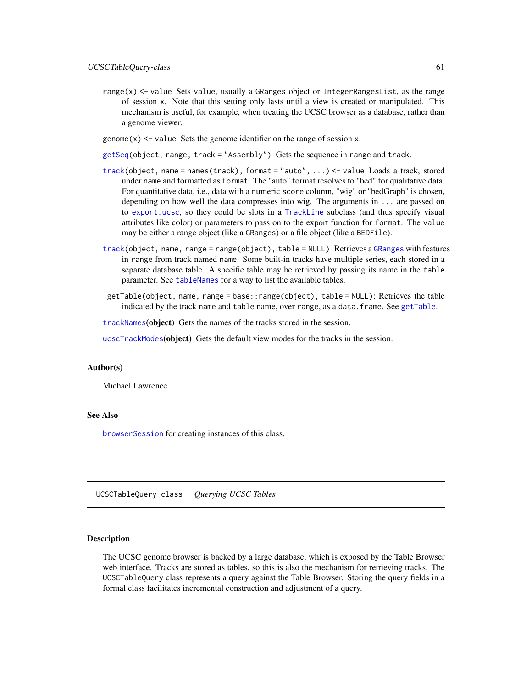- <span id="page-60-1"></span>range(x) <- value Sets value, usually a GRanges object or IntegerRangesList, as the range of session x. Note that this setting only lasts until a view is created or manipulated. This mechanism is useful, for example, when treating the UCSC browser as a database, rather than a genome viewer.
- genome $(x)$  <- value Sets the genome identifier on the range of session x.
- [getSeq\(](#page-0-0)object, range, track = "Assembly") Gets the sequence in range and track.
- [track\(](#page-46-0)object, name = names(track), format = "auto", ...) <- value Loads a track, stored under name and formatted as format. The "auto" format resolves to "bed" for qualitative data. For quantitative data, i.e., data with a numeric score column, "wig" or "bedGraph" is chosen, depending on how well the data compresses into wig. The arguments in ... are passed on to [export.ucsc](#page-55-0), so they could be slots in a [TrackLine](#page-51-0) subclass (and thus specify visual attributes like color) or parameters to pass on to the export function for format. The value may be either a range object (like a GRanges) or a file object (like a BEDFile).
- [track\(](#page-60-0)object, name, range = range(object), table = NULL) Retrieves a [GRanges](#page-0-0) with features in range from track named name. Some built-in tracks have multiple series, each stored in a separate database table. A specific table may be retrieved by passing its name in the table parameter. See [tableNames](#page-60-0) for a way to list the available tables.
- getTable(object, name, range = base::range(object), table = NULL): Retrieves the table indicated by the track name and table name, over range, as a data. frame. See [getTable](#page-60-0).

[trackNames](#page-52-0)(object) Gets the names of the tracks stored in the session.

[ucscTrackModes](#page-64-0)(object) Gets the default view modes for the tracks in the session.

#### Author(s)

Michael Lawrence

#### See Also

[browserSession](#page-22-0) for creating instances of this class.

UCSCTableQuery-class *Querying UCSC Tables*

#### <span id="page-60-0"></span>**Description**

The UCSC genome browser is backed by a large database, which is exposed by the Table Browser web interface. Tracks are stored as tables, so this is also the mechanism for retrieving tracks. The UCSCTableQuery class represents a query against the Table Browser. Storing the query fields in a formal class facilitates incremental construction and adjustment of a query.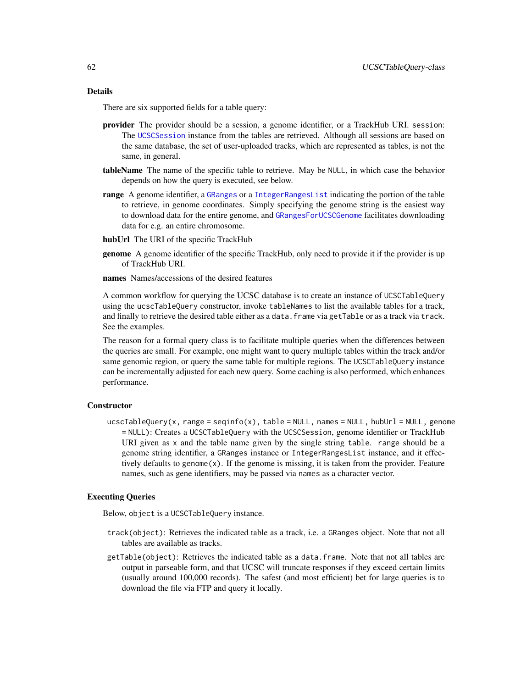# Details

There are six supported fields for a table query:

- provider The provider should be a session, a genome identifier, or a TrackHub URI. session: The [UCSCSession](#page-59-0) instance from the tables are retrieved. Although all sessions are based on the same database, the set of user-uploaded tracks, which are represented as tables, is not the same, in general.
- tableName The name of the specific table to retrieve. May be NULL, in which case the behavior depends on how the query is executed, see below.
- range A genome identifier, a [GRanges](#page-0-0) or a [IntegerRangesList](#page-0-0) indicating the portion of the table to retrieve, in genome coordinates. Simply specifying the genome string is the easiest way to download data for the entire genome, and [GRangesForUCSCGenome](#page-35-0) facilitates downloading data for e.g. an entire chromosome.
- hubUrl The URI of the specific TrackHub
- **genome** A genome identifier of the specific TrackHub, only need to provide it if the provider is up of TrackHub URI.
- names Names/accessions of the desired features

A common workflow for querying the UCSC database is to create an instance of UCSCTableQuery using the ucscTableQuery constructor, invoke tableNames to list the available tables for a track, and finally to retrieve the desired table either as a data. frame via getTable or as a track via track. See the examples.

The reason for a formal query class is to facilitate multiple queries when the differences between the queries are small. For example, one might want to query multiple tables within the track and/or same genomic region, or query the same table for multiple regions. The UCSCTableQuery instance can be incrementally adjusted for each new query. Some caching is also performed, which enhances performance.

# **Constructor**

ucscTableQuery(x, range = seqinfo(x), table = NULL, names = NULL, hubUrl = NULL, genome = NULL): Creates a UCSCTableQuery with the UCSCSession, genome identifier or TrackHub URI given as x and the table name given by the single string table. range should be a genome string identifier, a GRanges instance or IntegerRangesList instance, and it effectively defaults to genome $(x)$ . If the genome is missing, it is taken from the provider. Feature names, such as gene identifiers, may be passed via names as a character vector.

#### Executing Queries

Below, object is a UCSCTableQuery instance.

- track(object): Retrieves the indicated table as a track, i.e. a GRanges object. Note that not all tables are available as tracks.
- getTable(object): Retrieves the indicated table as a data.frame. Note that not all tables are output in parseable form, and that UCSC will truncate responses if they exceed certain limits (usually around 100,000 records). The safest (and most efficient) bet for large queries is to download the file via FTP and query it locally.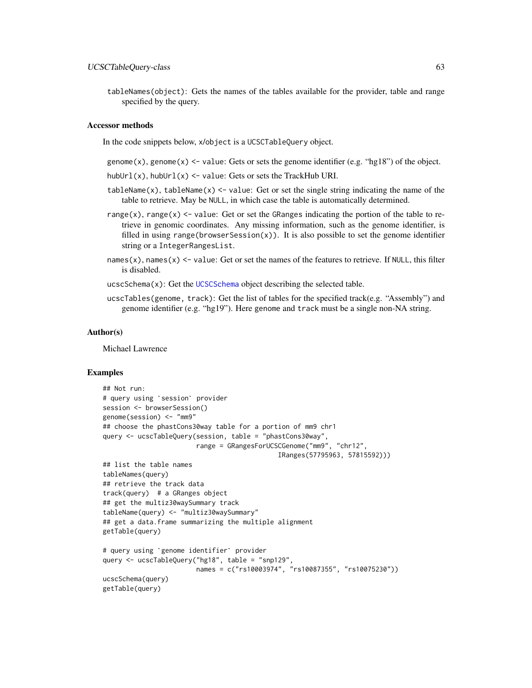tableNames(object): Gets the names of the tables available for the provider, table and range specified by the query.

#### Accessor methods

In the code snippets below, x/object is a UCSCTableQuery object.

genome(x), genome(x)  $\le$  value: Gets or sets the genome identifier (e.g. "hg18") of the object.

hubUrl(x), hubUrl(x) <- value: Gets or sets the TrackHub URI.

- tableName(x), tableName(x)  $\le$  value: Get or set the single string indicating the name of the table to retrieve. May be NULL, in which case the table is automatically determined.
- range(x), range(x)  $\le$  value: Get or set the GRanges indicating the portion of the table to retrieve in genomic coordinates. Any missing information, such as the genome identifier, is filled in using range(browserSession $(x)$ ). It is also possible to set the genome identifier string or a IntegerRangesList.
- names(x), names(x)  $\le$  value: Get or set the names of the features to retrieve. If NULL, this filter is disabled.

ucscSchema(x): Get the [UCSCSchema](#page-58-0) object describing the selected table.

ucscTables(genome, track): Get the list of tables for the specified track(e.g. "Assembly") and genome identifier (e.g. "hg19"). Here genome and track must be a single non-NA string.

#### Author(s)

Michael Lawrence

# Examples

```
## Not run:
# query using `session` provider
session <- browserSession()
genome(session) <- "mm9"
## choose the phastCons30way table for a portion of mm9 chr1
query <- ucscTableQuery(session, table = "phastCons30way",
                        range = GRangesForUCSCGenome("mm9", "chr12",
                                             IRanges(57795963, 57815592)))
## list the table names
tableNames(query)
## retrieve the track data
track(query) # a GRanges object
## get the multiz30waySummary track
tableName(query) <- "multiz30waySummary"
## get a data.frame summarizing the multiple alignment
getTable(query)
# query using `genome identifier` provider
query <- ucscTableQuery("hg18", table = "snp129",
                       names = c("rs10003974", "rs10087355", "rs10075230"))
ucscSchema(query)
getTable(query)
```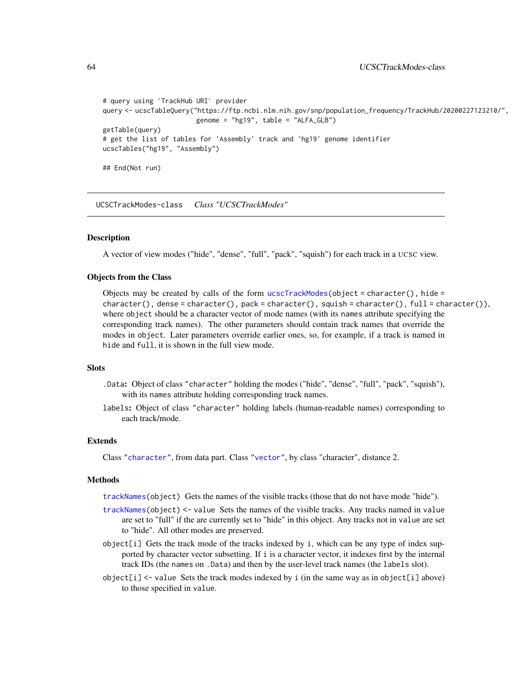```
# query using `TrackHub URI` provider
query <- ucscTableQuery("https://ftp.ncbi.nlm.nih.gov/snp/population_frequency/TrackHub/20200227123210/",
                        genome = "hg19", table = "ALFA_GLB")getTable(query)
# get the list of tables for 'Assembly' track and 'hg19' genome identifier
ucscTables("hg19", "Assembly")
## End(Not run)
```
<span id="page-63-0"></span>UCSCTrackModes-class *Class "UCSCTrackModes"*

#### Description

A vector of view modes ("hide", "dense", "full", "pack", "squish") for each track in a UCSC view.

# Objects from the Class

Objects may be created by calls of the form [ucscTrackModes\(](#page-64-0)object = character(), hide = character(), dense = character(), pack = character(), squish = character(), full = character()), where object should be a character vector of mode names (with its names attribute specifying the corresponding track names). The other parameters should contain track names that override the modes in object. Later parameters override earlier ones, so, for example, if a track is named in hide and full, it is shown in the full view mode.

# **Slots**

- .Data: Object of class "character" holding the modes ("hide", "dense", "full", "pack", "squish"), with its names attribute holding corresponding track names.
- labels: Object of class "character" holding labels (human-readable names) corresponding to each track/mode.

#### Extends

Class ["character"](#page-0-0), from data part. Class ["vector"](#page-0-0), by class "character", distance 2.

#### **Methods**

[trackNames\(](#page-52-0)object) Gets the names of the visible tracks (those that do not have mode "hide").

- [trackNames\(](#page-52-0)object) <- value Sets the names of the visible tracks. Any tracks named in value are set to "full" if the are currently set to "hide" in this object. Any tracks not in value are set to "hide". All other modes are preserved.
- object[i] Gets the track mode of the tracks indexed by i, which can be any type of index supported by character vector subsetting. If i is a character vector, it indexes first by the internal track IDs (the names on .Data) and then by the user-level track names (the labels slot).
- $object[i] < -$  value Sets the track modes indexed by i (in the same way as in object[i] above) to those specified in value.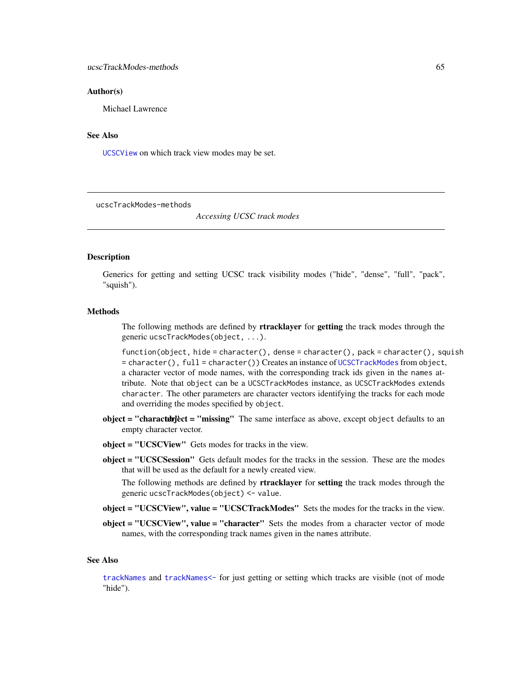#### <span id="page-64-1"></span>Author(s)

Michael Lawrence

#### See Also

[UCSCView](#page-65-0) on which track view modes may be set.

ucscTrackModes-methods

*Accessing UCSC track modes*

# <span id="page-64-0"></span>**Description**

Generics for getting and setting UCSC track visibility modes ("hide", "dense", "full", "pack", "squish").

#### **Methods**

The following methods are defined by **rtracklayer** for **getting** the track modes through the generic ucscTrackModes(object, ...).

function(object, hide = character(), dense = character(), pack = character(), squish = character(), full = character()) Creates an instance of [UCSCTrackModes](#page-63-0) from object, a character vector of mode names, with the corresponding track ids given in the names attribute. Note that object can be a UCSCTrackModes instance, as UCSCTrackModes extends character. The other parameters are character vectors identifying the tracks for each mode and overriding the modes specified by object.

- object = "charactubrject = "missing" The same interface as above, except object defaults to an empty character vector.
- object = "UCSCView" Gets modes for tracks in the view.
- object = "UCSCSession" Gets default modes for the tracks in the session. These are the modes that will be used as the default for a newly created view.

The following methods are defined by rtracklayer for setting the track modes through the generic ucscTrackModes(object) <- value.

- object = "UCSCView", value = "UCSCTrackModes" Sets the modes for the tracks in the view.
- object = "UCSCView", value = "character" Sets the modes from a character vector of mode names, with the corresponding track names given in the names attribute.

#### See Also

[trackNames](#page-52-0) and [trackNames<-](#page-52-0) for just getting or setting which tracks are visible (not of mode "hide").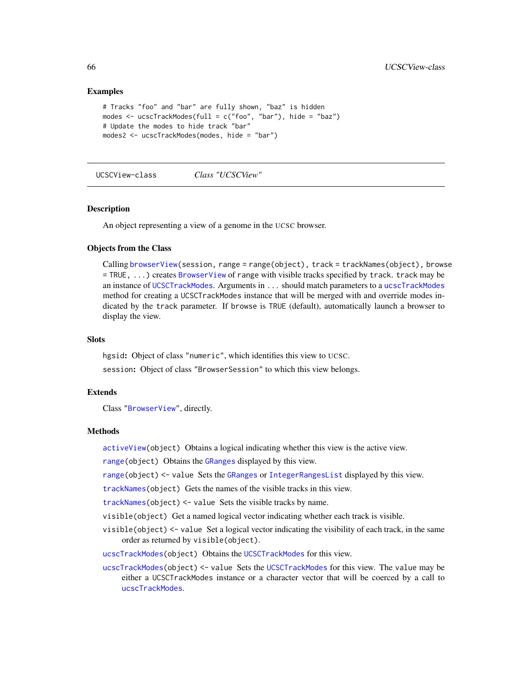# Examples

```
# Tracks "foo" and "bar" are fully shown, "baz" is hidden
modes \leq ucscTrackModes(full = c("foo", "bar"), hide = "baz")
# Update the modes to hide track "bar"
modes2 <- ucscTrackModes(modes, hide = "bar")
```
<span id="page-65-0"></span>UCSCView-class *Class "UCSCView"*

#### **Description**

An object representing a view of a genome in the UCSC browser.

# Objects from the Class

Calling [browserView\(](#page-23-0)session, range = range(object), track = trackNames(object), browse = TRUE, ...) creates [BrowserView](#page-22-1) of range with visible tracks specified by track. track may be an instance of [UCSCTrackModes](#page-63-0). Arguments in ... should match parameters to a [ucscTrackModes](#page-64-0) method for creating a UCSCTrackModes instance that will be merged with and override modes indicated by the track parameter. If browse is TRUE (default), automatically launch a browser to display the view.

#### **Slots**

hgsid: Object of class "numeric", which identifies this view to UCSC. session: Object of class "BrowserSession" to which this view belongs.

# Extends

Class ["BrowserView"](#page-22-1), directly.

# Methods

[activeView\(](#page-2-0)object) Obtains a logical indicating whether this view is the active view.

[range\(](#page-0-0)object) Obtains the [GRanges](#page-0-0) displayed by this view.

[range\(](#page-0-0)object) <- value Sets the [GRanges](#page-0-0) or [IntegerRangesList](#page-0-0) displayed by this view.

[trackNames\(](#page-52-0)object) Gets the names of the visible tracks in this view.

[trackNames\(](#page-52-0)object) <- value Sets the visible tracks by name.

visible(object) Get a named logical vector indicating whether each track is visible.

visible(object) <- value Set a logical vector indicating the visibility of each track, in the same order as returned by visible(object).

[ucscTrackModes\(](#page-64-0)object) Obtains the [UCSCTrackModes](#page-63-0) for this view.

[ucscTrackModes\(](#page-64-0)object) <- value Sets the [UCSCTrackModes](#page-63-0) for this view. The value may be either a UCSCTrackModes instance or a character vector that will be coerced by a call to [ucscTrackModes](#page-64-0).

<span id="page-65-1"></span>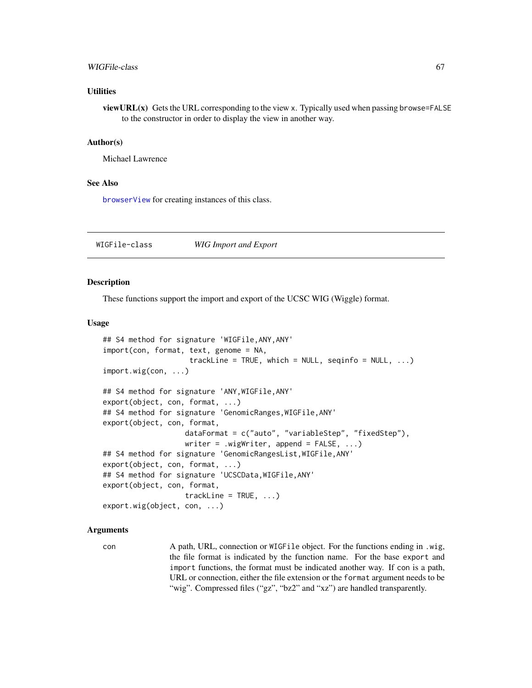#### <span id="page-66-1"></span>WIGFile-class 67

# **Utilities**

viewURL $(x)$  Gets the URL corresponding to the view x. Typically used when passing browse=FALSE to the constructor in order to display the view in another way.

#### Author(s)

Michael Lawrence

#### See Also

[browserView](#page-23-0) for creating instances of this class.

WIGFile-class *WIG Import and Export*

#### <span id="page-66-0"></span>Description

These functions support the import and export of the UCSC WIG (Wiggle) format.

#### Usage

```
## S4 method for signature 'WIGFile,ANY,ANY'
import(con, format, text, genome = NA,
                    trackLine = TRUE, which = NULL, seqinfo = NULL, \ldots)
import.wig(con, ...)
## S4 method for signature 'ANY,WIGFile,ANY'
export(object, con, format, ...)
## S4 method for signature 'GenomicRanges,WIGFile,ANY'
export(object, con, format,
                   dataFormat = c("auto", "variableStep", "fixedStep"),
                   writer = .wigWriter, append = FALSE, ...)
## S4 method for signature 'GenomicRangesList,WIGFile,ANY'
export(object, con, format, ...)
## S4 method for signature 'UCSCData,WIGFile,ANY'
export(object, con, format,
                   trackLine = TRUE, ...)export.wig(object, con, ...)
```
# Arguments

con A path, URL, connection or WIGFile object. For the functions ending in .wig, the file format is indicated by the function name. For the base export and import functions, the format must be indicated another way. If con is a path, URL or connection, either the file extension or the format argument needs to be "wig". Compressed files ("gz", "bz2" and "xz") are handled transparently.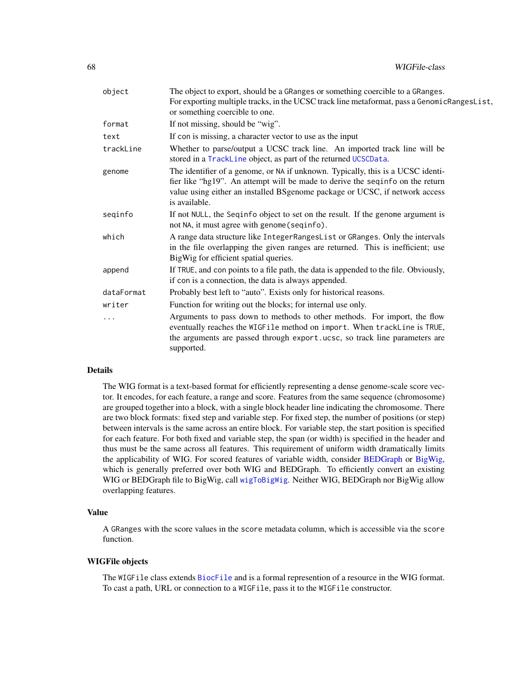<span id="page-67-0"></span>

| object     | The object to export, should be a GRanges or something coercible to a GRanges.<br>For exporting multiple tracks, in the UCSC track line metaformat, pass a GenomicRangesList,<br>or something coercible to one.                                                  |
|------------|------------------------------------------------------------------------------------------------------------------------------------------------------------------------------------------------------------------------------------------------------------------|
| format     | If not missing, should be "wig".                                                                                                                                                                                                                                 |
| text       | If con is missing, a character vector to use as the input                                                                                                                                                                                                        |
| trackLine  | Whether to parse/output a UCSC track line. An imported track line will be<br>stored in a TrackLine object, as part of the returned UCSCData.                                                                                                                     |
| genome     | The identifier of a genome, or NA if unknown. Typically, this is a UCSC identi-<br>fier like "hg19". An attempt will be made to derive the seqinfo on the return<br>value using either an installed BSgenome package or UCSC, if network access<br>is available. |
| seqinfo    | If not NULL, the Seqinfo object to set on the result. If the genome argument is<br>not NA, it must agree with genome (seqinfo).                                                                                                                                  |
| which      | A range data structure like IntegerRangesList or GRanges. Only the intervals<br>in the file overlapping the given ranges are returned. This is inefficient; use<br>BigWig for efficient spatial queries.                                                         |
| append     | If TRUE, and con points to a file path, the data is appended to the file. Obviously,<br>if con is a connection, the data is always appended.                                                                                                                     |
| dataFormat | Probably best left to "auto". Exists only for historical reasons.                                                                                                                                                                                                |
| writer     | Function for writing out the blocks; for internal use only.                                                                                                                                                                                                      |
| .          | Arguments to pass down to methods to other methods. For import, the flow<br>eventually reaches the WIGFile method on import. When trackLine is TRUE,<br>the arguments are passed through export.ucsc, so track line parameters are<br>supported.                 |

# Details

The WIG format is a text-based format for efficiently representing a dense genome-scale score vector. It encodes, for each feature, a range and score. Features from the same sequence (chromosome) are grouped together into a block, with a single block header line indicating the chromosome. There are two block formats: fixed step and variable step. For fixed step, the number of positions (or step) between intervals is the same across an entire block. For variable step, the start position is specified for each feature. For both fixed and variable step, the span (or width) is specified in the header and thus must be the same across all features. This requirement of uniform width dramatically limits the applicability of WIG. For scored features of variable width, consider [BEDGraph](#page-7-0) or [BigWig,](#page-15-0) which is generally preferred over both WIG and BEDGraph. To efficiently convert an existing WIG or BEDGraph file to BigWig, call [wigToBigWig](#page-69-0). Neither WIG, BEDGraph nor BigWig allow overlapping features.

# Value

A GRanges with the score values in the score metadata column, which is accessible via the score function.

#### WIGFile objects

The WIGFile class extends [BiocFile](#page-0-0) and is a formal represention of a resource in the WIG format. To cast a path, URL or connection to a WIGFile, pass it to the WIGFile constructor.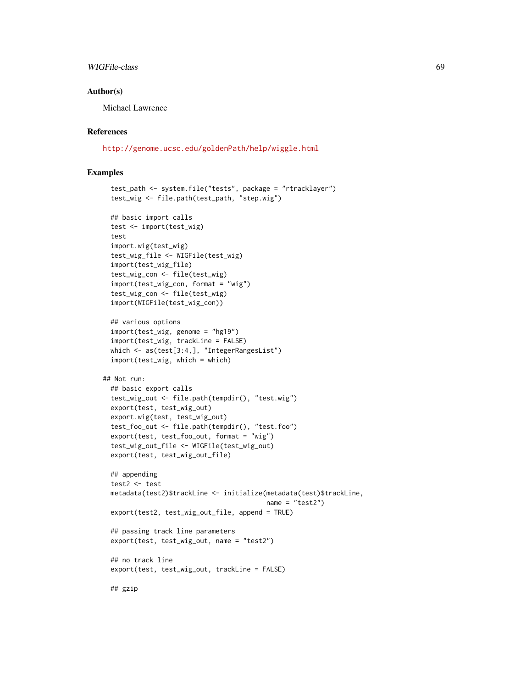# WIGFile-class 69

#### Author(s)

Michael Lawrence

# References

<http://genome.ucsc.edu/goldenPath/help/wiggle.html>

# Examples

```
test_path <- system.file("tests", package = "rtracklayer")
 test_wig <- file.path(test_path, "step.wig")
 ## basic import calls
 test <- import(test_wig)
 test
 import.wig(test_wig)
 test_wig_file <- WIGFile(test_wig)
 import(test_wig_file)
 test_wig_con <- file(test_wig)
 import(test_wig_con, format = "wig")
 test_wig_con <- file(test_wig)
 import(WIGFile(test_wig_con))
 ## various options
 import(test_wig, genome = "hg19")
 import(test_wig, trackLine = FALSE)
 which <- as(test[3:4,], "IntegerRangesList")
 import(test_wig, which = which)
## Not run:
 ## basic export calls
 test_wig_out <- file.path(tempdir(), "test.wig")
 export(test, test_wig_out)
 export.wig(test, test_wig_out)
 test_foo_out <- file.path(tempdir(), "test.foo")
 export(test, test_foo_out, format = "wig")
 test_wig_out_file <- WIGFile(test_wig_out)
 export(test, test_wig_out_file)
 ## appending
 test2 <- test
 metadata(test2)$trackLine <- initialize(metadata(test)$trackLine,
                                          name = "test2")export(test2, test_wig_out_file, append = TRUE)
 ## passing track line parameters
 export(test, test_wig_out, name = "test2")
 ## no track line
 export(test, test_wig_out, trackLine = FALSE)
 ## gzip
```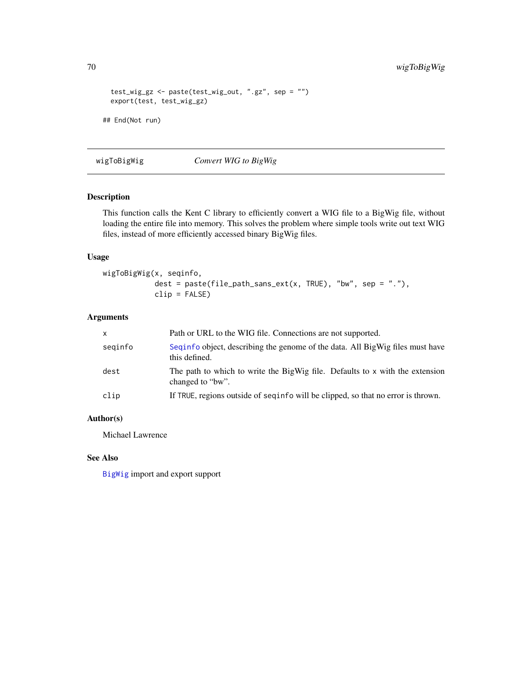```
test_wig_gz <- paste(test_wig_out, ".gz", sep = "")
 export(test, test_wig_gz)
## End(Not run)
```
<span id="page-69-0"></span>wigToBigWig *Convert WIG to BigWig*

# Description

This function calls the Kent C library to efficiently convert a WIG file to a BigWig file, without loading the entire file into memory. This solves the problem where simple tools write out text WIG files, instead of more efficiently accessed binary BigWig files.

# Usage

wigToBigWig(x, seqinfo, dest = paste(file\_path\_sans\_ext(x, TRUE), "bw", sep = "."), clip = FALSE)

# Arguments

| $\mathsf{x}$ | Path or URL to the WIG file. Connections are not supported.                                      |
|--------------|--------------------------------------------------------------------------------------------------|
| seginfo      | Seguinfo object, describing the genome of the data. All BigWig files must have<br>this defined.  |
| dest         | The path to which to write the BigWig file. Defaults to x with the extension<br>changed to "bw". |
| clip         | If TRUE, regions outside of seguinfo will be clipped, so that no error is thrown.                |

# Author(s)

Michael Lawrence

# See Also

[BigWig](#page-15-0) import and export support

<span id="page-69-1"></span>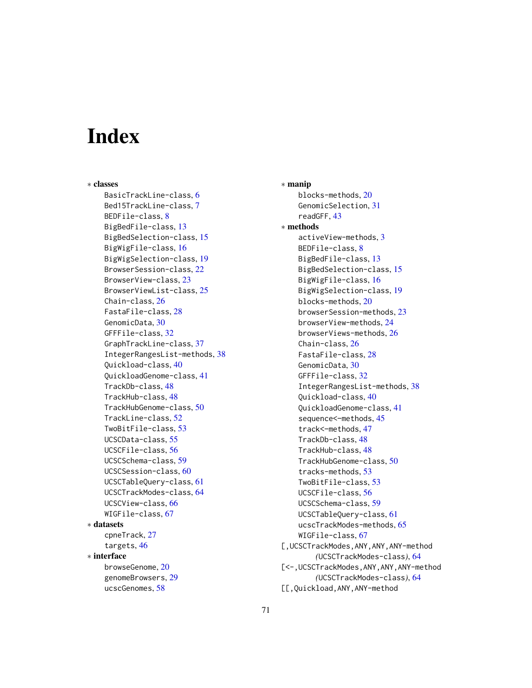# **Index**

∗ classes BasicTrackLine-class, [6](#page-5-1) Bed15TrackLine-class, [7](#page-6-0) BEDFile-class, [8](#page-7-1) BigBedFile-class, [13](#page-12-0) BigBedSelection-class, [15](#page-14-0) BigWigFile-class, [16](#page-15-1) BigWigSelection-class, [19](#page-18-0) BrowserSession-class, [22](#page-21-1) BrowserView-class, [23](#page-22-2) BrowserViewList-class, [25](#page-24-0) Chain-class, [26](#page-25-3) FastaFile-class, [28](#page-27-0) GenomicData, [30](#page-29-0) GFFFile-class, [32](#page-31-1) GraphTrackLine-class, [37](#page-36-1) IntegerRangesList-methods, [38](#page-37-0) Quickload-class, [40](#page-39-1) QuickloadGenome-class, [41](#page-40-1) TrackDb-class, [48](#page-47-1) TrackHub-class, [48](#page-47-1) TrackHubGenome-class, [50](#page-49-1) TrackLine-class, [52](#page-51-1) TwoBitFile-class, [53](#page-52-1) UCSCData-class, [55](#page-54-1) UCSCFile-class, [56](#page-55-1) UCSCSchema-class, [59](#page-58-1) UCSCSession-class, [60](#page-59-1) UCSCTableQuery-class, [61](#page-60-1) UCSCTrackModes-class, [64](#page-63-1) UCSCView-class, [66](#page-65-1) WIGFile-class, [67](#page-66-1) ∗ datasets cpneTrack, [27](#page-26-0) targets, [46](#page-45-0) ∗ interface browseGenome, [20](#page-19-0) genomeBrowsers, [29](#page-28-0) ucscGenomes, [58](#page-57-0)

∗ manip blocks-methods, [20](#page-19-0) GenomicSelection, [31](#page-30-0) readGFF, [43](#page-42-0) ∗ methods activeView-methods, [3](#page-2-1) BEDFile-class, [8](#page-7-1) BigBedFile-class, [13](#page-12-0) BigBedSelection-class, [15](#page-14-0) BigWigFile-class, [16](#page-15-1) BigWigSelection-class, [19](#page-18-0) blocks-methods, [20](#page-19-0) browserSession-methods, [23](#page-22-2) browserView-methods, [24](#page-23-1) browserViews-methods, [26](#page-25-3) Chain-class, [26](#page-25-3) FastaFile-class, [28](#page-27-0) GenomicData, [30](#page-29-0) GFFFile-class, [32](#page-31-1) IntegerRangesList-methods, [38](#page-37-0) Quickload-class, [40](#page-39-1) QuickloadGenome-class, [41](#page-40-1) sequence<–methods, [45](#page-44-0) track<–methods, [47](#page-46-1) TrackDb-class, [48](#page-47-1) TrackHub-class, [48](#page-47-1) TrackHubGenome-class, [50](#page-49-1) tracks-methods, [53](#page-52-1) TwoBitFile-class, [53](#page-52-1) UCSCFile-class, [56](#page-55-1) UCSCSchema-class, [59](#page-58-1) UCSCTableQuery-class, [61](#page-60-1) ucscTrackModes-methods, [65](#page-64-1) WIGFile-class, [67](#page-66-1) [,UCSCTrackModes,ANY,ANY,ANY-method *(*UCSCTrackModes-class*)*, [64](#page-63-1) [<-,UCSCTrackModes,ANY,ANY,ANY-method *(*UCSCTrackModes-class*)*, [64](#page-63-1) [[,Quickload,ANY,ANY-method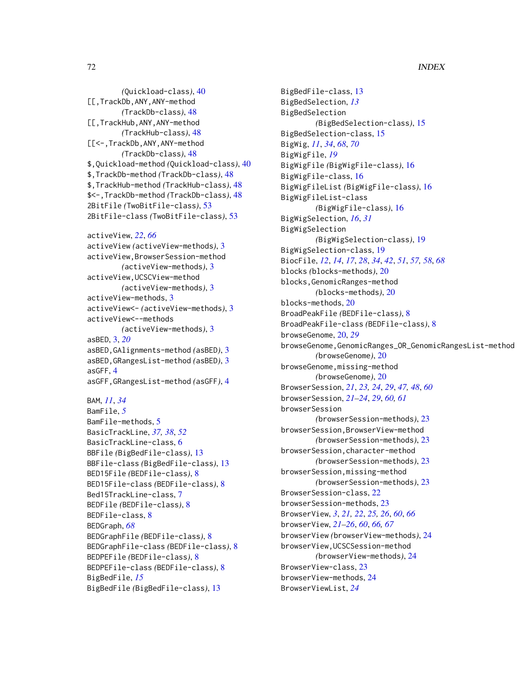*(*Quickload-class*)*, [40](#page-39-1) [[,TrackDb,ANY,ANY-method *(*TrackDb-class*)*, [48](#page-47-1) [[,TrackHub,ANY,ANY-method *(*TrackHub-class*)*, [48](#page-47-1) [[<-,TrackDb,ANY,ANY-method *(*TrackDb-class*)*, [48](#page-47-1) \$,Quickload-method *(*Quickload-class*)*, [40](#page-39-1) \$,TrackDb-method *(*TrackDb-class*)*, [48](#page-47-1) \$,TrackHub-method *(*TrackHub-class*)*, [48](#page-47-1) \$<-,TrackDb-method *(*TrackDb-class*)*, [48](#page-47-1) 2BitFile *(*TwoBitFile-class*)*, [53](#page-52-1) 2BitFile-class *(*TwoBitFile-class*)*, [53](#page-52-1)

```
activeView, 22, 66
activeView (activeView-methods), 3
```
activeView,BrowserSession-method *(*activeView-methods*)*, [3](#page-2-1) activeView,UCSCView-method *(*activeView-methods*)*, [3](#page-2-1) activeView-methods, [3](#page-2-1) activeView<- *(*activeView-methods*)*, [3](#page-2-1) activeView<--methods *(*activeView-methods*)*, [3](#page-2-1) asBED, [3,](#page-2-1) *[20](#page-19-0)* asBED,GAlignments-method *(*asBED*)*, [3](#page-2-1) asBED,GRangesList-method *(*asBED*)*, [3](#page-2-1) asGFF, [4](#page-3-0) asGFF,GRangesList-method *(*asGFF*)*, [4](#page-3-0)

```
BAM, 11, 34
BamFile, 5
BamFile-methods, 5
BasicTrackLine, 37, 38, 52
BasicTrackLine-class, 6
BBFile (BigBedFile-class), 13
BBFile-class (BigBedFile-class), 13
BED15File (BEDFile-class), 8
BED15File-class (BEDFile-class), 8
Bed15TrackLine-class, 7
BEDFile (BEDFile-class), 8
BEDFile-class, 8
BEDGraph, 68
BEDGraphFile (BEDFile-class), 8
BEDGraphFile-class (BEDFile-class), 8
BEDPEFile (BEDFile-class), 8
BEDPEFile-class (BEDFile-class), 8
BigBedFile, 15
BigBedFile (BigBedFile-class), 13
```
BigBedFile-class, [13](#page-12-0) BigBedSelection, *[13](#page-12-0)* BigBedSelection *(*BigBedSelection-class*)*, [15](#page-14-0) BigBedSelection-class, [15](#page-14-0) BigWig, *[11](#page-10-0)*, *[34](#page-33-0)*, *[68](#page-67-0)*, *[70](#page-69-1)* BigWigFile, *[19](#page-18-0)* BigWigFile *(*BigWigFile-class*)*, [16](#page-15-1) BigWigFile-class, [16](#page-15-1) BigWigFileList *(*BigWigFile-class*)*, [16](#page-15-1) BigWigFileList-class *(*BigWigFile-class*)*, [16](#page-15-1) BigWigSelection, *[16](#page-15-1)*, *[31](#page-30-0)* BigWigSelection *(*BigWigSelection-class*)*, [19](#page-18-0) BigWigSelection-class, [19](#page-18-0) BiocFile, *[12](#page-11-0)*, *[14](#page-13-0)*, *[17](#page-16-0)*, *[28](#page-27-0)*, *[34](#page-33-0)*, *[42](#page-41-0)*, *[51](#page-50-0)*, *[57,](#page-56-0) [58](#page-57-0)*, *[68](#page-67-0)* blocks *(*blocks-methods*)*, [20](#page-19-0) blocks,GenomicRanges-method *(*blocks-methods*)*, [20](#page-19-0) blocks-methods, [20](#page-19-0) BroadPeakFile *(*BEDFile-class*)*, [8](#page-7-1) BroadPeakFile-class *(*BEDFile-class*)*, [8](#page-7-1) browseGenome, [20,](#page-19-0) *[29](#page-28-0)* browseGenome,GenomicRanges\_OR\_GenomicRangesList-method *(*browseGenome*)*, [20](#page-19-0) browseGenome,missing-method *(*browseGenome*)*, [20](#page-19-0) BrowserSession, *[21](#page-20-0)*, *[23,](#page-22-2) [24](#page-23-1)*, *[29](#page-28-0)*, *[47,](#page-46-1) [48](#page-47-1)*, *[60](#page-59-1)* browserSession, *[21](#page-20-0)[–24](#page-23-1)*, *[29](#page-28-0)*, *[60,](#page-59-1) [61](#page-60-1)* browserSession *(*browserSession-methods*)*, [23](#page-22-2) browserSession,BrowserView-method *(*browserSession-methods*)*, [23](#page-22-2) browserSession,character-method *(*browserSession-methods*)*, [23](#page-22-2) browserSession,missing-method *(*browserSession-methods*)*, [23](#page-22-2) BrowserSession-class, [22](#page-21-1) browserSession-methods, [23](#page-22-2) BrowserView, *[3](#page-2-1)*, *[21,](#page-20-0) [22](#page-21-1)*, *[25,](#page-24-0) [26](#page-25-3)*, *[60](#page-59-1)*, *[66](#page-65-1)* browserView, *[21](#page-20-0)[–26](#page-25-3)*, *[60](#page-59-1)*, *[66,](#page-65-1) [67](#page-66-1)* browserView *(*browserView-methods*)*, [24](#page-23-1) browserView,UCSCSession-method *(*browserView-methods*)*, [24](#page-23-1) BrowserView-class, [23](#page-22-2) browserView-methods, [24](#page-23-1) BrowserViewList, *[24](#page-23-1)*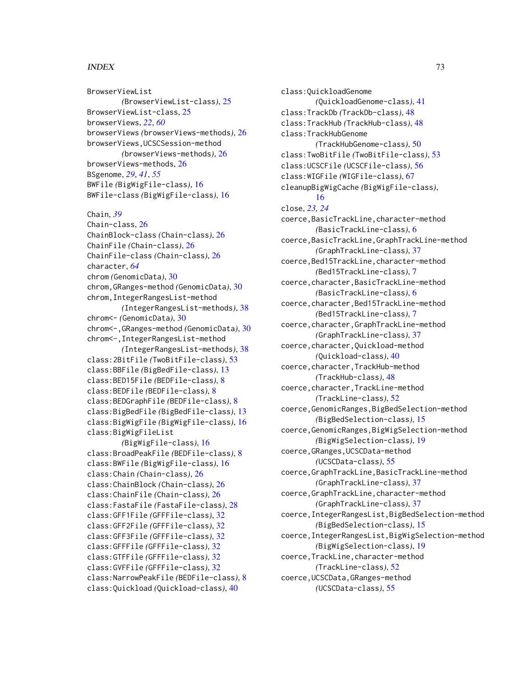# $I<sub>N</sub>$   $I<sub>3</sub>$   $I<sub>3</sub>$   $I<sub>4</sub>$   $I<sub>5</sub>$   $I<sub>6</sub>$   $I<sub>7</sub>$   $I<sub>8</sub>$   $I<sub>9</sub>$   $I<sub>9</sub>$   $I<sub>9</sub>$   $I<sub>9</sub>$   $I<sub>9</sub>$   $I<sub>9</sub>$   $I<sub>9</sub>$   $I<sub>9</sub>$   $I<sub>9</sub>$   $I<sub>9</sub>$   $I<sub>9</sub>$   $I<sub>9</sub>$   $I$

BrowserViewList *(*BrowserViewList-class*)*, [25](#page-24-0) BrowserViewList-class, [25](#page-24-0) browserViews, *[22](#page-21-0)*, *[60](#page-59-0)* browserViews *(*browserViews-methods*)*, [26](#page-25-0) browserViews,UCSCSession-method *(*browserViews-methods*)*, [26](#page-25-0) browserViews-methods, [26](#page-25-0) BSgenome, *[29](#page-28-0)*, *[41](#page-40-0)*, *[55](#page-54-0)* BWFile *(*BigWigFile-class*)*, [16](#page-15-0) BWFile-class *(*BigWigFile-class*)*, [16](#page-15-0)

Chain, *[39](#page-38-0)* Chain-class, [26](#page-25-0) ChainBlock-class *(*Chain-class*)*, [26](#page-25-0) ChainFile *(*Chain-class*)*, [26](#page-25-0) ChainFile-class *(*Chain-class*)*, [26](#page-25-0) character, *[64](#page-63-0)* chrom *(*GenomicData*)*, [30](#page-29-0) chrom,GRanges-method *(*GenomicData*)*, [30](#page-29-0) chrom,IntegerRangesList-method *(*IntegerRangesList-methods*)*, [38](#page-37-0) chrom<- *(*GenomicData*)*, [30](#page-29-0) chrom<-,GRanges-method *(*GenomicData*)*, [30](#page-29-0) chrom<-,IntegerRangesList-method *(*IntegerRangesList-methods*)*, [38](#page-37-0) class:2BitFile *(*TwoBitFile-class*)*, [53](#page-52-0) class:BBFile *(*BigBedFile-class*)*, [13](#page-12-0) class:BED15File *(*BEDFile-class*)*, [8](#page-7-0) class:BEDFile *(*BEDFile-class*)*, [8](#page-7-0) class:BEDGraphFile *(*BEDFile-class*)*, [8](#page-7-0) class:BigBedFile *(*BigBedFile-class*)*, [13](#page-12-0) class:BigWigFile *(*BigWigFile-class*)*, [16](#page-15-0) class:BigWigFileList *(*BigWigFile-class*)*, [16](#page-15-0) class:BroadPeakFile *(*BEDFile-class*)*, [8](#page-7-0) class:BWFile *(*BigWigFile-class*)*, [16](#page-15-0) class:Chain *(*Chain-class*)*, [26](#page-25-0) class:ChainBlock *(*Chain-class*)*, [26](#page-25-0) class:ChainFile *(*Chain-class*)*, [26](#page-25-0) class:FastaFile *(*FastaFile-class*)*, [28](#page-27-0) class:GFF1File *(*GFFFile-class*)*, [32](#page-31-0) class:GFF2File *(*GFFFile-class*)*, [32](#page-31-0) class:GFF3File *(*GFFFile-class*)*, [32](#page-31-0) class:GFFFile *(*GFFFile-class*)*, [32](#page-31-0) class:GTFFile *(*GFFFile-class*)*, [32](#page-31-0) class:GVFFile *(*GFFFile-class*)*, [32](#page-31-0) class:NarrowPeakFile *(*BEDFile-class*)*, [8](#page-7-0) class:Quickload *(*Quickload-class*)*, [40](#page-39-0)

class:QuickloadGenome *(*QuickloadGenome-class*)*, [41](#page-40-0) class:TrackDb *(*TrackDb-class*)*, [48](#page-47-0) class:TrackHub *(*TrackHub-class*)*, [48](#page-47-0) class:TrackHubGenome *(*TrackHubGenome-class*)*, [50](#page-49-0) class:TwoBitFile *(*TwoBitFile-class*)*, [53](#page-52-0) class:UCSCFile *(*UCSCFile-class*)*, [56](#page-55-0) class:WIGFile *(*WIGFile-class*)*, [67](#page-66-0) cleanupBigWigCache *(*BigWigFile-class*)*, [16](#page-15-0) close, *[23,](#page-22-0) [24](#page-23-0)* coerce,BasicTrackLine,character-method *(*BasicTrackLine-class*)*, [6](#page-5-0) coerce,BasicTrackLine,GraphTrackLine-method *(*GraphTrackLine-class*)*, [37](#page-36-0) coerce,Bed15TrackLine,character-method *(*Bed15TrackLine-class*)*, [7](#page-6-0) coerce,character,BasicTrackLine-method *(*BasicTrackLine-class*)*, [6](#page-5-0) coerce,character,Bed15TrackLine-method *(*Bed15TrackLine-class*)*, [7](#page-6-0) coerce,character,GraphTrackLine-method *(*GraphTrackLine-class*)*, [37](#page-36-0) coerce,character,Quickload-method *(*Quickload-class*)*, [40](#page-39-0) coerce,character,TrackHub-method *(*TrackHub-class*)*, [48](#page-47-0) coerce,character,TrackLine-method *(*TrackLine-class*)*, [52](#page-51-0) coerce,GenomicRanges,BigBedSelection-method *(*BigBedSelection-class*)*, [15](#page-14-0) coerce,GenomicRanges,BigWigSelection-method *(*BigWigSelection-class*)*, [19](#page-18-0) coerce,GRanges,UCSCData-method *(*UCSCData-class*)*, [55](#page-54-0) coerce,GraphTrackLine,BasicTrackLine-method *(*GraphTrackLine-class*)*, [37](#page-36-0) coerce,GraphTrackLine,character-method *(*GraphTrackLine-class*)*, [37](#page-36-0) coerce,IntegerRangesList,BigBedSelection-method *(*BigBedSelection-class*)*, [15](#page-14-0) coerce,IntegerRangesList,BigWigSelection-method *(*BigWigSelection-class*)*, [19](#page-18-0) coerce,TrackLine,character-method *(*TrackLine-class*)*, [52](#page-51-0) coerce,UCSCData,GRanges-method *(*UCSCData-class*)*, [55](#page-54-0)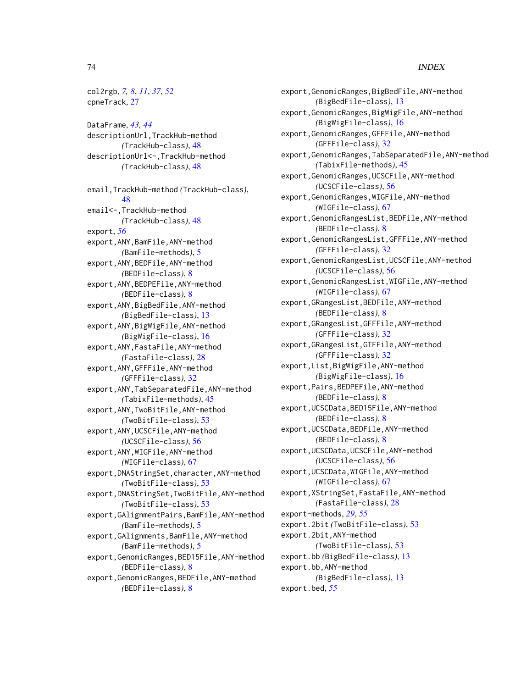col2rgb, *[7,](#page-6-0) [8](#page-7-0)*, *[11](#page-10-0)*, *[37](#page-36-0)*, *[52](#page-51-0)* cpneTrack, [27](#page-26-0) DataFrame, *[43,](#page-42-0) [44](#page-43-0)* descriptionUrl,TrackHub-method *(*TrackHub-class*)*, [48](#page-47-0) descriptionUrl<-,TrackHub-method *(*TrackHub-class*)*, [48](#page-47-0) email,TrackHub-method *(*TrackHub-class*)*, [48](#page-47-0) email<-,TrackHub-method *(*TrackHub-class*)*, [48](#page-47-0) export, *[56](#page-55-0)* export,ANY,BamFile,ANY-method *(*BamFile-methods*)*, [5](#page-4-0) export,ANY,BEDFile,ANY-method *(*BEDFile-class*)*, [8](#page-7-0) export,ANY,BEDPEFile,ANY-method *(*BEDFile-class*)*, [8](#page-7-0) export,ANY,BigBedFile,ANY-method *(*BigBedFile-class*)*, [13](#page-12-0) export,ANY,BigWigFile,ANY-method *(*BigWigFile-class*)*, [16](#page-15-0) export,ANY,FastaFile,ANY-method *(*FastaFile-class*)*, [28](#page-27-0) export,ANY,GFFFile,ANY-method *(*GFFFile-class*)*, [32](#page-31-0) export,ANY,TabSeparatedFile,ANY-method *(*TabixFile-methods*)*, [45](#page-44-0) export,ANY,TwoBitFile,ANY-method *(*TwoBitFile-class*)*, [53](#page-52-0) export,ANY,UCSCFile,ANY-method *(*UCSCFile-class*)*, [56](#page-55-0) export,ANY,WIGFile,ANY-method *(*WIGFile-class*)*, [67](#page-66-0) export,DNAStringSet,character,ANY-method *(*TwoBitFile-class*)*, [53](#page-52-0) export,DNAStringSet,TwoBitFile,ANY-method *(*TwoBitFile-class*)*, [53](#page-52-0) export,GAlignmentPairs,BamFile,ANY-method *(*BamFile-methods*)*, [5](#page-4-0) export,GAlignments,BamFile,ANY-method *(*BamFile-methods*)*, [5](#page-4-0) export,GenomicRanges,BED15File,ANY-method *(*BEDFile-class*)*, [8](#page-7-0) export,GenomicRanges,BEDFile,ANY-method *(*BEDFile-class*)*, [8](#page-7-0)

export,GenomicRanges,BigBedFile,ANY-method *(*BigBedFile-class*)*, [13](#page-12-0) export,GenomicRanges,BigWigFile,ANY-method *(*BigWigFile-class*)*, [16](#page-15-0) export,GenomicRanges,GFFFile,ANY-method *(*GFFFile-class*)*, [32](#page-31-0) export,GenomicRanges,TabSeparatedFile,ANY-method *(*TabixFile-methods*)*, [45](#page-44-0) export,GenomicRanges,UCSCFile,ANY-method *(*UCSCFile-class*)*, [56](#page-55-0) export,GenomicRanges,WIGFile,ANY-method *(*WIGFile-class*)*, [67](#page-66-0) export,GenomicRangesList,BEDFile,ANY-method *(*BEDFile-class*)*, [8](#page-7-0) export,GenomicRangesList,GFFFile,ANY-method *(*GFFFile-class*)*, [32](#page-31-0) export,GenomicRangesList,UCSCFile,ANY-method *(*UCSCFile-class*)*, [56](#page-55-0) export,GenomicRangesList,WIGFile,ANY-method *(*WIGFile-class*)*, [67](#page-66-0) export,GRangesList,BEDFile,ANY-method *(*BEDFile-class*)*, [8](#page-7-0) export,GRangesList,GFFFile,ANY-method *(*GFFFile-class*)*, [32](#page-31-0) export,GRangesList,GTFFile,ANY-method *(*GFFFile-class*)*, [32](#page-31-0) export,List,BigWigFile,ANY-method *(*BigWigFile-class*)*, [16](#page-15-0) export,Pairs,BEDPEFile,ANY-method *(*BEDFile-class*)*, [8](#page-7-0) export,UCSCData,BED15File,ANY-method *(*BEDFile-class*)*, [8](#page-7-0) export,UCSCData,BEDFile,ANY-method *(*BEDFile-class*)*, [8](#page-7-0) export,UCSCData,UCSCFile,ANY-method *(*UCSCFile-class*)*, [56](#page-55-0) export,UCSCData,WIGFile,ANY-method *(*WIGFile-class*)*, [67](#page-66-0) export,XStringSet,FastaFile,ANY-method *(*FastaFile-class*)*, [28](#page-27-0) export-methods, *[29](#page-28-0)*, *[55](#page-54-0)* export.2bit *(*TwoBitFile-class*)*, [53](#page-52-0) export.2bit,ANY-method *(*TwoBitFile-class*)*, [53](#page-52-0) export.bb *(*BigBedFile-class*)*, [13](#page-12-0) export.bb,ANY-method *(*BigBedFile-class*)*, [13](#page-12-0) export.bed, *[55](#page-54-0)*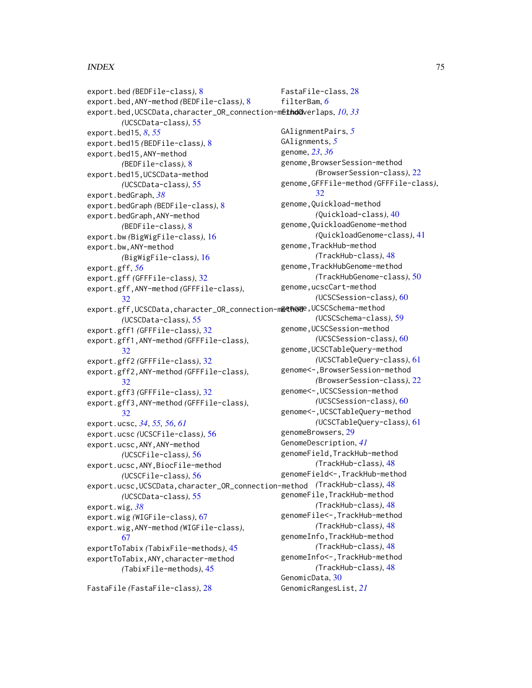export.bed *(*BEDFile-class*)*, [8](#page-7-0) export.bed,ANY-method *(*BEDFile-class*)*, [8](#page-7-0) export.bed, UCSCData, character\_OR\_connection-methodoverlaps, [10](#page-9-0), [33](#page-32-0) *(*UCSCData-class*)*, [55](#page-54-0) export.bed15, *[8](#page-7-0)*, *[55](#page-54-0)* export.bed15 *(*BEDFile-class*)*, [8](#page-7-0) export.bed15,ANY-method *(*BEDFile-class*)*, [8](#page-7-0) export.bed15,UCSCData-method *(*UCSCData-class*)*, [55](#page-54-0) export.bedGraph, *[38](#page-37-0)* export.bedGraph *(*BEDFile-class*)*, [8](#page-7-0) export.bedGraph,ANY-method *(*BEDFile-class*)*, [8](#page-7-0) export.bw *(*BigWigFile-class*)*, [16](#page-15-0) export.bw,ANY-method *(*BigWigFile-class*)*, [16](#page-15-0) export.gff, *[56](#page-55-0)* export.gff *(*GFFFile-class*)*, [32](#page-31-0) export.gff,ANY-method *(*GFFFile-class*)*, [32](#page-31-0) export.gff,UCSCData,character\_OR\_connection-m**ethom**e,UCSCSchema-method *(*UCSCData-class*)*, [55](#page-54-0) export.gff1 *(*GFFFile-class*)*, [32](#page-31-0) export.gff1,ANY-method *(*GFFFile-class*)*, [32](#page-31-0) export.gff2 *(*GFFFile-class*)*, [32](#page-31-0) export.gff2,ANY-method *(*GFFFile-class*)*, [32](#page-31-0) export.gff3 *(*GFFFile-class*)*, [32](#page-31-0) export.gff3,ANY-method *(*GFFFile-class*)*, [32](#page-31-0) export.ucsc, *[34](#page-33-0)*, *[55,](#page-54-0) [56](#page-55-0)*, *[61](#page-60-0)* export.ucsc *(*UCSCFile-class*)*, [56](#page-55-0) export.ucsc,ANY,ANY-method *(*UCSCFile-class*)*, [56](#page-55-0) export.ucsc,ANY,BiocFile-method *(*UCSCFile-class*)*, [56](#page-55-0) export.ucsc,UCSCData,character\_OR\_connection-method *(*TrackHub-class*)*, [48](#page-47-0) *(*UCSCData-class*)*, [55](#page-54-0) export.wig, *[38](#page-37-0)* export.wig *(*WIGFile-class*)*, [67](#page-66-0) export.wig,ANY-method *(*WIGFile-class*)*, [67](#page-66-0) exportToTabix *(*TabixFile-methods*)*, [45](#page-44-0) exportToTabix,ANY,character-method *(*TabixFile-methods*)*, [45](#page-44-0)

FastaFile *(*FastaFile-class*)*, [28](#page-27-0)

FastaFile-class, [28](#page-27-0) filterBam, *[6](#page-5-0)* GAlignmentPairs, *[5](#page-4-0)* GAlignments, *[5](#page-4-0)* genome, *[23](#page-22-0)*, *[36](#page-35-0)* genome,BrowserSession-method *(*BrowserSession-class*)*, [22](#page-21-0) genome,GFFFile-method *(*GFFFile-class*)*, [32](#page-31-0) genome,Quickload-method *(*Quickload-class*)*, [40](#page-39-0) genome,QuickloadGenome-method *(*QuickloadGenome-class*)*, [41](#page-40-0) genome,TrackHub-method *(*TrackHub-class*)*, [48](#page-47-0) genome,TrackHubGenome-method *(*TrackHubGenome-class*)*, [50](#page-49-0) genome,ucscCart-method *(*UCSCSession-class*)*, [60](#page-59-0) *(*UCSCSchema-class*)*, [59](#page-58-0) genome,UCSCSession-method *(*UCSCSession-class*)*, [60](#page-59-0) genome,UCSCTableQuery-method *(*UCSCTableQuery-class*)*, [61](#page-60-0) genome<-,BrowserSession-method *(*BrowserSession-class*)*, [22](#page-21-0) genome<-,UCSCSession-method *(*UCSCSession-class*)*, [60](#page-59-0) genome<-,UCSCTableQuery-method *(*UCSCTableQuery-class*)*, [61](#page-60-0) genomeBrowsers, [29](#page-28-0) GenomeDescription, *[41](#page-40-0)* genomeField,TrackHub-method *(*TrackHub-class*)*, [48](#page-47-0) genomeField<-,TrackHub-method genomeFile,TrackHub-method *(*TrackHub-class*)*, [48](#page-47-0) genomeFile<-,TrackHub-method *(*TrackHub-class*)*, [48](#page-47-0) genomeInfo,TrackHub-method *(*TrackHub-class*)*, [48](#page-47-0) genomeInfo<-,TrackHub-method *(*TrackHub-class*)*, [48](#page-47-0) GenomicData, [30](#page-29-0) GenomicRangesList, *[21](#page-20-0)*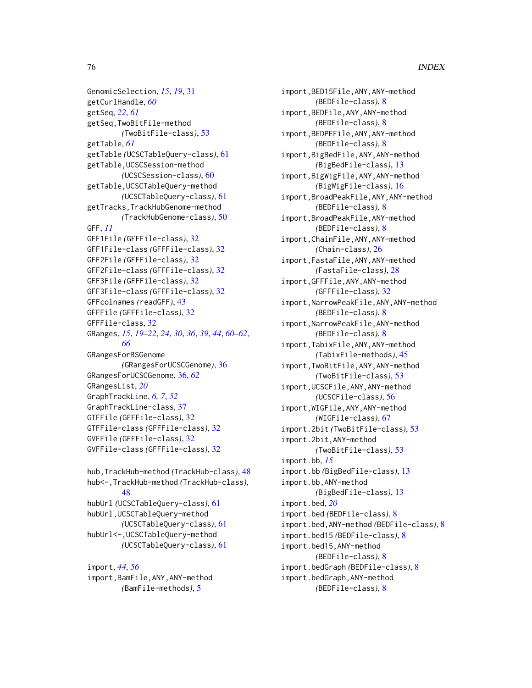```
GenomicSelection, 15, 19, 31
getCurlHandle, 60
getSeq, 22, 61
getSeq,TwoBitFile-method
        (TwoBitFile-class), 53
getTable, 61
getTable (UCSCTableQuery-class), 61
getTable,UCSCSession-method
        (UCSCSession-class), 60
getTable,UCSCTableQuery-method
        (UCSCTableQuery-class), 61
getTracks,TrackHubGenome-method
        (TrackHubGenome-class), 50
GFF, 11
GFF1File (GFFFile-class), 32
GFF1File-class (GFFFile-class), 32
GFF2File (GFFFile-class), 32
GFF2File-class (GFFFile-class), 32
GFF3File (GFFFile-class), 32
GFF3File-class (GFFFile-class), 32
GFFcolnames (readGFF), 43
GFFFile (GFFFile-class), 32
GFFFile-class, 32
GRanges, 15, 19–22, 24, 30, 36, 39, 44, 60–62,
        66
GRangesForBSGenome
        (GRangesForUCSCGenome), 36
GRangesForUCSCGenome, 36, 62
GRangesList, 20
GraphTrackLine, 6, 7, 52
GraphTrackLine-class, 37
GTFFile (GFFFile-class), 32
GTFFile-class (GFFFile-class), 32
GVFFile (GFFFile-class), 32
GVFFile-class (GFFFile-class), 32
hub,TrackHub-method (TrackHub-class), 48
```

```
hub<-,TrackHub-method (TrackHub-class),
        48
hubUrl (UCSCTableQuery-class), 61
hubUrl,UCSCTableQuery-method
        (UCSCTableQuery-class), 61
hubUrl<-,UCSCTableQuery-method
        (UCSCTableQuery-class), 61
```
import, *[44](#page-43-0)*, *[56](#page-55-0)* import,BamFile,ANY,ANY-method *(*BamFile-methods*)*, [5](#page-4-0)

import,BED15File,ANY,ANY-method *(*BEDFile-class*)*, [8](#page-7-0) import,BEDFile,ANY,ANY-method *(*BEDFile-class*)*, [8](#page-7-0) import,BEDPEFile,ANY,ANY-method *(*BEDFile-class*)*, [8](#page-7-0) import,BigBedFile,ANY,ANY-method *(*BigBedFile-class*)*, [13](#page-12-0) import,BigWigFile,ANY,ANY-method *(*BigWigFile-class*)*, [16](#page-15-0) import,BroadPeakFile,ANY,ANY-method *(*BEDFile-class*)*, [8](#page-7-0) import,BroadPeakFile,ANY-method *(*BEDFile-class*)*, [8](#page-7-0) import,ChainFile,ANY,ANY-method *(*Chain-class*)*, [26](#page-25-0) import,FastaFile,ANY,ANY-method *(*FastaFile-class*)*, [28](#page-27-0) import,GFFFile,ANY,ANY-method *(*GFFFile-class*)*, [32](#page-31-0) import,NarrowPeakFile,ANY,ANY-method *(*BEDFile-class*)*, [8](#page-7-0) import,NarrowPeakFile,ANY-method *(*BEDFile-class*)*, [8](#page-7-0) import,TabixFile,ANY,ANY-method *(*TabixFile-methods*)*, [45](#page-44-0) import,TwoBitFile,ANY,ANY-method *(*TwoBitFile-class*)*, [53](#page-52-0) import,UCSCFile,ANY,ANY-method *(*UCSCFile-class*)*, [56](#page-55-0) import,WIGFile,ANY,ANY-method *(*WIGFile-class*)*, [67](#page-66-0) import.2bit *(*TwoBitFile-class*)*, [53](#page-52-0) import.2bit,ANY-method *(*TwoBitFile-class*)*, [53](#page-52-0) import.bb, *[15](#page-14-0)* import.bb *(*BigBedFile-class*)*, [13](#page-12-0) import.bb,ANY-method *(*BigBedFile-class*)*, [13](#page-12-0) import.bed, *[20](#page-19-0)* import.bed *(*BEDFile-class*)*, [8](#page-7-0) import.bed,ANY-method *(*BEDFile-class*)*, [8](#page-7-0) import.bed15 *(*BEDFile-class*)*, [8](#page-7-0) import.bed15,ANY-method *(*BEDFile-class*)*, [8](#page-7-0) import.bedGraph *(*BEDFile-class*)*, [8](#page-7-0) import.bedGraph,ANY-method *(*BEDFile-class*)*, [8](#page-7-0)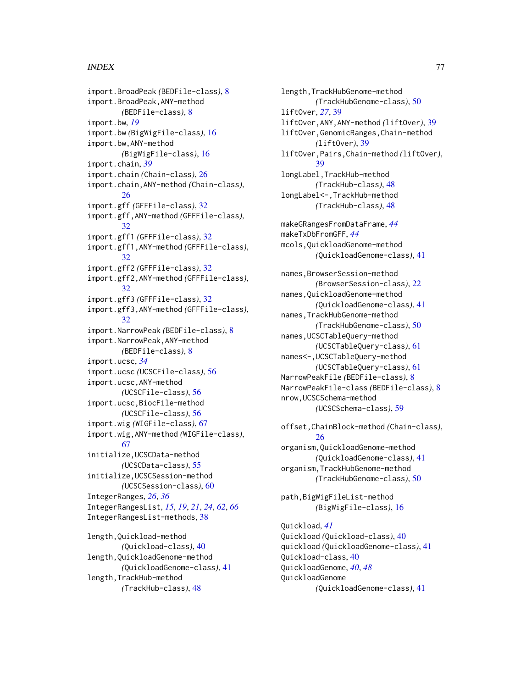import.BroadPeak *(*BEDFile-class*)*, [8](#page-7-0) import.BroadPeak,ANY-method *(*BEDFile-class*)*, [8](#page-7-0) import.bw, *[19](#page-18-0)* import.bw *(*BigWigFile-class*)*, [16](#page-15-0) import.bw,ANY-method *(*BigWigFile-class*)*, [16](#page-15-0) import.chain, *[39](#page-38-0)* import.chain *(*Chain-class*)*, [26](#page-25-0) import.chain,ANY-method *(*Chain-class*)*, [26](#page-25-0) import.gff *(*GFFFile-class*)*, [32](#page-31-0) import.gff,ANY-method *(*GFFFile-class*)*, [32](#page-31-0) import.gff1 *(*GFFFile-class*)*, [32](#page-31-0) import.gff1,ANY-method *(*GFFFile-class*)*, [32](#page-31-0) import.gff2 *(*GFFFile-class*)*, [32](#page-31-0) import.gff2,ANY-method *(*GFFFile-class*)*, [32](#page-31-0) import.gff3 *(*GFFFile-class*)*, [32](#page-31-0) import.gff3,ANY-method *(*GFFFile-class*)*, [32](#page-31-0) import.NarrowPeak *(*BEDFile-class*)*, [8](#page-7-0) import.NarrowPeak,ANY-method *(*BEDFile-class*)*, [8](#page-7-0) import.ucsc, *[34](#page-33-0)* import.ucsc *(*UCSCFile-class*)*, [56](#page-55-0) import.ucsc,ANY-method *(*UCSCFile-class*)*, [56](#page-55-0) import.ucsc,BiocFile-method *(*UCSCFile-class*)*, [56](#page-55-0) import.wig *(*WIGFile-class*)*, [67](#page-66-0) import.wig,ANY-method *(*WIGFile-class*)*, [67](#page-66-0) initialize,UCSCData-method *(*UCSCData-class*)*, [55](#page-54-0) initialize,UCSCSession-method *(*UCSCSession-class*)*, [60](#page-59-0) IntegerRanges, *[26](#page-25-0)*, *[36](#page-35-0)* IntegerRangesList, *[15](#page-14-0)*, *[19](#page-18-0)*, *[21](#page-20-0)*, *[24](#page-23-0)*, *[62](#page-61-0)*, *[66](#page-65-0)* IntegerRangesList-methods, [38](#page-37-0) length,Quickload-method *(*Quickload-class*)*, [40](#page-39-0) length,QuickloadGenome-method *(*QuickloadGenome-class*)*, [41](#page-40-0)

length,TrackHub-method *(*TrackHub-class*)*, [48](#page-47-0) length,TrackHubGenome-method *(*TrackHubGenome-class*)*, [50](#page-49-0) liftOver, *[27](#page-26-0)*, [39](#page-38-0) liftOver,ANY,ANY-method *(*liftOver*)*, [39](#page-38-0) liftOver,GenomicRanges,Chain-method *(*liftOver*)*, [39](#page-38-0) liftOver,Pairs,Chain-method *(*liftOver*)*, [39](#page-38-0) longLabel,TrackHub-method *(*TrackHub-class*)*, [48](#page-47-0) longLabel<-,TrackHub-method *(*TrackHub-class*)*, [48](#page-47-0) makeGRangesFromDataFrame, *[44](#page-43-0)* makeTxDbFromGFF, *[44](#page-43-0)* mcols,QuickloadGenome-method *(*QuickloadGenome-class*)*, [41](#page-40-0) names,BrowserSession-method *(*BrowserSession-class*)*, [22](#page-21-0) names,QuickloadGenome-method *(*QuickloadGenome-class*)*, [41](#page-40-0) names,TrackHubGenome-method *(*TrackHubGenome-class*)*, [50](#page-49-0) names,UCSCTableQuery-method *(*UCSCTableQuery-class*)*, [61](#page-60-0) names<-,UCSCTableQuery-method *(*UCSCTableQuery-class*)*, [61](#page-60-0) NarrowPeakFile *(*BEDFile-class*)*, [8](#page-7-0) NarrowPeakFile-class *(*BEDFile-class*)*, [8](#page-7-0) nrow,UCSCSchema-method *(*UCSCSchema-class*)*, [59](#page-58-0)

offset,ChainBlock-method *(*Chain-class*)*, [26](#page-25-0) organism,QuickloadGenome-method *(*QuickloadGenome-class*)*, [41](#page-40-0) organism,TrackHubGenome-method *(*TrackHubGenome-class*)*, [50](#page-49-0)

path,BigWigFileList-method *(*BigWigFile-class*)*, [16](#page-15-0)

Quickload, *[41](#page-40-0)* Quickload *(*Quickload-class*)*, [40](#page-39-0) quickload *(*QuickloadGenome-class*)*, [41](#page-40-0) Quickload-class, [40](#page-39-0) QuickloadGenome, *[40](#page-39-0)*, *[48](#page-47-0)* QuickloadGenome *(*QuickloadGenome-class*)*, [41](#page-40-0)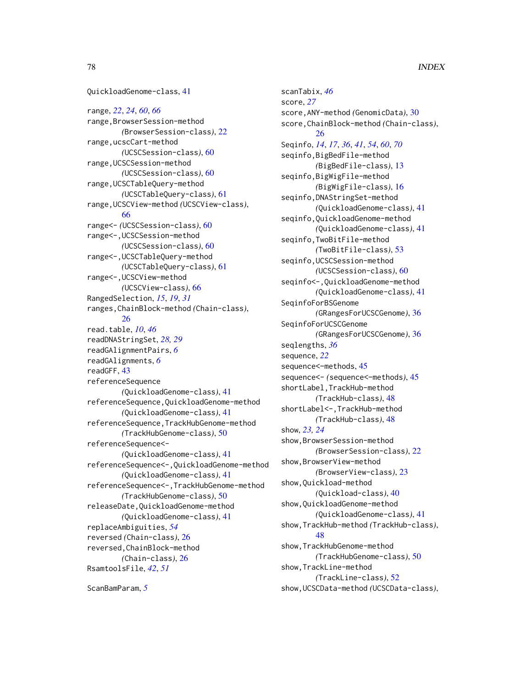QuickloadGenome-class, [41](#page-40-0) range, *[22](#page-21-0)*, *[24](#page-23-0)*, *[60](#page-59-0)*, *[66](#page-65-0)* range,BrowserSession-method *(*BrowserSession-class*)*, [22](#page-21-0) range,ucscCart-method *(*UCSCSession-class*)*, [60](#page-59-0) range,UCSCSession-method *(*UCSCSession-class*)*, [60](#page-59-0) range,UCSCTableQuery-method *(*UCSCTableQuery-class*)*, [61](#page-60-0) range,UCSCView-method *(*UCSCView-class*)*, [66](#page-65-0) range<- *(*UCSCSession-class*)*, [60](#page-59-0) range<-,UCSCSession-method *(*UCSCSession-class*)*, [60](#page-59-0) range<-,UCSCTableQuery-method *(*UCSCTableQuery-class*)*, [61](#page-60-0) range<-,UCSCView-method *(*UCSCView-class*)*, [66](#page-65-0) RangedSelection, *[15](#page-14-0)*, *[19](#page-18-0)*, *[31](#page-30-0)* ranges,ChainBlock-method *(*Chain-class*)*, [26](#page-25-0) read.table, *[10](#page-9-0)*, *[46](#page-45-0)* readDNAStringSet, *[28,](#page-27-0) [29](#page-28-0)* readGAlignmentPairs, *[6](#page-5-0)* readGAlignments, *[6](#page-5-0)* readGFF, [43](#page-42-0) referenceSequence *(*QuickloadGenome-class*)*, [41](#page-40-0) referenceSequence,QuickloadGenome-method *(*QuickloadGenome-class*)*, [41](#page-40-0) referenceSequence,TrackHubGenome-method *(*TrackHubGenome-class*)*, [50](#page-49-0) referenceSequence<- *(*QuickloadGenome-class*)*, [41](#page-40-0) referenceSequence<-,QuickloadGenome-method *(*QuickloadGenome-class*)*, [41](#page-40-0) referenceSequence<-,TrackHubGenome-method *(*TrackHubGenome-class*)*, [50](#page-49-0) releaseDate,QuickloadGenome-method *(*QuickloadGenome-class*)*, [41](#page-40-0) replaceAmbiguities, *[54](#page-53-0)* reversed *(*Chain-class*)*, [26](#page-25-0) reversed,ChainBlock-method *(*Chain-class*)*, [26](#page-25-0) RsamtoolsFile, *[42](#page-41-0)*, *[51](#page-50-0)*

ScanBamParam, *[5](#page-4-0)*

scanTabix, *[46](#page-45-0)* score, *[27](#page-26-0)* score,ANY-method *(*GenomicData*)*, [30](#page-29-0) score,ChainBlock-method *(*Chain-class*)*, [26](#page-25-0) Seqinfo, *[14](#page-13-0)*, *[17](#page-16-0)*, *[36](#page-35-0)*, *[41](#page-40-0)*, *[54](#page-53-0)*, *[60](#page-59-0)*, *[70](#page-69-0)* seqinfo,BigBedFile-method *(*BigBedFile-class*)*, [13](#page-12-0) seqinfo,BigWigFile-method *(*BigWigFile-class*)*, [16](#page-15-0) seqinfo,DNAStringSet-method *(*QuickloadGenome-class*)*, [41](#page-40-0) seqinfo,QuickloadGenome-method *(*QuickloadGenome-class*)*, [41](#page-40-0) seqinfo,TwoBitFile-method *(*TwoBitFile-class*)*, [53](#page-52-0) seqinfo,UCSCSession-method *(*UCSCSession-class*)*, [60](#page-59-0) seqinfo<-,QuickloadGenome-method *(*QuickloadGenome-class*)*, [41](#page-40-0) SeqinfoForBSGenome *(*GRangesForUCSCGenome*)*, [36](#page-35-0) SeqinfoForUCSCGenome *(*GRangesForUCSCGenome*)*, [36](#page-35-0) seqlengths, *[36](#page-35-0)* sequence, *[22](#page-21-0)* sequence<–methods, [45](#page-44-0) sequence<- *(*sequence<–methods*)*, [45](#page-44-0) shortLabel,TrackHub-method *(*TrackHub-class*)*, [48](#page-47-0) shortLabel<-,TrackHub-method *(*TrackHub-class*)*, [48](#page-47-0) show, *[23,](#page-22-0) [24](#page-23-0)* show,BrowserSession-method *(*BrowserSession-class*)*, [22](#page-21-0) show,BrowserView-method *(*BrowserView-class*)*, [23](#page-22-0) show,Quickload-method *(*Quickload-class*)*, [40](#page-39-0) show,QuickloadGenome-method *(*QuickloadGenome-class*)*, [41](#page-40-0) show,TrackHub-method *(*TrackHub-class*)*, [48](#page-47-0) show,TrackHubGenome-method *(*TrackHubGenome-class*)*, [50](#page-49-0) show,TrackLine-method *(*TrackLine-class*)*, [52](#page-51-0) show,UCSCData-method *(*UCSCData-class*)*,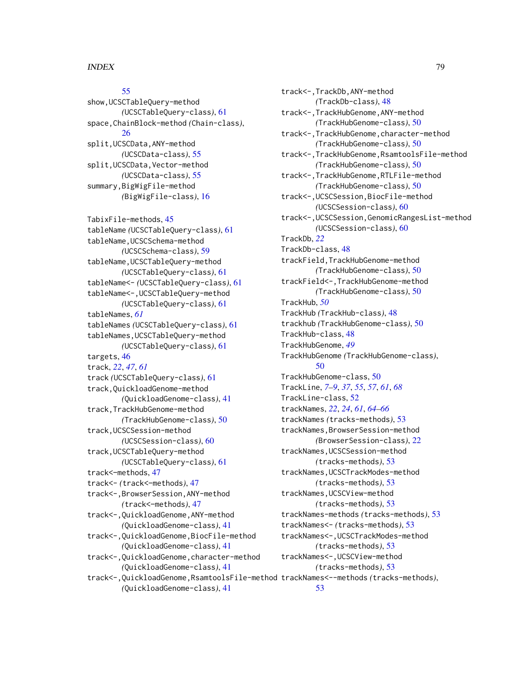# [55](#page-54-0)

show,UCSCTableQuery-method *(*UCSCTableQuery-class*)*, [61](#page-60-0) space,ChainBlock-method *(*Chain-class*)*, [26](#page-25-0) split,UCSCData,ANY-method *(*UCSCData-class*)*, [55](#page-54-0) split,UCSCData,Vector-method *(*UCSCData-class*)*, [55](#page-54-0) summary,BigWigFile-method *(*BigWigFile-class*)*, [16](#page-15-0)

TabixFile-methods, [45](#page-44-0) tableName *(*UCSCTableQuery-class*)*, [61](#page-60-0) tableName,UCSCSchema-method *(*UCSCSchema-class*)*, [59](#page-58-0) tableName,UCSCTableQuery-method *(*UCSCTableQuery-class*)*, [61](#page-60-0) tableName<- *(*UCSCTableQuery-class*)*, [61](#page-60-0) tableName<-,UCSCTableQuery-method *(*UCSCTableQuery-class*)*, [61](#page-60-0) tableNames, *[61](#page-60-0)* tableNames *(*UCSCTableQuery-class*)*, [61](#page-60-0) tableNames,UCSCTableQuery-method *(*UCSCTableQuery-class*)*, [61](#page-60-0) targets, [46](#page-45-0) track, *[22](#page-21-0)*, *[47](#page-46-0)*, *[61](#page-60-0)* track *(*UCSCTableQuery-class*)*, [61](#page-60-0) track,QuickloadGenome-method *(*QuickloadGenome-class*)*, [41](#page-40-0) track,TrackHubGenome-method *(*TrackHubGenome-class*)*, [50](#page-49-0) track,UCSCSession-method *(*UCSCSession-class*)*, [60](#page-59-0) track,UCSCTableQuery-method *(*UCSCTableQuery-class*)*, [61](#page-60-0) track<–methods, [47](#page-46-0) track<- *(*track<–methods*)*, [47](#page-46-0) track<-,BrowserSession,ANY-method *(*track<–methods*)*, [47](#page-46-0) track<-,QuickloadGenome,ANY-method *(*QuickloadGenome-class*)*, [41](#page-40-0) track<-,QuickloadGenome,BiocFile-method *(*QuickloadGenome-class*)*, [41](#page-40-0) track<-,QuickloadGenome,character-method *(*QuickloadGenome-class*)*, [41](#page-40-0) *(*QuickloadGenome-class*)*, [41](#page-40-0)

track<-,QuickloadGenome,RsamtoolsFile-method trackNames<--methods *(*tracks-methods*)*, track<-,TrackDb,ANY-method *(*TrackDb-class*)*, [48](#page-47-0) track<-,TrackHubGenome,ANY-method *(*TrackHubGenome-class*)*, [50](#page-49-0) track<-,TrackHubGenome,character-method *(*TrackHubGenome-class*)*, [50](#page-49-0) track<-,TrackHubGenome,RsamtoolsFile-method *(*TrackHubGenome-class*)*, [50](#page-49-0) track<-,TrackHubGenome,RTLFile-method *(*TrackHubGenome-class*)*, [50](#page-49-0) track<-,UCSCSession,BiocFile-method *(*UCSCSession-class*)*, [60](#page-59-0) track<-,UCSCSession,GenomicRangesList-method *(*UCSCSession-class*)*, [60](#page-59-0) TrackDb, *[22](#page-21-0)* TrackDb-class, [48](#page-47-0) trackField,TrackHubGenome-method *(*TrackHubGenome-class*)*, [50](#page-49-0) trackField<-,TrackHubGenome-method *(*TrackHubGenome-class*)*, [50](#page-49-0) TrackHub, *[50](#page-49-0)* TrackHub *(*TrackHub-class*)*, [48](#page-47-0) trackhub *(*TrackHubGenome-class*)*, [50](#page-49-0) TrackHub-class, [48](#page-47-0) TrackHubGenome, *[49](#page-48-0)* TrackHubGenome *(*TrackHubGenome-class*)*, [50](#page-49-0) TrackHubGenome-class, [50](#page-49-0) TrackLine, *[7](#page-6-0)[–9](#page-8-0)*, *[37](#page-36-0)*, *[55](#page-54-0)*, *[57](#page-56-0)*, *[61](#page-60-0)*, *[68](#page-67-0)* TrackLine-class, [52](#page-51-0) trackNames, *[22](#page-21-0)*, *[24](#page-23-0)*, *[61](#page-60-0)*, *[64](#page-63-0)[–66](#page-65-0)* trackNames *(*tracks-methods*)*, [53](#page-52-0) trackNames,BrowserSession-method *(*BrowserSession-class*)*, [22](#page-21-0) trackNames,UCSCSession-method *(*tracks-methods*)*, [53](#page-52-0) trackNames,UCSCTrackModes-method *(*tracks-methods*)*, [53](#page-52-0) trackNames,UCSCView-method *(*tracks-methods*)*, [53](#page-52-0) trackNames-methods *(*tracks-methods*)*, [53](#page-52-0) trackNames<- *(*tracks-methods*)*, [53](#page-52-0) trackNames<-,UCSCTrackModes-method *(*tracks-methods*)*, [53](#page-52-0) trackNames<-,UCSCView-method *(*tracks-methods*)*, [53](#page-52-0) [53](#page-52-0)